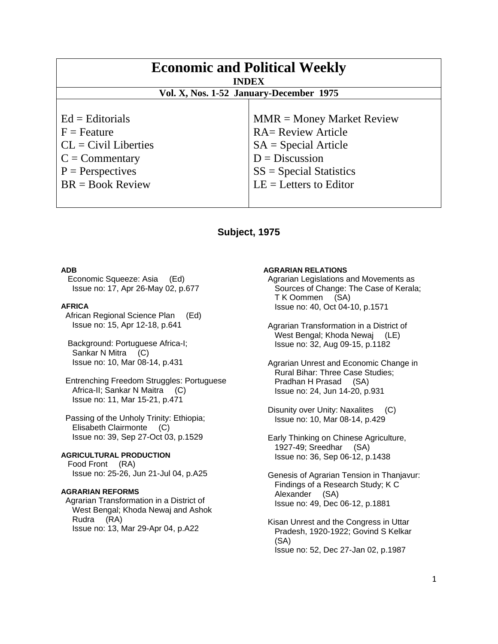| <b>Economic and Political Weekly</b><br><b>INDEX</b><br>Vol. X, Nos. 1-52 January-December 1975                                |                                                                                                                                                                 |
|--------------------------------------------------------------------------------------------------------------------------------|-----------------------------------------------------------------------------------------------------------------------------------------------------------------|
|                                                                                                                                |                                                                                                                                                                 |
| $Ed =$ Editorials<br>$F =$ Feature<br>$CL = Civil\:$ Liberties<br>$C =$ Commentary<br>$P =$ Perspectives<br>$BR = Book Review$ | $MMR = Money Market Review$<br><b>RA= Review Article</b><br>$SA = Special Article$<br>$D = Discussion$<br>$SS = Special Statistics$<br>$LE = Letters to Editor$ |

# **Subject, 1975**

### **ADB**

 Economic Squeeze: Asia (Ed) Issue no: 17, Apr 26-May 02, p.677

#### **AFRICA**

 African Regional Science Plan (Ed) Issue no: 15, Apr 12-18, p.641

 Background: Portuguese Africa-I; Sankar N Mitra (C) Issue no: 10, Mar 08-14, p.431

 Entrenching Freedom Struggles: Portuguese Africa-II; Sankar N Maitra (C) Issue no: 11, Mar 15-21, p.471

 Passing of the Unholy Trinity: Ethiopia; Elisabeth Clairmonte (C) Issue no: 39, Sep 27-Oct 03, p.1529

**AGRICULTURAL PRODUCTION**  Food Front (RA) Issue no: 25-26, Jun 21-Jul 04, p.A25

### **AGRARIAN REFORMS**

 Agrarian Transformation in a District of West Bengal; Khoda Newaj and Ashok Rudra (RA) Issue no: 13, Mar 29-Apr 04, p.A22

#### **AGRARIAN RELATIONS**

 Agrarian Legislations and Movements as Sources of Change: The Case of Kerala; T K Oommen (SA) Issue no: 40, Oct 04-10, p.1571

 Agrarian Transformation in a District of West Bengal; Khoda Newaj (LE) Issue no: 32, Aug 09-15, p.1182

 Agrarian Unrest and Economic Change in Rural Bihar: Three Case Studies; Pradhan H Prasad (SA) Issue no: 24, Jun 14-20, p.931

 Disunity over Unity: Naxalites (C) Issue no: 10, Mar 08-14, p.429

 Early Thinking on Chinese Agriculture, 1927-49; Sreedhar (SA) Issue no: 36, Sep 06-12, p.1438

 Genesis of Agrarian Tension in Thanjavur: Findings of a Research Study; K C Alexander (SA) Issue no: 49, Dec 06-12, p.1881

 Kisan Unrest and the Congress in Uttar Pradesh, 1920-1922; Govind S Kelkar (SA) Issue no: 52, Dec 27-Jan 02, p.1987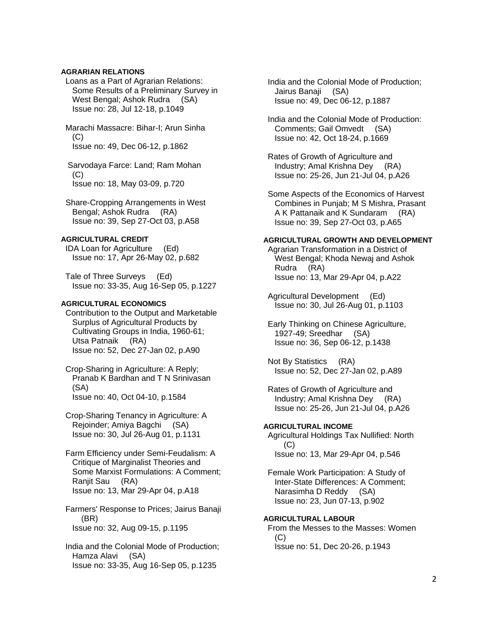# **AGRARIAN RELATIONS**

 Loans as a Part of Agrarian Relations: Some Results of a Preliminary Survey in West Bengal; Ashok Rudra (SA) Issue no: 28, Jul 12-18, p.1049

 Marachi Massacre: Bihar-I; Arun Sinha  $(C)$ Issue no: 49, Dec 06-12, p.1862

 Sarvodaya Farce: Land; Ram Mohan  $(C)$ Issue no: 18, May 03-09, p.720

 Share-Cropping Arrangements in West Bengal; Ashok Rudra (RA) Issue no: 39, Sep 27-Oct 03, p.A58

### **AGRICULTURAL CREDIT**

 IDA Loan for Agriculture (Ed) Issue no: 17, Apr 26-May 02, p.682

 Tale of Three Surveys (Ed) Issue no: 33-35, Aug 16-Sep 05, p.1227

# **AGRICULTURAL ECONOMICS**

 Contribution to the Output and Marketable Surplus of Agricultural Products by Cultivating Groups in India, 1960-61; Utsa Patnaik (RA) Issue no: 52, Dec 27-Jan 02, p.A90

 Crop-Sharing in Agriculture: A Reply; Pranab K Bardhan and T N Srinivasan (SA) Issue no: 40, Oct 04-10, p.1584

 Crop-Sharing Tenancy in Agriculture: A Rejoinder; Amiya Bagchi (SA) Issue no: 30, Jul 26-Aug 01, p.1131

 Farm Efficiency under Semi-Feudalism: A Critique of Marginalist Theories and Some Marxist Formulations: A Comment; Ranjit Sau (RA) Issue no: 13, Mar 29-Apr 04, p.A18

 Farmers' Response to Prices; Jairus Banaji (BR) Issue no: 32, Aug 09-15, p.1195

 India and the Colonial Mode of Production; Hamza Alavi (SA) Issue no: 33-35, Aug 16-Sep 05, p.1235

 India and the Colonial Mode of Production; Jairus Banaji (SA) Issue no: 49, Dec 06-12, p.1887

 India and the Colonial Mode of Production: Comments; Gail Omvedt (SA) Issue no: 42, Oct 18-24, p.1669

 Rates of Growth of Agriculture and Industry; Amal Krishna Dey (RA) Issue no: 25-26, Jun 21-Jul 04, p.A26

 Some Aspects of the Economics of Harvest Combines in Punjab; M S Mishra, Prasant A K Pattanaik and K Sundaram (RA) Issue no: 39, Sep 27-Oct 03, p.A65

### **AGRICULTURAL GROWTH AND DEVELOPMENT**

 Agrarian Transformation in a District of West Bengal; Khoda Newaj and Ashok Rudra (RA) Issue no: 13, Mar 29-Apr 04, p.A22

 Agricultural Development (Ed) Issue no: 30, Jul 26-Aug 01, p.1103

 Early Thinking on Chinese Agriculture, 1927-49; Sreedhar (SA) Issue no: 36, Sep 06-12, p.1438

 Not By Statistics (RA) Issue no: 52, Dec 27-Jan 02, p.A89

 Rates of Growth of Agriculture and Industry; Amal Krishna Dey (RA) Issue no: 25-26, Jun 21-Jul 04, p.A26

# **AGRICULTURAL INCOME**

 Agricultural Holdings Tax Nullified: North (C) Issue no: 13, Mar 29-Apr 04, p.546

 Female Work Participation: A Study of Inter-State Differences: A Comment; Narasimha D Reddy (SA) Issue no: 23, Jun 07-13, p.902

# **AGRICULTURAL LABOUR**

 From the Messes to the Masses: Women (C) Issue no: 51, Dec 20-26, p.1943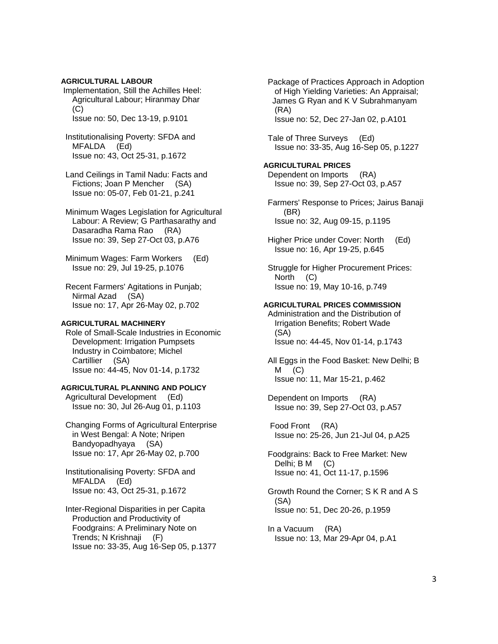**AGRICULTURAL LABOUR** Implementation, Still the Achilles Heel: Agricultural Labour; Hiranmay Dhar  $(C)$ Issue no: 50, Dec 13-19, p.9101

- Institutionalising Poverty: SFDA and MFALDA (Ed) Issue no: 43, Oct 25-31, p.1672
- Land Ceilings in Tamil Nadu: Facts and Fictions; Joan P Mencher (SA) Issue no: 05-07, Feb 01-21, p.241

 Minimum Wages Legislation for Agricultural Labour: A Review; G Parthasarathy and Dasaradha Rama Rao (RA) Issue no: 39, Sep 27-Oct 03, p.A76

 Minimum Wages: Farm Workers (Ed) Issue no: 29, Jul 19-25, p.1076

 Recent Farmers' Agitations in Punjab; Nirmal Azad (SA) Issue no: 17, Apr 26-May 02, p.702

### **AGRICULTURAL MACHINERY**

 Role of Small-Scale Industries in Economic Development: Irrigation Pumpsets Industry in Coimbatore; Michel Cartillier (SA) Issue no: 44-45, Nov 01-14, p.1732

# **AGRICULTURAL PLANNING AND POLICY**

 Agricultural Development (Ed) Issue no: 30, Jul 26-Aug 01, p.1103

 Changing Forms of Agricultural Enterprise in West Bengal: A Note; Nripen Bandyopadhyaya (SA) Issue no: 17, Apr 26-May 02, p.700

 Institutionalising Poverty: SFDA and MFALDA (Ed) Issue no: 43, Oct 25-31, p.1672

 Inter-Regional Disparities in per Capita Production and Productivity of Foodgrains: A Preliminary Note on Trends; N Krishnaji (F) Issue no: 33-35, Aug 16-Sep 05, p.1377  Package of Practices Approach in Adoption of High Yielding Varieties: An Appraisal; James G Ryan and K V Subrahmanyam (RA) Issue no: 52, Dec 27-Jan 02, p.A101

 Tale of Three Surveys (Ed) Issue no: 33-35, Aug 16-Sep 05, p.1227

### **AGRICULTURAL PRICES**  Dependent on Imports (RA) Issue no: 39, Sep 27-Oct 03, p.A57

 Farmers' Response to Prices; Jairus Banaji (BR) Issue no: 32, Aug 09-15, p.1195

 Higher Price under Cover: North (Ed) Issue no: 16, Apr 19-25, p.645

 Struggle for Higher Procurement Prices: North (C) Issue no: 19, May 10-16, p.749

#### **AGRICULTURAL PRICES COMMISSION**

 Administration and the Distribution of Irrigation Benefits; Robert Wade (SA) Issue no: 44-45, Nov 01-14, p.1743

All Eggs in the Food Basket: New Delhi; B<br>M (C)  $(C)$ Issue no: 11, Mar 15-21, p.462

 Dependent on Imports (RA) Issue no: 39, Sep 27-Oct 03, p.A57

 Food Front (RA) Issue no: 25-26, Jun 21-Jul 04, p.A25

 Foodgrains: Back to Free Market: New Delhi; B M (C) Issue no: 41, Oct 11-17, p.1596

 Growth Round the Corner; S K R and A S (SA) Issue no: 51, Dec 20-26, p.1959

 In a Vacuum (RA) Issue no: 13, Mar 29-Apr 04, p.A1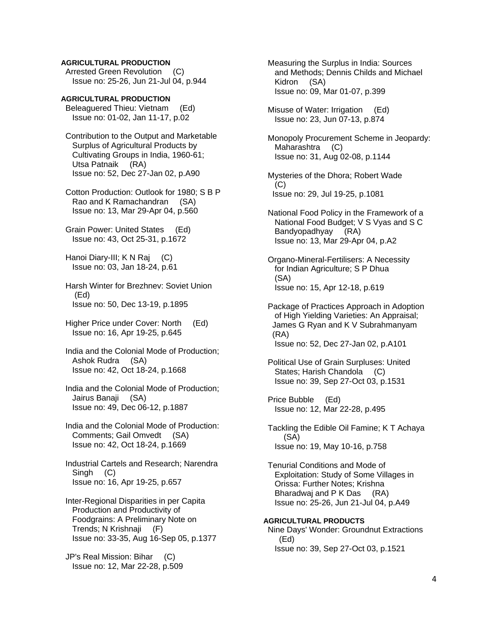## **AGRICULTURAL PRODUCTION**

 Arrested Green Revolution (C) Issue no: 25-26, Jun 21-Jul 04, p.944

**AGRICULTURAL PRODUCTION**  Beleaguered Thieu: Vietnam (Ed) Issue no: 01-02, Jan 11-17, p.02

 Contribution to the Output and Marketable Surplus of Agricultural Products by Cultivating Groups in India, 1960-61; Utsa Patnaik (RA) Issue no: 52, Dec 27-Jan 02, p.A90

 Cotton Production: Outlook for 1980; S B P Rao and K Ramachandran (SA) Issue no: 13, Mar 29-Apr 04, p.560

 Grain Power: United States (Ed) Issue no: 43, Oct 25-31, p.1672

 Hanoi Diary-III; K N Raj (C) Issue no: 03, Jan 18-24, p.61

 Harsh Winter for Brezhnev: Soviet Union (Ed) Issue no: 50, Dec 13-19, p.1895

 Higher Price under Cover: North (Ed) Issue no: 16, Apr 19-25, p.645

 India and the Colonial Mode of Production; Ashok Rudra (SA) Issue no: 42, Oct 18-24, p.1668

 India and the Colonial Mode of Production; Jairus Banaji (SA) Issue no: 49, Dec 06-12, p.1887

 India and the Colonial Mode of Production: Comments; Gail Omvedt (SA) Issue no: 42, Oct 18-24, p.1669

 Industrial Cartels and Research; Narendra Singh (C) Issue no: 16, Apr 19-25, p.657

 Inter-Regional Disparities in per Capita Production and Productivity of Foodgrains: A Preliminary Note on Trends; N Krishnaji (F) Issue no: 33-35, Aug 16-Sep 05, p.1377

 JP's Real Mission: Bihar (C) Issue no: 12, Mar 22-28, p.509  Measuring the Surplus in India: Sources and Methods; Dennis Childs and Michael Kidron (SA) Issue no: 09, Mar 01-07, p.399

 Misuse of Water: Irrigation (Ed) Issue no: 23, Jun 07-13, p.874

 Monopoly Procurement Scheme in Jeopardy: Maharashtra (C) Issue no: 31, Aug 02-08, p.1144

 Mysteries of the Dhora; Robert Wade  $(C)$ Issue no: 29, Jul 19-25, p.1081

 National Food Policy in the Framework of a National Food Budget; V S Vyas and S C Bandyopadhyay (RA) Issue no: 13, Mar 29-Apr 04, p.A2

 Organo-Mineral-Fertilisers: A Necessity for Indian Agriculture; S P Dhua (SA) Issue no: 15, Apr 12-18, p.619

 Package of Practices Approach in Adoption of High Yielding Varieties: An Appraisal; James G Ryan and K V Subrahmanyam (RA) Issue no: 52, Dec 27-Jan 02, p.A101

 Political Use of Grain Surpluses: United States; Harish Chandola (C) Issue no: 39, Sep 27-Oct 03, p.1531

 Price Bubble (Ed) Issue no: 12, Mar 22-28, p.495

 Tackling the Edible Oil Famine; K T Achaya (SA) Issue no: 19, May 10-16, p.758

 Tenurial Conditions and Mode of Exploitation: Study of Some Villages in Orissa: Further Notes; Krishna Bharadwaj and P K Das (RA) Issue no: 25-26, Jun 21-Jul 04, p.A49

**AGRICULTURAL PRODUCTS**  Nine Days' Wonder: Groundnut Extractions (Ed) Issue no: 39, Sep 27-Oct 03, p.1521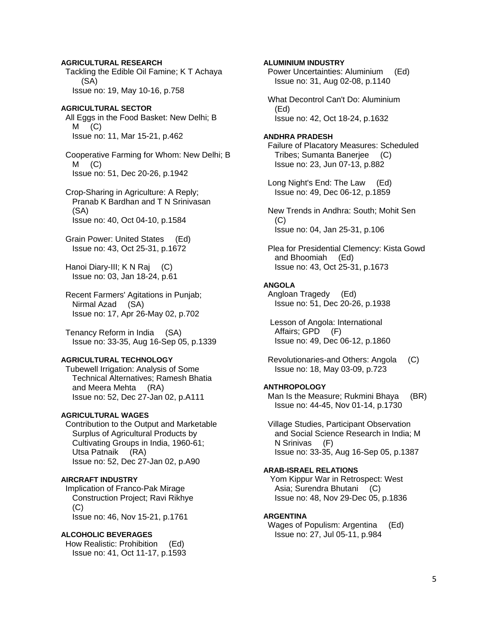**AGRICULTURAL RESEARCH**  Tackling the Edible Oil Famine; K T Achaya (SA) Issue no: 19, May 10-16, p.758

**AGRICULTURAL SECTOR**  All Eggs in the Food Basket: New Delhi; B  $M$   $(C)$ Issue no: 11, Mar 15-21, p.462

 Cooperative Farming for Whom: New Delhi; B  $M$   $(C)$ Issue no: 51, Dec 20-26, p.1942

 Crop-Sharing in Agriculture: A Reply; Pranab K Bardhan and T N Srinivasan (SA) Issue no: 40, Oct 04-10, p.1584

 Grain Power: United States (Ed) Issue no: 43, Oct 25-31, p.1672

 Hanoi Diary-III; K N Raj (C) Issue no: 03, Jan 18-24, p.61

 Recent Farmers' Agitations in Punjab; Nirmal Azad (SA) Issue no: 17, Apr 26-May 02, p.702

 Tenancy Reform in India (SA) Issue no: 33-35, Aug 16-Sep 05, p.1339

### **AGRICULTURAL TECHNOLOGY**

 Tubewell Irrigation: Analysis of Some Technical Alternatives; Ramesh Bhatia and Meera Mehta (RA) Issue no: 52, Dec 27-Jan 02, p.A111

## **AGRICULTURAL WAGES**

 Contribution to the Output and Marketable Surplus of Agricultural Products by Cultivating Groups in India, 1960-61; Utsa Patnaik (RA) Issue no: 52, Dec 27-Jan 02, p.A90

# **AIRCRAFT INDUSTRY**

 Implication of Franco-Pak Mirage Construction Project; Ravi Rikhye (C) Issue no: 46, Nov 15-21, p.1761

#### **ALCOHOLIC BEVERAGES**

 How Realistic: Prohibition (Ed) Issue no: 41, Oct 11-17, p.1593

**ALUMINIUM INDUSTRY**  Power Uncertainties: Aluminium (Ed) Issue no: 31, Aug 02-08, p.1140 What Decontrol Can't Do: Aluminium (Ed) Issue no: 42, Oct 18-24, p.1632 **ANDHRA PRADESH**  Failure of Placatory Measures: Scheduled Tribes; Sumanta Banerjee (C) Issue no: 23, Jun 07-13, p.882 Long Night's End: The Law (Ed) Issue no: 49, Dec 06-12, p.1859 New Trends in Andhra: South; Mohit Sen  $(C)$  Issue no: 04, Jan 25-31, p.106 Plea for Presidential Clemency: Kista Gowd and Bhoomiah (Ed) Issue no: 43, Oct 25-31, p.1673 **ANGOLA** 

 Angloan Tragedy (Ed) Issue no: 51, Dec 20-26, p.1938

 Lesson of Angola: International Affairs; GPD (F) Issue no: 49, Dec 06-12, p.1860

 Revolutionaries-and Others: Angola (C) Issue no: 18, May 03-09, p.723

#### **ANTHROPOLOGY**

Man Is the Measure; Rukmini Bhaya (BR) Issue no: 44-45, Nov 01-14, p.1730

 Village Studies, Participant Observation and Social Science Research in India; M N Srinivas (F) Issue no: 33-35, Aug 16-Sep 05, p.1387

# **ARAB-ISRAEL RELATIONS**

 Yom Kippur War in Retrospect: West Asia; Surendra Bhutani (C) Issue no: 48, Nov 29-Dec 05, p.1836

### **ARGENTINA**

 Wages of Populism: Argentina (Ed) Issue no: 27, Jul 05-11, p.984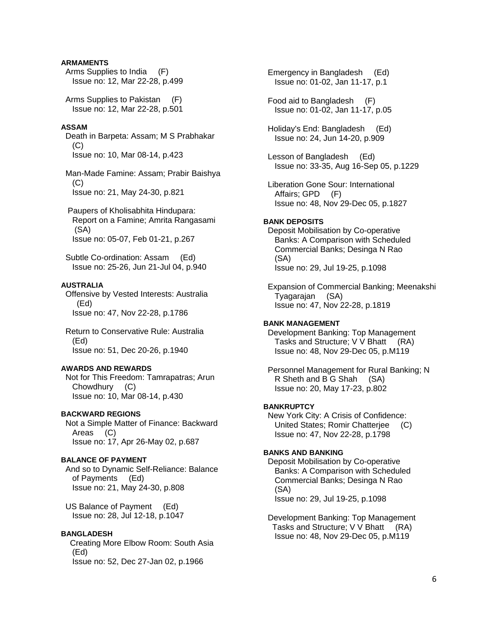# **ARMAMENTS**

 Arms Supplies to India (F) Issue no: 12, Mar 22-28, p.499

 Arms Supplies to Pakistan (F) Issue no: 12, Mar 22-28, p.501

### **ASSAM**

 Death in Barpeta: Assam; M S Prabhakar  $(C)$ Issue no: 10, Mar 08-14, p.423

 Man-Made Famine: Assam; Prabir Baishya (C) Issue no: 21, May 24-30, p.821

 Paupers of Kholisabhita Hindupara: Report on a Famine; Amrita Rangasami (SA) Issue no: 05-07, Feb 01-21, p.267

 Subtle Co-ordination: Assam (Ed) Issue no: 25-26, Jun 21-Jul 04, p.940

### **AUSTRALIA**

 Offensive by Vested Interests: Australia (Ed) Issue no: 47, Nov 22-28, p.1786

 Return to Conservative Rule: Australia (Ed) Issue no: 51, Dec 20-26, p.1940

# **AWARDS AND REWARDS**

 Not for This Freedom: Tamrapatras; Arun Chowdhury (C) Issue no: 10, Mar 08-14, p.430

### **BACKWARD REGIONS**

 Not a Simple Matter of Finance: Backward Areas (C) Issue no: 17, Apr 26-May 02, p.687

# **BALANCE OF PAYMENT**

 And so to Dynamic Self-Reliance: Balance of Payments (Ed) Issue no: 21, May 24-30, p.808

 US Balance of Payment (Ed) Issue no: 28, Jul 12-18, p.1047

### **BANGLADESH**

 Creating More Elbow Room: South Asia (Ed) Issue no: 52, Dec 27-Jan 02, p.1966

 Emergency in Bangladesh (Ed) Issue no: 01-02, Jan 11-17, p.1

 Food aid to Bangladesh (F) Issue no: 01-02, Jan 11-17, p.05

 Holiday's End: Bangladesh (Ed) Issue no: 24, Jun 14-20, p.909

- Lesson of Bangladesh (Ed) Issue no: 33-35, Aug 16-Sep 05, p.1229
- Liberation Gone Sour: International Affairs; GPD (F) Issue no: 48, Nov 29-Dec 05, p.1827

#### **BANK DEPOSITS**

 Deposit Mobilisation by Co-operative Banks: A Comparison with Scheduled Commercial Banks; Desinga N Rao (SA) Issue no: 29, Jul 19-25, p.1098

 Expansion of Commercial Banking; Meenakshi Tyagarajan (SA) Issue no: 47, Nov 22-28, p.1819

### **BANK MANAGEMENT**

 Development Banking: Top Management Tasks and Structure; V V Bhatt (RA) Issue no: 48, Nov 29-Dec 05, p.M119

 Personnel Management for Rural Banking; N R Sheth and B G Shah (SA) Issue no: 20, May 17-23, p.802

# **BANKRUPTCY**

 New York City: A Crisis of Confidence: United States; Romir Chatterjee (C) Issue no: 47, Nov 22-28, p.1798

### **BANKS AND BANKING**

 Deposit Mobilisation by Co-operative Banks: A Comparison with Scheduled Commercial Banks; Desinga N Rao (SA) Issue no: 29, Jul 19-25, p.1098

 Development Banking: Top Management Tasks and Structure; V V Bhatt (RA) Issue no: 48, Nov 29-Dec 05, p.M119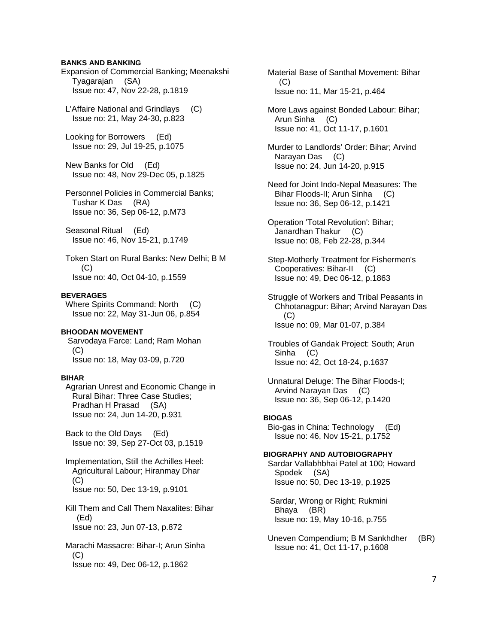# **BANKS AND BANKING**

Expansion of Commercial Banking; Meenakshi Tyagarajan (SA) Issue no: 47, Nov 22-28, p.1819

 L'Affaire National and Grindlays (C) Issue no: 21, May 24-30, p.823

 Looking for Borrowers (Ed) Issue no: 29, Jul 19-25, p.1075

 New Banks for Old (Ed) Issue no: 48, Nov 29-Dec 05, p.1825

 Personnel Policies in Commercial Banks; Tushar K Das (RA) Issue no: 36, Sep 06-12, p.M73

 Seasonal Ritual (Ed) Issue no: 46, Nov 15-21, p.1749

 Token Start on Rural Banks: New Delhi; B M  $(C)$ Issue no: 40, Oct 04-10, p.1559

### **BEVERAGES**

 Where Spirits Command: North (C) Issue no: 22, May 31-Jun 06, p.854

# **BHOODAN MOVEMENT**

 Sarvodaya Farce: Land; Ram Mohan  $(C)$ Issue no: 18, May 03-09, p.720

#### **BIHAR**

 Agrarian Unrest and Economic Change in Rural Bihar: Three Case Studies; Pradhan H Prasad (SA) Issue no: 24, Jun 14-20, p.931

 Back to the Old Days (Ed) Issue no: 39, Sep 27-Oct 03, p.1519

 Implementation, Still the Achilles Heel: Agricultural Labour; Hiranmay Dhar (C) Issue no: 50, Dec 13-19, p.9101

 Kill Them and Call Them Naxalites: Bihar (Ed) Issue no: 23, Jun 07-13, p.872

 Marachi Massacre: Bihar-I; Arun Sinha (C) Issue no: 49, Dec 06-12, p.1862

 Material Base of Santhal Movement: Bihar  $(C)$ Issue no: 11, Mar 15-21, p.464

 More Laws against Bonded Labour: Bihar; Arun Sinha (C) Issue no: 41, Oct 11-17, p.1601

 Murder to Landlords' Order: Bihar; Arvind Narayan Das (C) Issue no: 24, Jun 14-20, p.915

 Need for Joint Indo-Nepal Measures: The Bihar Floods-II; Arun Sinha (C) Issue no: 36, Sep 06-12, p.1421

 Operation 'Total Revolution': Bihar; Janardhan Thakur (C) Issue no: 08, Feb 22-28, p.344

 Step-Motherly Treatment for Fishermen's Cooperatives: Bihar-II (C) Issue no: 49, Dec 06-12, p.1863

 Struggle of Workers and Tribal Peasants in Chhotanagpur: Bihar; Arvind Narayan Das (C) Issue no: 09, Mar 01-07, p.384

 Troubles of Gandak Project: South; Arun Sinha (C) Issue no: 42, Oct 18-24, p.1637

 Unnatural Deluge: The Bihar Floods-I; Arvind Narayan Das (C) Issue no: 36, Sep 06-12, p.1420

#### **BIOGAS**

 Bio-gas in China: Technology (Ed) Issue no: 46, Nov 15-21, p.1752

### **BIOGRAPHY AND AUTOBIOGRAPHY**

 Sardar Vallabhbhai Patel at 100; Howard Spodek (SA) Issue no: 50, Dec 13-19, p.1925

 Sardar, Wrong or Right; Rukmini Bhaya (BR) Issue no: 19, May 10-16, p.755

 Uneven Compendium; B M Sankhdher (BR) Issue no: 41, Oct 11-17, p.1608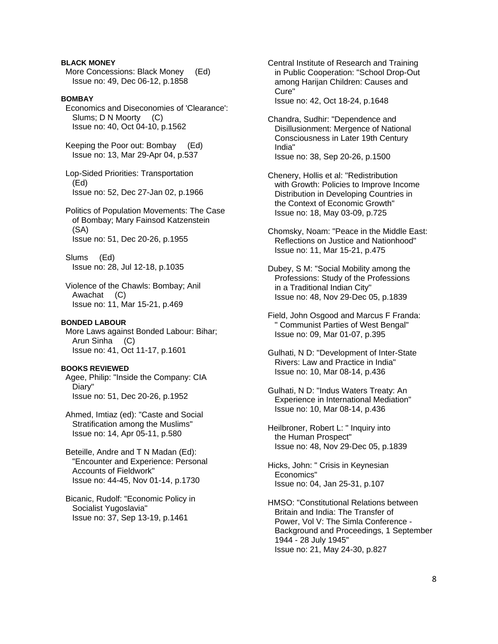## **BLACK MONEY**

 More Concessions: Black Money (Ed) Issue no: 49, Dec 06-12, p.1858

# **BOMBAY**

 Economics and Diseconomies of 'Clearance': Slums; D N Moorty (C) Issue no: 40, Oct 04-10, p.1562

 Keeping the Poor out: Bombay (Ed) Issue no: 13, Mar 29-Apr 04, p.537

 Lop-Sided Priorities: Transportation (Ed) Issue no: 52, Dec 27-Jan 02, p.1966

 Politics of Population Movements: The Case of Bombay; Mary Fainsod Katzenstein (SA) Issue no: 51, Dec 20-26, p.1955

 Slums (Ed) Issue no: 28, Jul 12-18, p.1035

 Violence of the Chawls: Bombay; Anil Awachat (C) Issue no: 11, Mar 15-21, p.469

### **BONDED LABOUR**

 More Laws against Bonded Labour: Bihar; Arun Sinha (C) Issue no: 41, Oct 11-17, p.1601

### **BOOKS REVIEWED**

 Agee, Philip: "Inside the Company: CIA Diary" Issue no: 51, Dec 20-26, p.1952

 Ahmed, Imtiaz (ed): "Caste and Social Stratification among the Muslims" Issue no: 14, Apr 05-11, p.580

 Beteille, Andre and T N Madan (Ed): "Encounter and Experience: Personal Accounts of Fieldwork" Issue no: 44-45, Nov 01-14, p.1730

 Bicanic, Rudolf: "Economic Policy in Socialist Yugoslavia" Issue no: 37, Sep 13-19, p.1461

 Central Institute of Research and Training in Public Cooperation: "School Drop-Out among Harijan Children: Causes and Cure" Issue no: 42, Oct 18-24, p.1648

 Chandra, Sudhir: "Dependence and Disillusionment: Mergence of National Consciousness in Later 19th Century India" Issue no: 38, Sep 20-26, p.1500

 Chenery, Hollis et al: "Redistribution with Growth: Policies to Improve Income Distribution in Developing Countries in the Context of Economic Growth" Issue no: 18, May 03-09, p.725

 Chomsky, Noam: "Peace in the Middle East: Reflections on Justice and Nationhood" Issue no: 11, Mar 15-21, p.475

 Dubey, S M: "Social Mobility among the Professions: Study of the Professions in a Traditional Indian City" Issue no: 48, Nov 29-Dec 05, p.1839

 Field, John Osgood and Marcus F Franda: " Communist Parties of West Bengal" Issue no: 09, Mar 01-07, p.395

 Gulhati, N D: "Development of Inter-State Rivers: Law and Practice in India" Issue no: 10, Mar 08-14, p.436

 Gulhati, N D: "Indus Waters Treaty: An Experience in International Mediation" Issue no: 10, Mar 08-14, p.436

 Heilbroner, Robert L: " Inquiry into the Human Prospect" Issue no: 48, Nov 29-Dec 05, p.1839

 Hicks, John: " Crisis in Keynesian Economics" Issue no: 04, Jan 25-31, p.107

 HMSO: "Constitutional Relations between Britain and India: The Transfer of Power, Vol V: The Simla Conference - Background and Proceedings, 1 September 1944 - 28 July 1945" Issue no: 21, May 24-30, p.827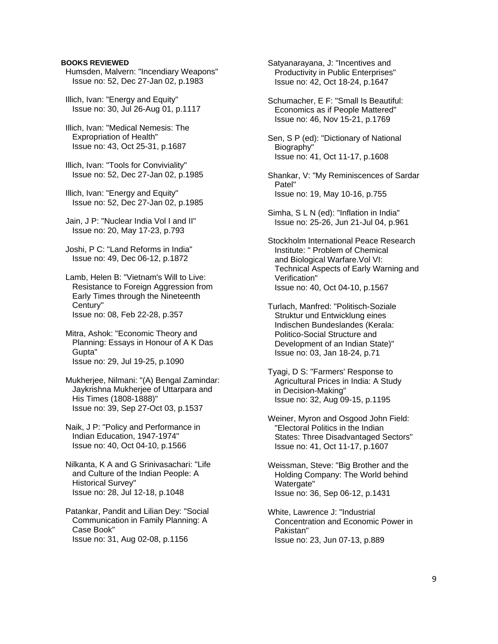### **BOOKS REVIEWED**

 Humsden, Malvern: "Incendiary Weapons" Issue no: 52, Dec 27-Jan 02, p.1983

 Illich, Ivan: "Energy and Equity" Issue no: 30, Jul 26-Aug 01, p.1117

 Illich, Ivan: "Medical Nemesis: The Expropriation of Health" Issue no: 43, Oct 25-31, p.1687

 Illich, Ivan: "Tools for Conviviality" Issue no: 52, Dec 27-Jan 02, p.1985

 Illich, Ivan: "Energy and Equity" Issue no: 52, Dec 27-Jan 02, p.1985

 Jain, J P: "Nuclear India Vol I and II" Issue no: 20, May 17-23, p.793

 Joshi, P C: "Land Reforms in India" Issue no: 49, Dec 06-12, p.1872

 Lamb, Helen B: "Vietnam's Will to Live: Resistance to Foreign Aggression from Early Times through the Nineteenth Century" Issue no: 08, Feb 22-28, p.357

 Mitra, Ashok: "Economic Theory and Planning: Essays in Honour of A K Das Gupta" Issue no: 29, Jul 19-25, p.1090

 Mukherjee, Nilmani: "(A) Bengal Zamindar: Jaykrishna Mukherjee of Uttarpara and His Times (1808-1888)" Issue no: 39, Sep 27-Oct 03, p.1537

 Naik, J P: "Policy and Performance in Indian Education, 1947-1974" Issue no: 40, Oct 04-10, p.1566

 Nilkanta, K A and G Srinivasachari: "Life and Culture of the Indian People: A Historical Survey" Issue no: 28, Jul 12-18, p.1048

 Patankar, Pandit and Lilian Dey: "Social Communication in Family Planning: A Case Book" Issue no: 31, Aug 02-08, p.1156

 Satyanarayana, J: "Incentives and Productivity in Public Enterprises" Issue no: 42, Oct 18-24, p.1647

 Schumacher, E F: "Small Is Beautiful: Economics as if People Mattered" Issue no: 46, Nov 15-21, p.1769

 Sen, S P (ed): "Dictionary of National Biography" Issue no: 41, Oct 11-17, p.1608

 Shankar, V: "My Reminiscences of Sardar Patel" Issue no: 19, May 10-16, p.755

 Simha, S L N (ed): "Inflation in India" Issue no: 25-26, Jun 21-Jul 04, p.961

 Stockholm International Peace Research Institute: " Problem of Chemical and Biological Warfare.Vol VI: Technical Aspects of Early Warning and Verification" Issue no: 40, Oct 04-10, p.1567

 Turlach, Manfred: "Politisch-Soziale Struktur und Entwicklung eines Indischen Bundeslandes (Kerala: Politico-Social Structure and Development of an Indian State)" Issue no: 03, Jan 18-24, p.71

 Tyagi, D S: "Farmers' Response to Agricultural Prices in India: A Study in Decision-Making" Issue no: 32, Aug 09-15, p.1195

 Weiner, Myron and Osgood John Field: "Electoral Politics in the Indian States: Three Disadvantaged Sectors" Issue no: 41, Oct 11-17, p.1607

 Weissman, Steve: "Big Brother and the Holding Company: The World behind Watergate" Issue no: 36, Sep 06-12, p.1431

 White, Lawrence J: "Industrial Concentration and Economic Power in Pakistan" Issue no: 23, Jun 07-13, p.889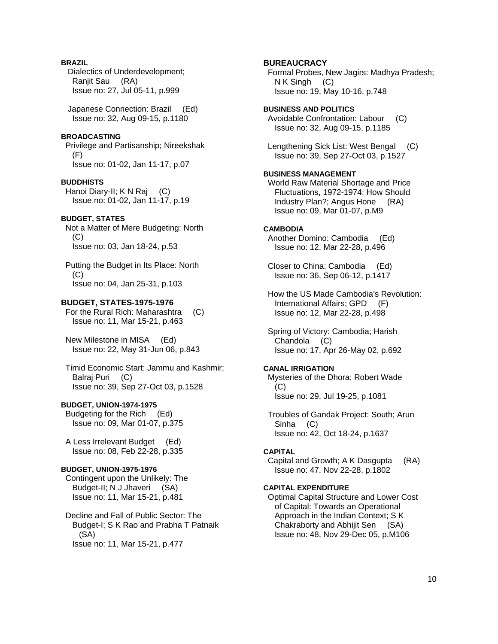# **BRAZIL**

 Dialectics of Underdevelopment; Ranjit Sau (RA) Issue no: 27, Jul 05-11, p.999

 Japanese Connection: Brazil (Ed) Issue no: 32, Aug 09-15, p.1180

### **BROADCASTING**

 Privilege and Partisanship; Nireekshak (F) Issue no: 01-02, Jan 11-17, p.07

#### **BUDDHISTS**

 Hanoi Diary-II; K N Raj (C) Issue no: 01-02, Jan 11-17, p.19

### **BUDGET, STATES**

 Not a Matter of Mere Budgeting: North (C) Issue no: 03, Jan 18-24, p.53

 Putting the Budget in Its Place: North (C) Issue no: 04, Jan 25-31, p.103

#### **BUDGET, STATES-1975-1976**

 For the Rural Rich: Maharashtra (C) Issue no: 11, Mar 15-21, p.463

 New Milestone in MISA (Ed) Issue no: 22, May 31-Jun 06, p.843

 Timid Economic Start: Jammu and Kashmir; Balraj Puri (C) Issue no: 39, Sep 27-Oct 03, p.1528

# **BUDGET, UNION-1974-1975**

 Budgeting for the Rich (Ed) Issue no: 09, Mar 01-07, p.375

 A Less Irrelevant Budget (Ed) Issue no: 08, Feb 22-28, p.335

# **BUDGET, UNION-1975-1976**

 Contingent upon the Unlikely: The Budget-II; N J Jhaveri (SA) Issue no: 11, Mar 15-21, p.481

# Decline and Fall of Public Sector: The Budget-I; S K Rao and Prabha T Patnaik (SA) Issue no: 11, Mar 15-21, p.477

# **BUREAUCRACY**

 Formal Probes, New Jagirs: Madhya Pradesh; N K Singh (C) Issue no: 19, May 10-16, p.748

#### **BUSINESS AND POLITICS**

 Avoidable Confrontation: Labour (C) Issue no: 32, Aug 09-15, p.1185

 Lengthening Sick List: West Bengal (C) Issue no: 39, Sep 27-Oct 03, p.1527

#### **BUSINESS MANAGEMENT**

 World Raw Material Shortage and Price Fluctuations, 1972-1974: How Should Industry Plan?; Angus Hone (RA) Issue no: 09, Mar 01-07, p.M9

#### **CAMBODIA**

Another Domino: Cambodia (Ed) Issue no: 12, Mar 22-28, p.496

 Closer to China: Cambodia (Ed) Issue no: 36, Sep 06-12, p.1417

 How the US Made Cambodia's Revolution: International Affairs; GPD (F) Issue no: 12, Mar 22-28, p.498

 Spring of Victory: Cambodia; Harish Chandola (C) Issue no: 17, Apr 26-May 02, p.692

# **CANAL IRRIGATION**

 Mysteries of the Dhora; Robert Wade (C) Issue no: 29, Jul 19-25, p.1081

 Troubles of Gandak Project: South; Arun Sinha (C) Issue no: 42, Oct 18-24, p.1637

# **CAPITAL**

 Capital and Growth; A K Dasgupta (RA) Issue no: 47, Nov 22-28, p.1802

# **CAPITAL EXPENDITURE**

 Optimal Capital Structure and Lower Cost of Capital: Towards an Operational Approach in the Indian Context; S K Chakraborty and Abhijit Sen (SA) Issue no: 48, Nov 29-Dec 05, p.M106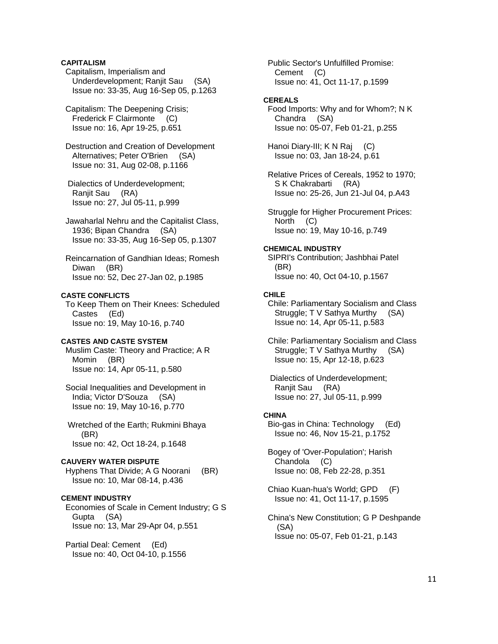# **CAPITALISM**

 Capitalism, Imperialism and Underdevelopment; Ranjit Sau (SA) Issue no: 33-35, Aug 16-Sep 05, p.1263

 Capitalism: The Deepening Crisis; Frederick F Clairmonte (C) Issue no: 16, Apr 19-25, p.651

 Destruction and Creation of Development Alternatives; Peter O'Brien (SA) Issue no: 31, Aug 02-08, p.1166

 Dialectics of Underdevelopment; Ranjit Sau (RA) Issue no: 27, Jul 05-11, p.999

 Jawaharlal Nehru and the Capitalist Class, 1936; Bipan Chandra (SA) Issue no: 33-35, Aug 16-Sep 05, p.1307

 Reincarnation of Gandhian Ideas; Romesh Diwan (BR) Issue no: 52, Dec 27-Jan 02, p.1985

# **CASTE CONFLICTS**

 To Keep Them on Their Knees: Scheduled Castes (Ed) Issue no: 19, May 10-16, p.740

#### **CASTES AND CASTE SYSTEM**

 Muslim Caste: Theory and Practice; A R Momin (BR) Issue no: 14, Apr 05-11, p.580

 Social Inequalities and Development in India; Victor D'Souza (SA) Issue no: 19, May 10-16, p.770

 Wretched of the Earth; Rukmini Bhaya (BR) Issue no: 42, Oct 18-24, p.1648

### **CAUVERY WATER DISPUTE**

 Hyphens That Divide; A G Noorani (BR) Issue no: 10, Mar 08-14, p.436

### **CEMENT INDUSTRY**

 Economies of Scale in Cement Industry; G S Gupta (SA) Issue no: 13, Mar 29-Apr 04, p.551

 Partial Deal: Cement (Ed) Issue no: 40, Oct 04-10, p.1556  Public Sector's Unfulfilled Promise: Cement (C) Issue no: 41, Oct 11-17, p.1599

#### **CEREALS**

 Food Imports: Why and for Whom?; N K Chandra (SA) Issue no: 05-07, Feb 01-21, p.255

 Hanoi Diary-III; K N Raj (C) Issue no: 03, Jan 18-24, p.61

 Relative Prices of Cereals, 1952 to 1970; S K Chakrabarti (RA) Issue no: 25-26, Jun 21-Jul 04, p.A43

 Struggle for Higher Procurement Prices: North (C) Issue no: 19, May 10-16, p.749

#### **CHEMICAL INDUSTRY**

 SIPRI's Contribution; Jashbhai Patel (BR) Issue no: 40, Oct 04-10, p.1567

### **CHILE**

 Chile: Parliamentary Socialism and Class Struggle; T V Sathya Murthy (SA) Issue no: 14, Apr 05-11, p.583

 Chile: Parliamentary Socialism and Class Struggle; T V Sathya Murthy (SA) Issue no: 15, Apr 12-18, p.623

 Dialectics of Underdevelopment; Ranjit Sau (RA) Issue no: 27, Jul 05-11, p.999

#### **CHINA**

 Bio-gas in China: Technology (Ed) Issue no: 46, Nov 15-21, p.1752

 Bogey of 'Over-Population'; Harish Chandola (C) Issue no: 08, Feb 22-28, p.351

 Chiao Kuan-hua's World; GPD (F) Issue no: 41, Oct 11-17, p.1595

 China's New Constitution; G P Deshpande (SA) Issue no: 05-07, Feb 01-21, p.143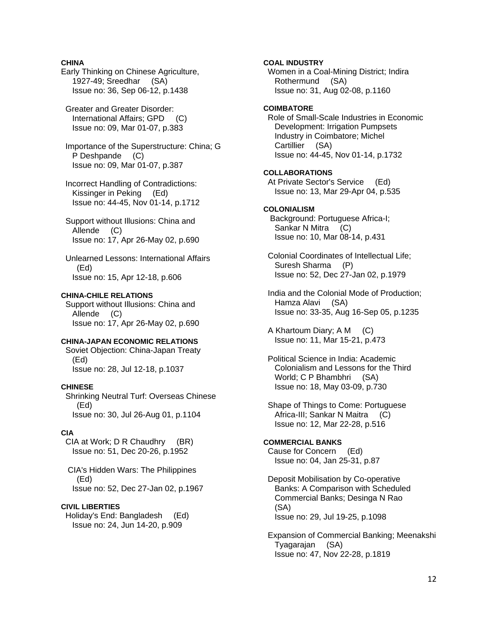# **CHINA**

Early Thinking on Chinese Agriculture, 1927-49; Sreedhar (SA) Issue no: 36, Sep 06-12, p.1438

 Greater and Greater Disorder: International Affairs; GPD (C) Issue no: 09, Mar 01-07, p.383

 Importance of the Superstructure: China; G P Deshpande (C) Issue no: 09, Mar 01-07, p.387

 Incorrect Handling of Contradictions: Kissinger in Peking (Ed) Issue no: 44-45, Nov 01-14, p.1712

 Support without Illusions: China and Allende (C) Issue no: 17, Apr 26-May 02, p.690

 Unlearned Lessons: International Affairs (Ed) Issue no: 15, Apr 12-18, p.606

# **CHINA-CHILE RELATIONS**

 Support without Illusions: China and Allende (C) Issue no: 17, Apr 26-May 02, p.690

#### **CHINA-JAPAN ECONOMIC RELATIONS**

 Soviet Objection: China-Japan Treaty (Ed) Issue no: 28, Jul 12-18, p.1037

### **CHINESE**

 Shrinking Neutral Turf: Overseas Chinese (Ed) Issue no: 30, Jul 26-Aug 01, p.1104

### **CIA**

 CIA at Work; D R Chaudhry (BR) Issue no: 51, Dec 20-26, p.1952

 CIA's Hidden Wars: The Philippines (Ed) Issue no: 52, Dec 27-Jan 02, p.1967

## **CIVIL LIBERTIES**

 Holiday's End: Bangladesh (Ed) Issue no: 24, Jun 14-20, p.909

**COAL INDUSTRY**  Women in a Coal-Mining District; Indira Rothermund (SA) Issue no: 31, Aug 02-08, p.1160 **COIMBATORE**  Role of Small-Scale Industries in Economic Development: Irrigation Pumpsets Industry in Coimbatore; Michel Cartillier (SA) Issue no: 44-45, Nov 01-14, p.1732 **COLLABORATIONS**  At Private Sector's Service (Ed) Issue no: 13, Mar 29-Apr 04, p.535 **COLONIALISM**  Background: Portuguese Africa-I; Sankar N Mitra (C) Issue no: 10, Mar 08-14, p.431 Colonial Coordinates of Intellectual Life; Suresh Sharma (P) Issue no: 52, Dec 27-Jan 02, p.1979 India and the Colonial Mode of Production; Hamza Alavi (SA) Issue no: 33-35, Aug 16-Sep 05, p.1235 A Khartoum Diary; A M (C) Issue no: 11, Mar 15-21, p.473 Political Science in India: Academic Colonialism and Lessons for the Third World; C P Bhambhri (SA) Issue no: 18, May 03-09, p.730 Shape of Things to Come: Portuguese Africa-III; Sankar N Maitra (C) Issue no: 12, Mar 22-28, p.516 **COMMERCIAL BANKS** 

 Cause for Concern (Ed) Issue no: 04, Jan 25-31, p.87

 Deposit Mobilisation by Co-operative Banks: A Comparison with Scheduled Commercial Banks; Desinga N Rao (SA) Issue no: 29, Jul 19-25, p.1098

 Expansion of Commercial Banking; Meenakshi Tyagarajan (SA) Issue no: 47, Nov 22-28, p.1819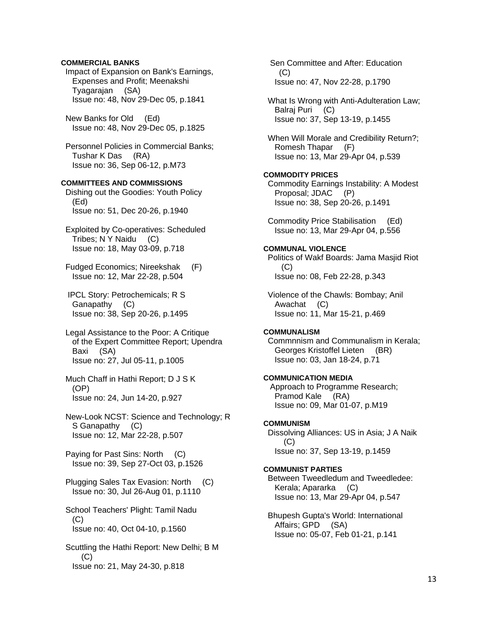## **COMMERCIAL BANKS**

 Impact of Expansion on Bank's Earnings, Expenses and Profit; Meenakshi Tyagarajan (SA) Issue no: 48, Nov 29-Dec 05, p.1841

 New Banks for Old (Ed) Issue no: 48, Nov 29-Dec 05, p.1825

 Personnel Policies in Commercial Banks; Tushar K Das (RA) Issue no: 36, Sep 06-12, p.M73

# **COMMITTEES AND COMMISSIONS**

 Dishing out the Goodies: Youth Policy (Ed) Issue no: 51, Dec 20-26, p.1940

- Exploited by Co-operatives: Scheduled Tribes; N Y Naidu (C) Issue no: 18, May 03-09, p.718
- Fudged Economics; Nireekshak (F) Issue no: 12, Mar 22-28, p.504

 IPCL Story: Petrochemicals; R S Ganapathy (C) Issue no: 38, Sep 20-26, p.1495

- Legal Assistance to the Poor: A Critique of the Expert Committee Report; Upendra Baxi (SA) Issue no: 27, Jul 05-11, p.1005
- Much Chaff in Hathi Report; D J S K (OP) Issue no: 24, Jun 14-20, p.927

 New-Look NCST: Science and Technology; R S Ganapathy (C) Issue no: 12, Mar 22-28, p.507

 Paying for Past Sins: North (C) Issue no: 39, Sep 27-Oct 03, p.1526

 Plugging Sales Tax Evasion: North (C) Issue no: 30, Jul 26-Aug 01, p.1110

 School Teachers' Plight: Tamil Nadu (C) Issue no: 40, Oct 04-10, p.1560

 Scuttling the Hathi Report: New Delhi; B M (C) Issue no: 21, May 24-30, p.818

 Sen Committee and After: Education (C) Issue no: 47, Nov 22-28, p.1790

 What Is Wrong with Anti-Adulteration Law; Balraj Puri (C) Issue no: 37, Sep 13-19, p.1455

 When Will Morale and Credibility Return?; Romesh Thapar (F) Issue no: 13, Mar 29-Apr 04, p.539

## **COMMODITY PRICES**

 Commodity Earnings Instability: A Modest Proposal; JDAC (P) Issue no: 38, Sep 20-26, p.1491

 Commodity Price Stabilisation (Ed) Issue no: 13, Mar 29-Apr 04, p.556

#### **COMMUNAL VIOLENCE**

 Politics of Wakf Boards: Jama Masjid Riot (C) Issue no: 08, Feb 22-28, p.343

 Violence of the Chawls: Bombay; Anil Awachat (C) Issue no: 11, Mar 15-21, p.469

### **COMMUNALISM**

 Commnnism and Communalism in Kerala; Georges Kristoffel Lieten (BR) Issue no: 03, Jan 18-24, p.71

### **COMMUNICATION MEDIA**

 Approach to Programme Research; Pramod Kale (RA) Issue no: 09, Mar 01-07, p.M19

# **COMMUNISM**

 Dissolving Alliances: US in Asia; J A Naik (C) Issue no: 37, Sep 13-19, p.1459

### **COMMUNIST PARTIES**

 Between Tweedledum and Tweedledee: Kerala; Apararka (C) Issue no: 13, Mar 29-Apr 04, p.547

 Bhupesh Gupta's World: International Affairs; GPD (SA) Issue no: 05-07, Feb 01-21, p.141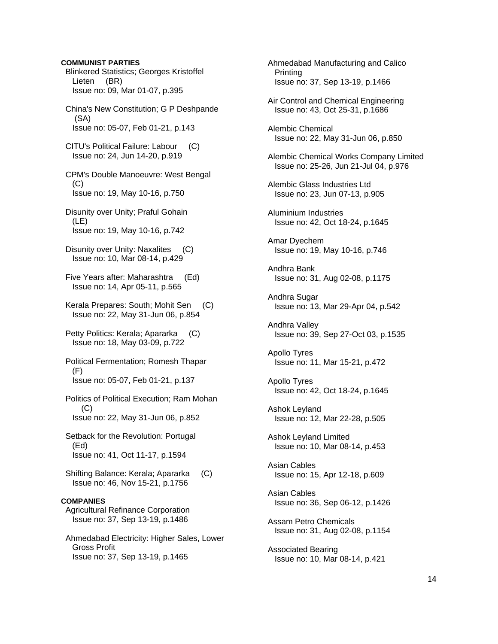**COMMUNIST PARTIES**  Blinkered Statistics; Georges Kristoffel Lieten (BR) Issue no: 09, Mar 01-07, p.395 China's New Constitution; G P Deshpande (SA) Issue no: 05-07, Feb 01-21, p.143 CITU's Political Failure: Labour (C) Issue no: 24, Jun 14-20, p.919 CPM's Double Manoeuvre: West Bengal  $(C)$  Issue no: 19, May 10-16, p.750 Disunity over Unity; Praful Gohain (LE) Issue no: 19, May 10-16, p.742 Disunity over Unity: Naxalites (C) Issue no: 10, Mar 08-14, p.429 Five Years after: Maharashtra (Ed) Issue no: 14, Apr 05-11, p.565 Kerala Prepares: South; Mohit Sen (C) Issue no: 22, May 31-Jun 06, p.854 Petty Politics: Kerala; Apararka (C) Issue no: 18, May 03-09, p.722 Political Fermentation; Romesh Thapar (F) Issue no: 05-07, Feb 01-21, p.137 Politics of Political Execution; Ram Mohan (C) Issue no: 22, May 31-Jun 06, p.852 Setback for the Revolution: Portugal (Ed) Issue no: 41, Oct 11-17, p.1594 Shifting Balance: Kerala; Apararka (C) Issue no: 46, Nov 15-21, p.1756 **COMPANIES**  Agricultural Refinance Corporation Issue no: 37, Sep 13-19, p.1486 Ahmedabad Electricity: Higher Sales, Lower Gross Profit Issue no: 37, Sep 13-19, p.1465

 Ahmedabad Manufacturing and Calico Printing Issue no: 37, Sep 13-19, p.1466 Air Control and Chemical Engineering Issue no: 43, Oct 25-31, p.1686 Alembic Chemical Issue no: 22, May 31-Jun 06, p.850 Alembic Chemical Works Company Limited Issue no: 25-26, Jun 21-Jul 04, p.976 Alembic Glass Industries Ltd Issue no: 23, Jun 07-13, p.905 Aluminium Industries Issue no: 42, Oct 18-24, p.1645 Amar Dyechem Issue no: 19, May 10-16, p.746 Andhra Bank Issue no: 31, Aug 02-08, p.1175 Andhra Sugar Issue no: 13, Mar 29-Apr 04, p.542 Andhra Valley Issue no: 39, Sep 27-Oct 03, p.1535 Apollo Tyres Issue no: 11, Mar 15-21, p.472 Apollo Tyres Issue no: 42, Oct 18-24, p.1645 Ashok Leyland Issue no: 12, Mar 22-28, p.505 Ashok Leyland Limited Issue no: 10, Mar 08-14, p.453 Asian Cables Issue no: 15, Apr 12-18, p.609 Asian Cables Issue no: 36, Sep 06-12, p.1426 Assam Petro Chemicals Issue no: 31, Aug 02-08, p.1154 Associated Bearing Issue no: 10, Mar 08-14, p.421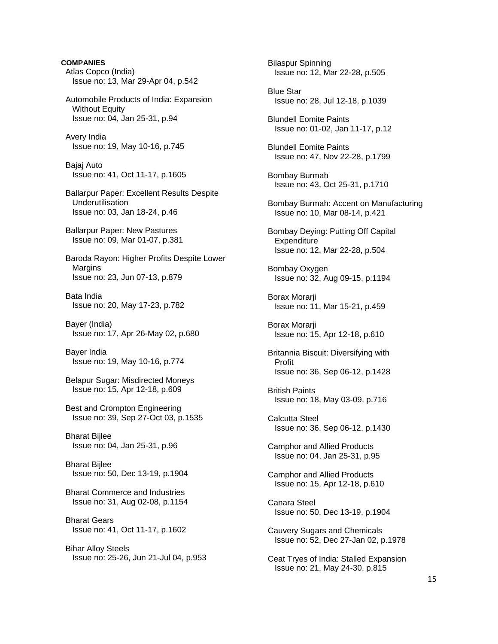**COMPANIES**  Atlas Copco (India) Issue no: 13, Mar 29-Apr 04, p.542 Automobile Products of India: Expansion **Without Equity**  Issue no: 04, Jan 25-31, p.94 Avery India Issue no: 19, May 10-16, p.745 Bajaj Auto Issue no: 41, Oct 11-17, p.1605 Ballarpur Paper: Excellent Results Despite Underutilisation Issue no: 03, Jan 18-24, p.46 Ballarpur Paper: New Pastures Issue no: 09, Mar 01-07, p.381 Baroda Rayon: Higher Profits Despite Lower Margins Issue no: 23, Jun 07-13, p.879 Bata India Issue no: 20, May 17-23, p.782 Bayer (India) Issue no: 17, Apr 26-May 02, p.680 Bayer India Issue no: 19, May 10-16, p.774 Belapur Sugar: Misdirected Moneys Issue no: 15, Apr 12-18, p.609 Best and Crompton Engineering Issue no: 39, Sep 27-Oct 03, p.1535 Bharat Bijlee Issue no: 04, Jan 25-31, p.96 Bharat Bijlee Issue no: 50, Dec 13-19, p.1904 Bharat Commerce and Industries Issue no: 31, Aug 02-08, p.1154 Bharat Gears Issue no: 41, Oct 11-17, p.1602 Bihar Alloy Steels Issue no: 25-26, Jun 21-Jul 04, p.953

 Bilaspur Spinning Issue no: 12, Mar 22-28, p.505 Blue Star Issue no: 28, Jul 12-18, p.1039 Blundell Eomite Paints Issue no: 01-02, Jan 11-17, p.12 Blundell Eomite Paints Issue no: 47, Nov 22-28, p.1799 Bombay Burmah Issue no: 43, Oct 25-31, p.1710 Bombay Burmah: Accent on Manufacturing Issue no: 10, Mar 08-14, p.421 Bombay Deying: Putting Off Capital **Expenditure**  Issue no: 12, Mar 22-28, p.504 Bombay Oxygen Issue no: 32, Aug 09-15, p.1194 Borax Morarji Issue no: 11, Mar 15-21, p.459 Borax Morarji Issue no: 15, Apr 12-18, p.610 Britannia Biscuit: Diversifying with Profit Issue no: 36, Sep 06-12, p.1428 British Paints Issue no: 18, May 03-09, p.716 Calcutta Steel Issue no: 36, Sep 06-12, p.1430 Camphor and Allied Products Issue no: 04, Jan 25-31, p.95 Camphor and Allied Products Issue no: 15, Apr 12-18, p.610 Canara Steel Issue no: 50, Dec 13-19, p.1904 Cauvery Sugars and Chemicals Issue no: 52, Dec 27-Jan 02, p.1978 Ceat Tryes of India: Stalled Expansion Issue no: 21, May 24-30, p.815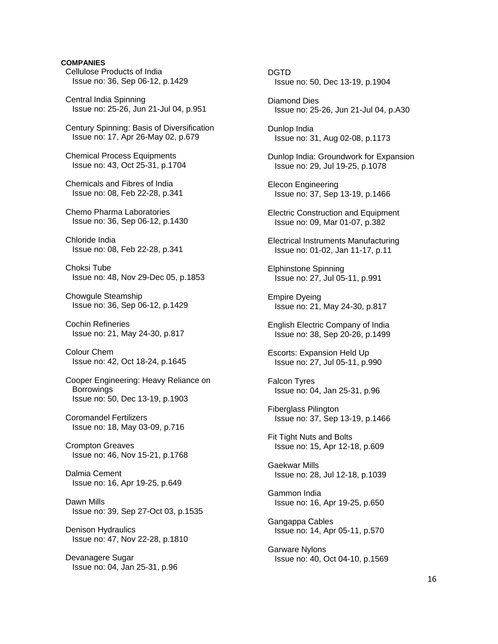# **COMPANIES**

 Cellulose Products of India Issue no: 36, Sep 06-12, p.1429

 Central India Spinning Issue no: 25-26, Jun 21-Jul 04, p.951

 Century Spinning: Basis of Diversification Issue no: 17, Apr 26-May 02, p.679

 Chemical Process Equipments Issue no: 43, Oct 25-31, p.1704

 Chemicals and Fibres of India Issue no: 08, Feb 22-28, p.341

 Chemo Pharma Laboratories Issue no: 36, Sep 06-12, p.1430

 Chloride India Issue no: 08, Feb 22-28, p.341

 Choksi Tube Issue no: 48, Nov 29-Dec 05, p.1853

 Chowgule Steamship Issue no: 36, Sep 06-12, p.1429

 Cochin Refineries Issue no: 21, May 24-30, p.817

 Colour Chem Issue no: 42, Oct 18-24, p.1645

 Cooper Engineering: Heavy Reliance on **Borrowings** Issue no: 50, Dec 13-19, p.1903

 Coromandel Fertilizers Issue no: 18, May 03-09, p.716

 Crompton Greaves Issue no: 46, Nov 15-21, p.1768

 Dalmia Cement Issue no: 16, Apr 19-25, p.649

 Dawn Mills Issue no: 39, Sep 27-Oct 03, p.1535

 Denison Hydraulics Issue no: 47, Nov 22-28, p.1810

 Devanagere Sugar Issue no: 04, Jan 25-31, p.96  DGTD Issue no: 50, Dec 13-19, p.1904

 Diamond Dies Issue no: 25-26, Jun 21-Jul 04, p.A30

 Dunlop India Issue no: 31, Aug 02-08, p.1173

 Dunlop India: Groundwork for Expansion Issue no: 29, Jul 19-25, p.1078

 Elecon Engineering Issue no: 37, Sep 13-19, p.1466

 Electric Construction and Equipment Issue no: 09, Mar 01-07, p.382

 Electrical Instruments Manufacturing Issue no: 01-02, Jan 11-17, p.11

 Elphinstone Spinning Issue no: 27, Jul 05-11, p.991

 Empire Dyeing Issue no: 21, May 24-30, p.817

 English Electric Company of India Issue no: 38, Sep 20-26, p.1499

 Escorts: Expansion Held Up Issue no: 27, Jul 05-11, p.990

 Falcon Tyres Issue no: 04, Jan 25-31, p.96

 Fiberglass Pilington Issue no: 37, Sep 13-19, p.1466

 Fit Tight Nuts and Bolts Issue no: 15, Apr 12-18, p.609

 Gaekwar Mills Issue no: 28, Jul 12-18, p.1039

 Gammon India Issue no: 16, Apr 19-25, p.650

 Gangappa Cables Issue no: 14, Apr 05-11, p.570

 Garware Nylons Issue no: 40, Oct 04-10, p.1569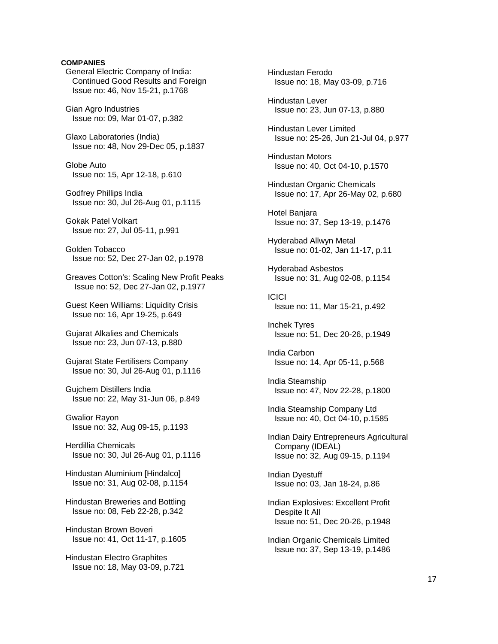# **COMPANIES**

 General Electric Company of India: Continued Good Results and Foreign Issue no: 46, Nov 15-21, p.1768

 Gian Agro Industries Issue no: 09, Mar 01-07, p.382

 Glaxo Laboratories (India) Issue no: 48, Nov 29-Dec 05, p.1837

 Globe Auto Issue no: 15, Apr 12-18, p.610

 Godfrey Phillips India Issue no: 30, Jul 26-Aug 01, p.1115

 Gokak Patel Volkart Issue no: 27, Jul 05-11, p.991

 Golden Tobacco Issue no: 52, Dec 27-Jan 02, p.1978

 Greaves Cotton's: Scaling New Profit Peaks Issue no: 52, Dec 27-Jan 02, p.1977

 Guest Keen Williams: Liquidity Crisis Issue no: 16, Apr 19-25, p.649

 Gujarat Alkalies and Chemicals Issue no: 23, Jun 07-13, p.880

 Gujarat State Fertilisers Company Issue no: 30, Jul 26-Aug 01, p.1116

 Gujchem Distillers India Issue no: 22, May 31-Jun 06, p.849

 Gwalior Rayon Issue no: 32, Aug 09-15, p.1193

 Herdillia Chemicals Issue no: 30, Jul 26-Aug 01, p.1116

 Hindustan Aluminium [Hindalco] Issue no: 31, Aug 02-08, p.1154

 Hindustan Breweries and Bottling Issue no: 08, Feb 22-28, p.342

 Hindustan Brown Boveri Issue no: 41, Oct 11-17, p.1605

 Hindustan Electro Graphites Issue no: 18, May 03-09, p.721  Hindustan Ferodo Issue no: 18, May 03-09, p.716 Hindustan Lever Issue no: 23, Jun 07-13, p.880 Hindustan Lever Limited Issue no: 25-26, Jun 21-Jul 04, p.977 Hindustan Motors Issue no: 40, Oct 04-10, p.1570 Hindustan Organic Chemicals Issue no: 17, Apr 26-May 02, p.680 Hotel Banjara Issue no: 37, Sep 13-19, p.1476 Hyderabad Allwyn Metal Issue no: 01-02, Jan 11-17, p.11 Hyderabad Asbestos Issue no: 31, Aug 02-08, p.1154 **ICICI**  Issue no: 11, Mar 15-21, p.492 Inchek Tyres Issue no: 51, Dec 20-26, p.1949 India Carbon Issue no: 14, Apr 05-11, p.568 India Steamship Issue no: 47, Nov 22-28, p.1800 India Steamship Company Ltd Issue no: 40, Oct 04-10, p.1585 Indian Dairy Entrepreneurs Agricultural Company (IDEAL) Issue no: 32, Aug 09-15, p.1194 Indian Dyestuff Issue no: 03, Jan 18-24, p.86 Indian Explosives: Excellent Profit Despite It All Issue no: 51, Dec 20-26, p.1948 Indian Organic Chemicals Limited Issue no: 37, Sep 13-19, p.1486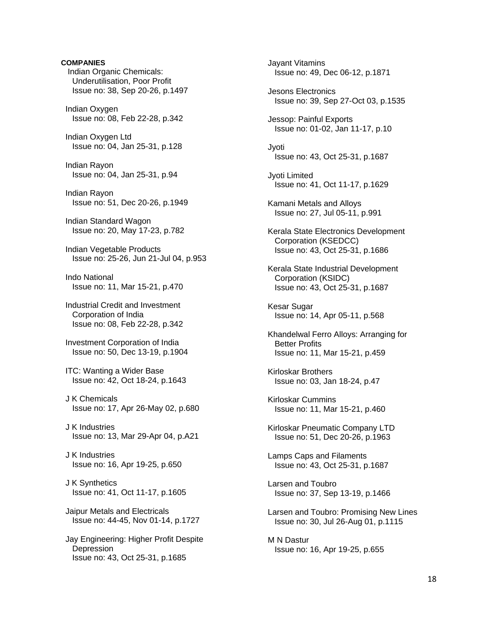**COMPANIES**  Indian Organic Chemicals: Underutilisation, Poor Profit Issue no: 38, Sep 20-26, p.1497 Indian Oxygen Issue no: 08, Feb 22-28, p.342 Indian Oxygen Ltd Issue no: 04, Jan 25-31, p.128 Indian Rayon Issue no: 04, Jan 25-31, p.94 Indian Rayon Issue no: 51, Dec 20-26, p.1949 Indian Standard Wagon Issue no: 20, May 17-23, p.782 Indian Vegetable Products Issue no: 25-26, Jun 21-Jul 04, p.953 Indo National Issue no: 11, Mar 15-21, p.470 Industrial Credit and Investment Corporation of India Issue no: 08, Feb 22-28, p.342 Investment Corporation of India Issue no: 50, Dec 13-19, p.1904 ITC: Wanting a Wider Base Issue no: 42, Oct 18-24, p.1643 J K Chemicals Issue no: 17, Apr 26-May 02, p.680 J K Industries Issue no: 13, Mar 29-Apr 04, p.A21 J K Industries Issue no: 16, Apr 19-25, p.650 J K Synthetics Issue no: 41, Oct 11-17, p.1605 Jaipur Metals and Electricals Issue no: 44-45, Nov 01-14, p.1727 Jay Engineering: Higher Profit Despite **Depression** 

Issue no: 43, Oct 25-31, p.1685

 Jayant Vitamins Issue no: 49, Dec 06-12, p.1871 Jesons Electronics Issue no: 39, Sep 27-Oct 03, p.1535 Jessop: Painful Exports Issue no: 01-02, Jan 11-17, p.10 Jyoti Issue no: 43, Oct 25-31, p.1687 Jyoti Limited Issue no: 41, Oct 11-17, p.1629 Kamani Metals and Alloys Issue no: 27, Jul 05-11, p.991 Kerala State Electronics Development Corporation (KSEDCC) Issue no: 43, Oct 25-31, p.1686 Kerala State Industrial Development Corporation (KSIDC) Issue no: 43, Oct 25-31, p.1687 Kesar Sugar Issue no: 14, Apr 05-11, p.568 Khandelwal Ferro Alloys: Arranging for Better Profits Issue no: 11, Mar 15-21, p.459 Kirloskar Brothers Issue no: 03, Jan 18-24, p.47 Kirloskar Cummins Issue no: 11, Mar 15-21, p.460 Kirloskar Pneumatic Company LTD Issue no: 51, Dec 20-26, p.1963 Lamps Caps and Filaments Issue no: 43, Oct 25-31, p.1687 Larsen and Toubro Issue no: 37, Sep 13-19, p.1466 Larsen and Toubro: Promising New Lines Issue no: 30, Jul 26-Aug 01, p.1115 M N Dastur Issue no: 16, Apr 19-25, p.655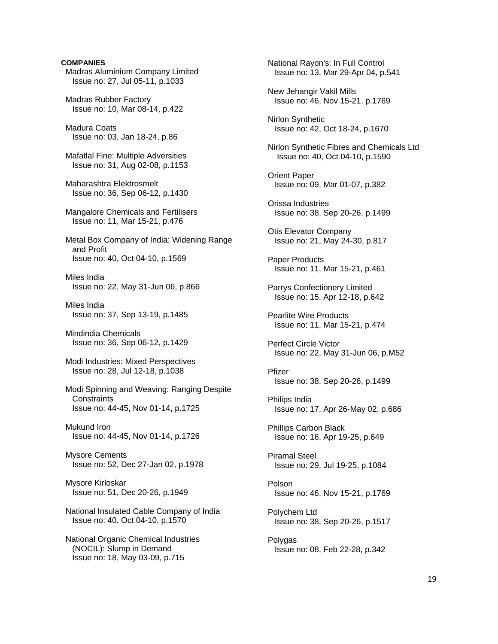**COMPANIES**  Madras Aluminium Company Limited Issue no: 27, Jul 05-11, p.1033 Madras Rubber Factory Issue no: 10, Mar 08-14, p.422 Madura Coats Issue no: 03, Jan 18-24, p.86 Mafatlal Fine: Multiple Adversities Issue no: 31, Aug 02-08, p.1153 Maharashtra Elektrosmelt Issue no: 36, Sep 06-12, p.1430 Mangalore Chemicals and Fertilisers Issue no: 11, Mar 15-21, p.476 Metal Box Company of India: Widening Range and Profit Issue no: 40, Oct 04-10, p.1569 Miles India Issue no: 22, May 31-Jun 06, p.866 Miles India Issue no: 37, Sep 13-19, p.1485 Mindindia Chemicals Issue no: 36, Sep 06-12, p.1429 Modi Industries: Mixed Perspectives Issue no: 28, Jul 12-18, p.1038 Modi Spinning and Weaving: Ranging Despite **Constraints**  Issue no: 44-45, Nov 01-14, p.1725 Mukund Iron Issue no: 44-45, Nov 01-14, p.1726 Mysore Cements Issue no: 52, Dec 27-Jan 02, p.1978 Mysore Kirloskar Issue no: 51, Dec 20-26, p.1949 National Insulated Cable Company of India Issue no: 40, Oct 04-10, p.1570 National Organic Chemical Industries (NOCIL): Slump in Demand Issue no: 18, May 03-09, p.715

 National Rayon's: In Full Control Issue no: 13, Mar 29-Apr 04, p.541 New Jehangir Vakil Mills Issue no: 46, Nov 15-21, p.1769 Nirlon Synthetic Issue no: 42, Oct 18-24, p.1670 Nirlon Synthetic Fibres and Chemicals Ltd Issue no: 40, Oct 04-10, p.1590 Orient Paper Issue no: 09, Mar 01-07, p.382 Orissa Industries Issue no: 38, Sep 20-26, p.1499 Otis Elevator Company Issue no: 21, May 24-30, p.817 Paper Products Issue no: 11, Mar 15-21, p.461 Parrys Confectionery Limited Issue no: 15, Apr 12-18, p.642 Pearlite Wire Products Issue no: 11, Mar 15-21, p.474 Perfect Circle Victor Issue no: 22, May 31-Jun 06, p.M52 Pfizer Issue no: 38, Sep 20-26, p.1499 Philips India Issue no: 17, Apr 26-May 02, p.686 Phillips Carbon Black Issue no: 16, Apr 19-25, p.649 Piramal Steel Issue no: 29, Jul 19-25, p.1084 Polson Issue no: 46, Nov 15-21, p.1769 Polychem Ltd Issue no: 38, Sep 20-26, p.1517 Polygas Issue no: 08, Feb 22-28, p.342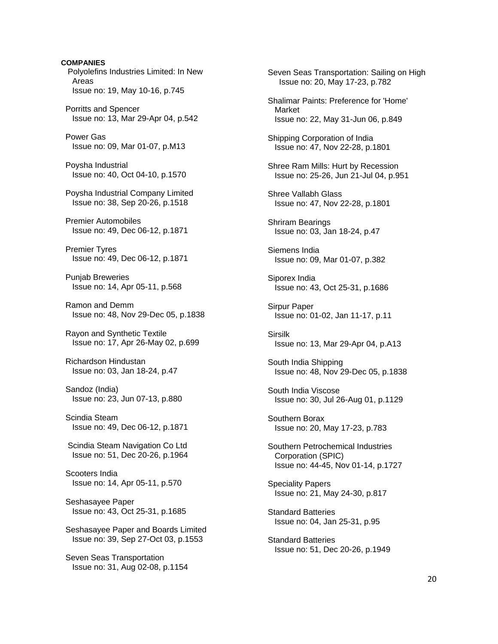**COMPANIES**  Polyolefins Industries Limited: In New Areas Issue no: 19, May 10-16, p.745 Porritts and Spencer Issue no: 13, Mar 29-Apr 04, p.542 Power Gas Issue no: 09, Mar 01-07, p.M13 Poysha Industrial Issue no: 40, Oct 04-10, p.1570 Poysha Industrial Company Limited Issue no: 38, Sep 20-26, p.1518 Premier Automobiles Issue no: 49, Dec 06-12, p.1871 Premier Tyres Issue no: 49, Dec 06-12, p.1871 Punjab Breweries Issue no: 14, Apr 05-11, p.568 Ramon and Demm Issue no: 48, Nov 29-Dec 05, p.1838 Rayon and Synthetic Textile Issue no: 17, Apr 26-May 02, p.699 Richardson Hindustan Issue no: 03, Jan 18-24, p.47 Sandoz (India) Issue no: 23, Jun 07-13, p.880 Scindia Steam Issue no: 49, Dec 06-12, p.1871 Scindia Steam Navigation Co Ltd Issue no: 51, Dec 20-26, p.1964 Scooters India Issue no: 14, Apr 05-11, p.570 Seshasayee Paper Issue no: 43, Oct 25-31, p.1685 Seshasayee Paper and Boards Limited Issue no: 39, Sep 27-Oct 03, p.1553 Seven Seas Transportation Issue no: 31, Aug 02-08, p.1154

 Seven Seas Transportation: Sailing on High Issue no: 20, May 17-23, p.782 Shalimar Paints: Preference for 'Home' Market Issue no: 22, May 31-Jun 06, p.849 Shipping Corporation of India Issue no: 47, Nov 22-28, p.1801 Shree Ram Mills: Hurt by Recession Issue no: 25-26, Jun 21-Jul 04, p.951 Shree Vallabh Glass Issue no: 47, Nov 22-28, p.1801 Shriram Bearings Issue no: 03, Jan 18-24, p.47 Siemens India Issue no: 09, Mar 01-07, p.382 Siporex India Issue no: 43, Oct 25-31, p.1686 Sirpur Paper Issue no: 01-02, Jan 11-17, p.11 Sirsilk Issue no: 13, Mar 29-Apr 04, p.A13 South India Shipping Issue no: 48, Nov 29-Dec 05, p.1838 South India Viscose Issue no: 30, Jul 26-Aug 01, p.1129 Southern Borax Issue no: 20, May 17-23, p.783 Southern Petrochemical Industries Corporation (SPIC) Issue no: 44-45, Nov 01-14, p.1727 Speciality Papers Issue no: 21, May 24-30, p.817 Standard Batteries Issue no: 04, Jan 25-31, p.95 Standard Batteries Issue no: 51, Dec 20-26, p.1949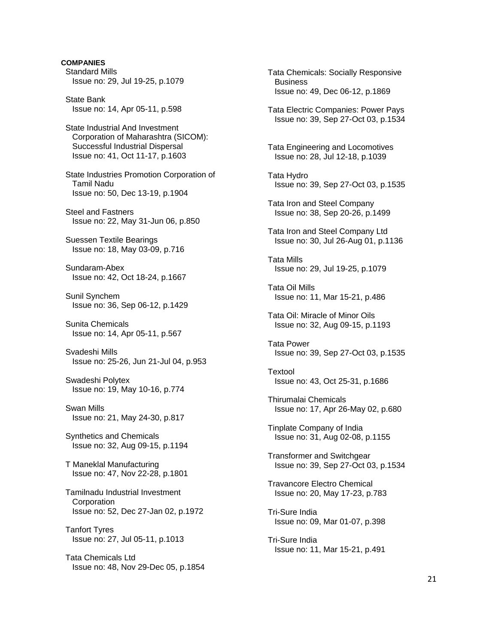**COMPANIES**  Standard Mills Issue no: 29, Jul 19-25, p.1079 State Bank Issue no: 14, Apr 05-11, p.598 State Industrial And Investment Corporation of Maharashtra (SICOM): Successful Industrial Dispersal Issue no: 41, Oct 11-17, p.1603 State Industries Promotion Corporation of Tamil Nadu Issue no: 50, Dec 13-19, p.1904 Steel and Fastners Issue no: 22, May 31-Jun 06, p.850 Suessen Textile Bearings Issue no: 18, May 03-09, p.716 Sundaram-Abex Issue no: 42, Oct 18-24, p.1667 Sunil Synchem Issue no: 36, Sep 06-12, p.1429 Sunita Chemicals Issue no: 14, Apr 05-11, p.567 Svadeshi Mills Issue no: 25-26, Jun 21-Jul 04, p.953 Swadeshi Polytex Issue no: 19, May 10-16, p.774 Swan Mills Issue no: 21, May 24-30, p.817 Synthetics and Chemicals Issue no: 32, Aug 09-15, p.1194 T Maneklal Manufacturing Issue no: 47, Nov 22-28, p.1801 Tamilnadu Industrial Investment **Corporation**  Issue no: 52, Dec 27-Jan 02, p.1972 Tanfort Tyres Issue no: 27, Jul 05-11, p.1013 Tata Chemicals Ltd Issue no: 48, Nov 29-Dec 05, p.1854

 Tata Chemicals: Socially Responsive **Business**  Issue no: 49, Dec 06-12, p.1869 Tata Electric Companies: Power Pays Issue no: 39, Sep 27-Oct 03, p.1534 Tata Engineering and Locomotives Issue no: 28, Jul 12-18, p.1039 Tata Hydro Issue no: 39, Sep 27-Oct 03, p.1535 Tata Iron and Steel Company Issue no: 38, Sep 20-26, p.1499 Tata Iron and Steel Company Ltd Issue no: 30, Jul 26-Aug 01, p.1136 Tata Mills Issue no: 29, Jul 19-25, p.1079 Tata Oil Mills Issue no: 11, Mar 15-21, p.486 Tata Oil: Miracle of Minor Oils Issue no: 32, Aug 09-15, p.1193 Tata Power Issue no: 39, Sep 27-Oct 03, p.1535 Textool Issue no: 43, Oct 25-31, p.1686 Thirumalai Chemicals Issue no: 17, Apr 26-May 02, p.680 Tinplate Company of India Issue no: 31, Aug 02-08, p.1155 Transformer and Switchgear Issue no: 39, Sep 27-Oct 03, p.1534 Travancore Electro Chemical Issue no: 20, May 17-23, p.783 Tri-Sure India Issue no: 09, Mar 01-07, p.398 Tri-Sure India Issue no: 11, Mar 15-21, p.491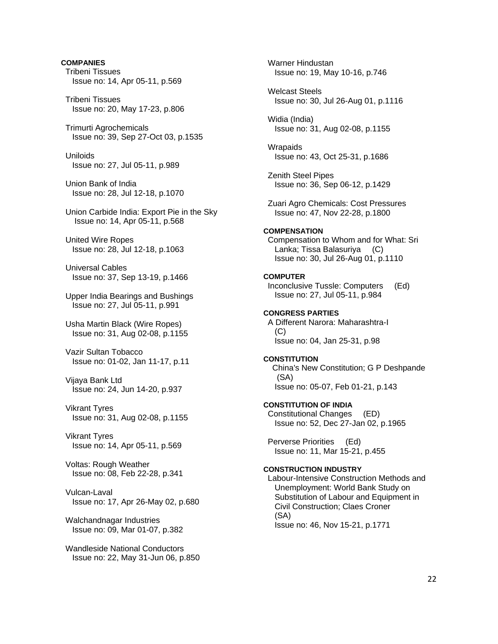**COMPANIES**  Tribeni Tissues Issue no: 14, Apr 05-11, p.569 Tribeni Tissues Issue no: 20, May 17-23, p.806 Trimurti Agrochemicals Issue no: 39, Sep 27-Oct 03, p.1535 Uniloids Issue no: 27, Jul 05-11, p.989 Union Bank of India Issue no: 28, Jul 12-18, p.1070 Union Carbide India: Export Pie in the Sky Issue no: 14, Apr 05-11, p.568 United Wire Ropes Issue no: 28, Jul 12-18, p.1063 Universal Cables Issue no: 37, Sep 13-19, p.1466 Upper India Bearings and Bushings Issue no: 27, Jul 05-11, p.991 Usha Martin Black (Wire Ropes) Issue no: 31, Aug 02-08, p.1155 Vazir Sultan Tobacco Issue no: 01-02, Jan 11-17, p.11 Vijaya Bank Ltd Issue no: 24, Jun 14-20, p.937 Vikrant Tyres Issue no: 31, Aug 02-08, p.1155 Vikrant Tyres Issue no: 14, Apr 05-11, p.569 Voltas: Rough Weather Issue no: 08, Feb 22-28, p.341 Vulcan-Laval Issue no: 17, Apr 26-May 02, p.680 Walchandnagar Industries Issue no: 09, Mar 01-07, p.382 Wandleside National Conductors Issue no: 22, May 31-Jun 06, p.850

 Warner Hindustan Issue no: 19, May 10-16, p.746 Welcast Steels Issue no: 30, Jul 26-Aug 01, p.1116 Widia (India) Issue no: 31, Aug 02-08, p.1155 **Wrapaids**  Issue no: 43, Oct 25-31, p.1686 Zenith Steel Pipes Issue no: 36, Sep 06-12, p.1429 Zuari Agro Chemicals: Cost Pressures Issue no: 47, Nov 22-28, p.1800 **COMPENSATION**  Compensation to Whom and for What: Sri Lanka; Tissa Balasuriya (C) Issue no: 30, Jul 26-Aug 01, p.1110 **COMPUTER**  Inconclusive Tussle: Computers (Ed) Issue no: 27, Jul 05-11, p.984 **CONGRESS PARTIES**  A Different Narora: Maharashtra-I  $(C)$  Issue no: 04, Jan 25-31, p.98 **CONSTITUTION**  China's New Constitution; G P Deshpande (SA) Issue no: 05-07, Feb 01-21, p.143 **CONSTITUTION OF INDIA**  Constitutional Changes (ED) Issue no: 52, Dec 27-Jan 02, p.1965 Perverse Priorities (Ed) Issue no: 11, Mar 15-21, p.455 **CONSTRUCTION INDUSTRY**  Labour-Intensive Construction Methods and Unemployment: World Bank Study on Substitution of Labour and Equipment in Civil Construction; Claes Croner (SA) Issue no: 46, Nov 15-21, p.1771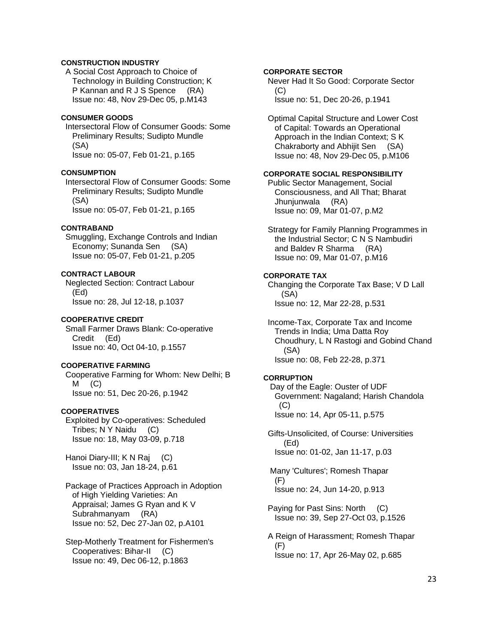# **CONSTRUCTION INDUSTRY**

 A Social Cost Approach to Choice of Technology in Building Construction; K P Kannan and R J S Spence (RA) Issue no: 48, Nov 29-Dec 05, p.M143

### **CONSUMER GOODS**

 Intersectoral Flow of Consumer Goods: Some Preliminary Results; Sudipto Mundle (SA) Issue no: 05-07, Feb 01-21, p.165

#### **CONSUMPTION**

 Intersectoral Flow of Consumer Goods: Some Preliminary Results; Sudipto Mundle (SA) Issue no: 05-07, Feb 01-21, p.165

### **CONTRABAND**

 Smuggling, Exchange Controls and Indian Economy; Sunanda Sen (SA) Issue no: 05-07, Feb 01-21, p.205

### **CONTRACT LABOUR**

 Neglected Section: Contract Labour (Ed) Issue no: 28, Jul 12-18, p.1037

### **COOPERATIVE CREDIT**

 Small Farmer Draws Blank: Co-operative Credit (Ed) Issue no: 40, Oct 04-10, p.1557

### **COOPERATIVE FARMING**

 Cooperative Farming for Whom: New Delhi; B  $M$  (C) Issue no: 51, Dec 20-26, p.1942

# **COOPERATIVES**

 Exploited by Co-operatives: Scheduled Tribes; N Y Naidu (C) Issue no: 18, May 03-09, p.718

Hanoi Diary-III; K N Raj (C) Issue no: 03, Jan 18-24, p.61

 Package of Practices Approach in Adoption of High Yielding Varieties: An Appraisal; James G Ryan and K V Subrahmanyam (RA) Issue no: 52, Dec 27-Jan 02, p.A101

 Step-Motherly Treatment for Fishermen's Cooperatives: Bihar-II (C) Issue no: 49, Dec 06-12, p.1863

# **CORPORATE SECTOR**

 Never Had It So Good: Corporate Sector (C) Issue no: 51, Dec 20-26, p.1941

 Optimal Capital Structure and Lower Cost of Capital: Towards an Operational Approach in the Indian Context; S K Chakraborty and Abhijit Sen (SA) Issue no: 48, Nov 29-Dec 05, p.M106

# **CORPORATE SOCIAL RESPONSIBILITY**

 Public Sector Management, Social Consciousness, and All That; Bharat Jhunjunwala (RA) Issue no: 09, Mar 01-07, p.M2

 Strategy for Family Planning Programmes in the Industrial Sector; C N S Nambudiri and Baldev R Sharma (RA) Issue no: 09, Mar 01-07, p.M16

#### **CORPORATE TAX**

 Changing the Corporate Tax Base; V D Lall (SA) Issue no: 12, Mar 22-28, p.531

 Income-Tax, Corporate Tax and Income Trends in India; Uma Datta Roy Choudhury, L N Rastogi and Gobind Chand (SA) Issue no: 08, Feb 22-28, p.371

#### **CORRUPTION**

 Day of the Eagle: Ouster of UDF Government: Nagaland; Harish Chandola  $(C)$ Issue no: 14, Apr 05-11, p.575

 Gifts-Unsolicited, of Course: Universities (Ed) Issue no: 01-02, Jan 11-17, p.03

 Many 'Cultures'; Romesh Thapar (F) Issue no: 24, Jun 14-20, p.913

 Paying for Past Sins: North (C) Issue no: 39, Sep 27-Oct 03, p.1526

 A Reign of Harassment; Romesh Thapar  $(F)$ Issue no: 17, Apr 26-May 02, p.685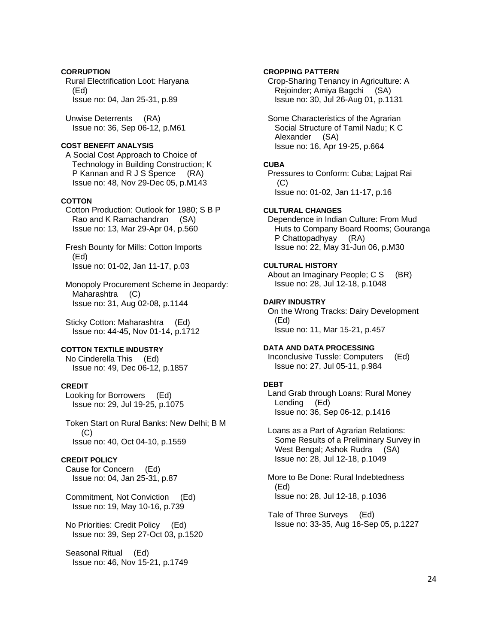# **CORRUPTION**

 Rural Electrification Loot: Haryana (Ed) Issue no: 04, Jan 25-31, p.89

 Unwise Deterrents (RA) Issue no: 36, Sep 06-12, p.M61

# **COST BENEFIT ANALYSIS**

 A Social Cost Approach to Choice of Technology in Building Construction; K P Kannan and R J S Spence (RA) Issue no: 48, Nov 29-Dec 05, p.M143

# **COTTON**

 Cotton Production: Outlook for 1980; S B P Rao and K Ramachandran (SA) Issue no: 13, Mar 29-Apr 04, p.560

 Fresh Bounty for Mills: Cotton Imports (Ed) Issue no: 01-02, Jan 11-17, p.03

 Monopoly Procurement Scheme in Jeopardy: Maharashtra (C) Issue no: 31, Aug 02-08, p.1144

 Sticky Cotton: Maharashtra (Ed) Issue no: 44-45, Nov 01-14, p.1712

# **COTTON TEXTILE INDUSTRY**

 No Cinderella This (Ed) Issue no: 49, Dec 06-12, p.1857

# **CREDIT**

 Looking for Borrowers (Ed) Issue no: 29, Jul 19-25, p.1075

 Token Start on Rural Banks: New Delhi; B M (C) Issue no: 40, Oct 04-10, p.1559

# **CREDIT POLICY**

 Cause for Concern (Ed) Issue no: 04, Jan 25-31, p.87

 Commitment, Not Conviction (Ed) Issue no: 19, May 10-16, p.739

 No Priorities: Credit Policy (Ed) Issue no: 39, Sep 27-Oct 03, p.1520

 Seasonal Ritual (Ed) Issue no: 46, Nov 15-21, p.1749

# **CROPPING PATTERN**

 Crop-Sharing Tenancy in Agriculture: A Rejoinder; Amiya Bagchi (SA) Issue no: 30, Jul 26-Aug 01, p.1131

 Some Characteristics of the Agrarian Social Structure of Tamil Nadu; K C Alexander (SA) Issue no: 16, Apr 19-25, p.664

# **CUBA**

 Pressures to Conform: Cuba; Lajpat Rai (C) Issue no: 01-02, Jan 11-17, p.16

# **CULTURAL CHANGES**

 Dependence in Indian Culture: From Mud Huts to Company Board Rooms; Gouranga P Chattopadhyay (RA) Issue no: 22, May 31-Jun 06, p.M30

# **CULTURAL HISTORY**

About an Imaginary People; C S (BR) Issue no: 28, Jul 12-18, p.1048

# **DAIRY INDUSTRY**

 On the Wrong Tracks: Dairy Development (Ed) Issue no: 11, Mar 15-21, p.457

# **DATA AND DATA PROCESSING**

 Inconclusive Tussle: Computers (Ed) Issue no: 27, Jul 05-11, p.984

# **DEBT**

 Land Grab through Loans: Rural Money Lending (Ed) Issue no: 36, Sep 06-12, p.1416

 Loans as a Part of Agrarian Relations: Some Results of a Preliminary Survey in West Bengal; Ashok Rudra (SA) Issue no: 28, Jul 12-18, p.1049

 More to Be Done: Rural Indebtedness (Ed) Issue no: 28, Jul 12-18, p.1036

 Tale of Three Surveys (Ed) Issue no: 33-35, Aug 16-Sep 05, p.1227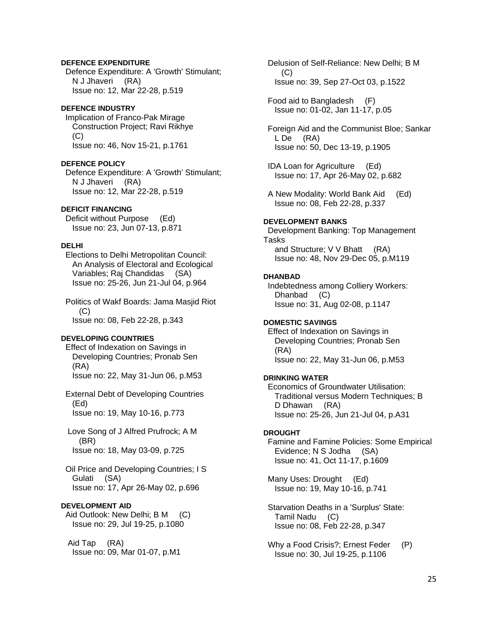# **DEFENCE EXPENDITURE**

 Defence Expenditure: A 'Growth' Stimulant; N J Jhaveri (RA) Issue no: 12, Mar 22-28, p.519

### **DEFENCE INDUSTRY**

 Implication of Franco-Pak Mirage Construction Project; Ravi Rikhye  $(C)$ Issue no: 46, Nov 15-21, p.1761

## **DEFENCE POLICY**

 Defence Expenditure: A 'Growth' Stimulant; N J Jhaveri (RA) Issue no: 12, Mar 22-28, p.519

## **DEFICIT FINANCING**

 Deficit without Purpose (Ed) Issue no: 23, Jun 07-13, p.871

# **DELHI**

 Elections to Delhi Metropolitan Council: An Analysis of Electoral and Ecological Variables; Raj Chandidas (SA) Issue no: 25-26, Jun 21-Jul 04, p.964

 Politics of Wakf Boards: Jama Masjid Riot  $(C)$ Issue no: 08, Feb 22-28, p.343

#### **DEVELOPING COUNTRIES**

 Effect of Indexation on Savings in Developing Countries; Pronab Sen (RA) Issue no: 22, May 31-Jun 06, p.M53

 External Debt of Developing Countries (Ed) Issue no: 19, May 10-16, p.773

 Love Song of J Alfred Prufrock; A M (BR) Issue no: 18, May 03-09, p.725

 Oil Price and Developing Countries; I S Gulati (SA) Issue no: 17, Apr 26-May 02, p.696

# **DEVELOPMENT AID**

Aid Outlook: New Delhi; B M (C) Issue no: 29, Jul 19-25, p.1080

 Aid Tap (RA) Issue no: 09, Mar 01-07, p.M1  Delusion of Self-Reliance: New Delhi; B M (C) Issue no: 39, Sep 27-Oct 03, p.1522

 Food aid to Bangladesh (F) Issue no: 01-02, Jan 11-17, p.05

 Foreign Aid and the Communist Bloe; Sankar L De (RA) Issue no: 50, Dec 13-19, p.1905

 IDA Loan for Agriculture (Ed) Issue no: 17, Apr 26-May 02, p.682

 A New Modality: World Bank Aid (Ed) Issue no: 08, Feb 22-28, p.337

#### **DEVELOPMENT BANKS**

 Development Banking: Top Management Tasks and Structure; V V Bhatt (RA) Issue no: 48, Nov 29-Dec 05, p.M119

#### **DHANBAD**

 Indebtedness among Colliery Workers: Dhanbad (C) Issue no: 31, Aug 02-08, p.1147

### **DOMESTIC SAVINGS**

 Effect of Indexation on Savings in Developing Countries; Pronab Sen (RA) Issue no: 22, May 31-Jun 06, p.M53

### **DRINKING WATER**

 Economics of Groundwater Utilisation: Traditional versus Modern Techniques; B D Dhawan (RA) Issue no: 25-26, Jun 21-Jul 04, p.A31

### **DROUGHT**

 Famine and Famine Policies: Some Empirical Evidence; N S Jodha (SA) Issue no: 41, Oct 11-17, p.1609

 Many Uses: Drought (Ed) Issue no: 19, May 10-16, p.741

 Starvation Deaths in a 'Surplus' State: Tamil Nadu (C) Issue no: 08, Feb 22-28, p.347

Why a Food Crisis?; Ernest Feder (P) Issue no: 30, Jul 19-25, p.1106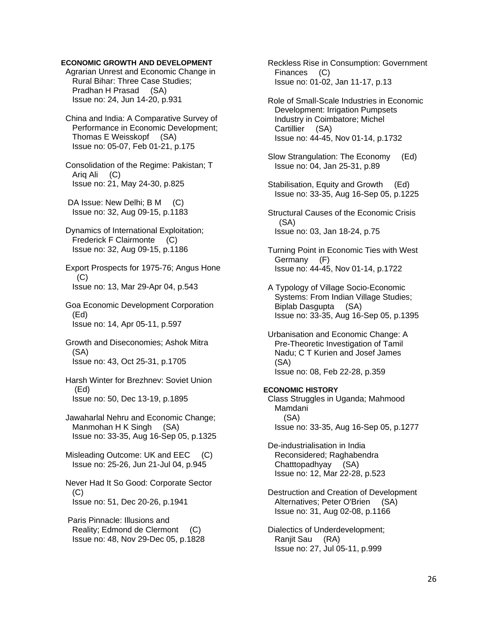### **ECONOMIC GROWTH AND DEVELOPMENT**

 Agrarian Unrest and Economic Change in Rural Bihar: Three Case Studies; Pradhan H Prasad (SA) Issue no: 24, Jun 14-20, p.931

 China and India: A Comparative Survey of Performance in Economic Development; Thomas E Weisskopf (SA) Issue no: 05-07, Feb 01-21, p.175

 Consolidation of the Regime: Pakistan; T Ariq Ali (C) Issue no: 21, May 24-30, p.825

DA Issue: New Delhi; B M (C) Issue no: 32, Aug 09-15, p.1183

 Dynamics of International Exploitation; Frederick F Clairmonte (C) Issue no: 32, Aug 09-15, p.1186

 Export Prospects for 1975-76; Angus Hone  $(C)$ Issue no: 13, Mar 29-Apr 04, p.543

 Goa Economic Development Corporation (Ed) Issue no: 14, Apr 05-11, p.597

 Growth and Diseconomies; Ashok Mitra (SA) Issue no: 43, Oct 25-31, p.1705

 Harsh Winter for Brezhnev: Soviet Union (Ed) Issue no: 50, Dec 13-19, p.1895

 Jawaharlal Nehru and Economic Change; Manmohan H K Singh (SA) Issue no: 33-35, Aug 16-Sep 05, p.1325

 Misleading Outcome: UK and EEC (C) Issue no: 25-26, Jun 21-Jul 04, p.945

 Never Had It So Good: Corporate Sector (C) Issue no: 51, Dec 20-26, p.1941

 Paris Pinnacle: Illusions and Reality; Edmond de Clermont (C) Issue no: 48, Nov 29-Dec 05, p.1828  Reckless Rise in Consumption: Government Finances (C) Issue no: 01-02, Jan 11-17, p.13

 Role of Small-Scale Industries in Economic Development: Irrigation Pumpsets Industry in Coimbatore; Michel Cartillier (SA) Issue no: 44-45, Nov 01-14, p.1732

 Slow Strangulation: The Economy (Ed) Issue no: 04, Jan 25-31, p.89

 Stabilisation, Equity and Growth (Ed) Issue no: 33-35, Aug 16-Sep 05, p.1225

 Structural Causes of the Economic Crisis (SA) Issue no: 03, Jan 18-24, p.75

 Turning Point in Economic Ties with West Germany (F) Issue no: 44-45, Nov 01-14, p.1722

 A Typology of Village Socio-Economic Systems: From Indian Village Studies; Biplab Dasgupta (SA) Issue no: 33-35, Aug 16-Sep 05, p.1395

 Urbanisation and Economic Change: A Pre-Theoretic Investigation of Tamil Nadu; C T Kurien and Josef James (SA) Issue no: 08, Feb 22-28, p.359

**ECONOMIC HISTORY**  Class Struggles in Uganda; Mahmood Mamdani (SA) Issue no: 33-35, Aug 16-Sep 05, p.1277

 De-industrialisation in India Reconsidered; Raghabendra Chatttopadhyay (SA) Issue no: 12, Mar 22-28, p.523

 Destruction and Creation of Development Alternatives; Peter O'Brien (SA) Issue no: 31, Aug 02-08, p.1166

 Dialectics of Underdevelopment; Ranjit Sau (RA) Issue no: 27, Jul 05-11, p.999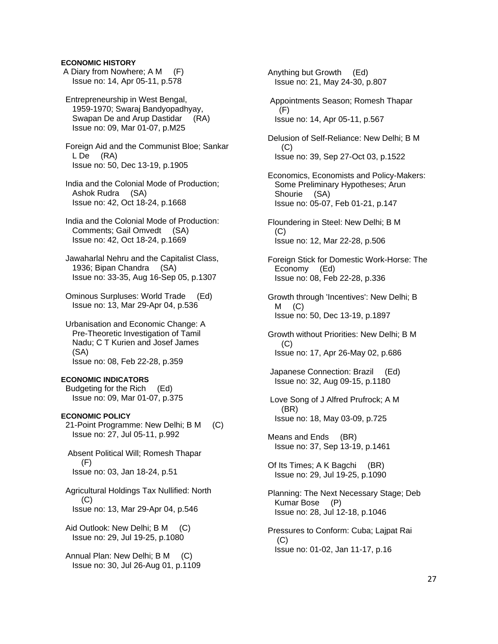# **ECONOMIC HISTORY**

 A Diary from Nowhere; A M (F) Issue no: 14, Apr 05-11, p.578

 Entrepreneurship in West Bengal, 1959-1970; Swaraj Bandyopadhyay, Swapan De and Arup Dastidar (RA) Issue no: 09, Mar 01-07, p.M25

 Foreign Aid and the Communist Bloe; Sankar L De (RA) Issue no: 50, Dec 13-19, p.1905

 India and the Colonial Mode of Production; Ashok Rudra (SA) Issue no: 42, Oct 18-24, p.1668

 India and the Colonial Mode of Production: Comments; Gail Omvedt (SA) Issue no: 42, Oct 18-24, p.1669

 Jawaharlal Nehru and the Capitalist Class, 1936; Bipan Chandra (SA) Issue no: 33-35, Aug 16-Sep 05, p.1307

 Ominous Surpluses: World Trade (Ed) Issue no: 13, Mar 29-Apr 04, p.536

 Urbanisation and Economic Change: A Pre-Theoretic Investigation of Tamil Nadu; C T Kurien and Josef James (SA) Issue no: 08, Feb 22-28, p.359

#### **ECONOMIC INDICATORS**

 Budgeting for the Rich (Ed) Issue no: 09, Mar 01-07, p.375

## **ECONOMIC POLICY**

 21-Point Programme: New Delhi; B M (C) Issue no: 27, Jul 05-11, p.992

 Absent Political Will; Romesh Thapar (F) Issue no: 03, Jan 18-24, p.51

 Agricultural Holdings Tax Nullified: North  $(C)$ Issue no: 13, Mar 29-Apr 04, p.546

Aid Outlook: New Delhi; B M (C) Issue no: 29, Jul 19-25, p.1080

 Annual Plan: New Delhi; B M (C) Issue no: 30, Jul 26-Aug 01, p.1109  Anything but Growth (Ed) Issue no: 21, May 24-30, p.807 Appointments Season; Romesh Thapar (F) Issue no: 14, Apr 05-11, p.567 Delusion of Self-Reliance: New Delhi; B M  $(C)$  Issue no: 39, Sep 27-Oct 03, p.1522 Economics, Economists and Policy-Makers: Some Preliminary Hypotheses; Arun Shourie (SA) Issue no: 05-07, Feb 01-21, p.147 Floundering in Steel: New Delhi; B M (C) Issue no: 12, Mar 22-28, p.506 Foreign Stick for Domestic Work-Horse: The Economy (Ed) Issue no: 08, Feb 22-28, p.336 Growth through 'Incentives': New Delhi; B  $M$  (C) Issue no: 50, Dec 13-19, p.1897 Growth without Priorities: New Delhi; B M  $(C)$  Issue no: 17, Apr 26-May 02, p.686 Japanese Connection: Brazil (Ed) Issue no: 32, Aug 09-15, p.1180 Love Song of J Alfred Prufrock; A M (BR) Issue no: 18, May 03-09, p.725 Means and Ends (BR) Issue no: 37, Sep 13-19, p.1461 Of Its Times; A K Bagchi (BR) Issue no: 29, Jul 19-25, p.1090 Planning: The Next Necessary Stage; Deb Kumar Bose (P) Issue no: 28, Jul 12-18, p.1046 Pressures to Conform: Cuba; Lajpat Rai (C) Issue no: 01-02, Jan 11-17, p.16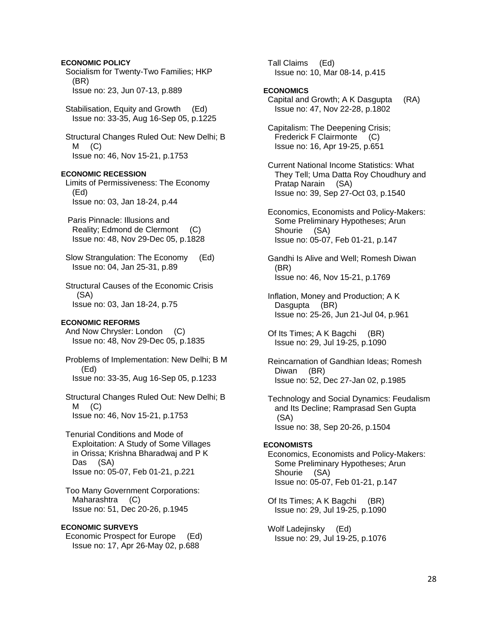Socialism for Twenty-Two Families; HKP (BR) Issue no: 23, Jun 07-13, p.889 Stabilisation, Equity and Growth (Ed) Issue no: 33-35, Aug 16-Sep 05, p.1225 Structural Changes Ruled Out: New Delhi; B  $M$  (C) Issue no: 46, Nov 15-21, p.1753 **ECONOMIC RECESSION**  Limits of Permissiveness: The Economy (Ed) Issue no: 03, Jan 18-24, p.44 Paris Pinnacle: Illusions and Reality; Edmond de Clermont (C) Issue no: 48, Nov 29-Dec 05, p.1828 Slow Strangulation: The Economy (Ed) Issue no: 04, Jan 25-31, p.89 Structural Causes of the Economic Crisis (SA) Issue no: 03, Jan 18-24, p.75 **ECONOMIC REFORMS**  And Now Chrysler: London (C) Issue no: 48, Nov 29-Dec 05, p.1835 Problems of Implementation: New Delhi; B M (Ed) Issue no: 33-35, Aug 16-Sep 05, p.1233 Structural Changes Ruled Out: New Delhi; B  $M$  (C) Issue no: 46, Nov 15-21, p.1753 Tenurial Conditions and Mode of Exploitation: A Study of Some Villages in Orissa; Krishna Bharadwaj and P K Das (SA) Issue no: 05-07, Feb 01-21, p.221 Too Many Government Corporations: Maharashtra (C) Issue no: 51, Dec 20-26, p.1945 **ECONOMIC SURVEYS** 

**ECONOMIC POLICY** 

 Economic Prospect for Europe (Ed) Issue no: 17, Apr 26-May 02, p.688

 Tall Claims (Ed) Issue no: 10, Mar 08-14, p.415

### **ECONOMICS**

 Capital and Growth; A K Dasgupta (RA) Issue no: 47, Nov 22-28, p.1802

 Capitalism: The Deepening Crisis; Frederick F Clairmonte (C) Issue no: 16, Apr 19-25, p.651

 Current National Income Statistics: What They Tell; Uma Datta Roy Choudhury and Pratap Narain (SA) Issue no: 39, Sep 27-Oct 03, p.1540

 Economics, Economists and Policy-Makers: Some Preliminary Hypotheses; Arun Shourie (SA) Issue no: 05-07, Feb 01-21, p.147

 Gandhi Is Alive and Well; Romesh Diwan (BR) Issue no: 46, Nov 15-21, p.1769

 Inflation, Money and Production; A K Dasgupta (BR) Issue no: 25-26, Jun 21-Jul 04, p.961

 Of Its Times; A K Bagchi (BR) Issue no: 29, Jul 19-25, p.1090

 Reincarnation of Gandhian Ideas; Romesh Diwan (BR) Issue no: 52, Dec 27-Jan 02, p.1985

 Technology and Social Dynamics: Feudalism and Its Decline; Ramprasad Sen Gupta (SA) Issue no: 38, Sep 20-26, p.1504

### **ECONOMISTS**

 Economics, Economists and Policy-Makers: Some Preliminary Hypotheses; Arun Shourie (SA) Issue no: 05-07, Feb 01-21, p.147

 Of Its Times; A K Bagchi (BR) Issue no: 29, Jul 19-25, p.1090

 Wolf Ladejinsky (Ed) Issue no: 29, Jul 19-25, p.1076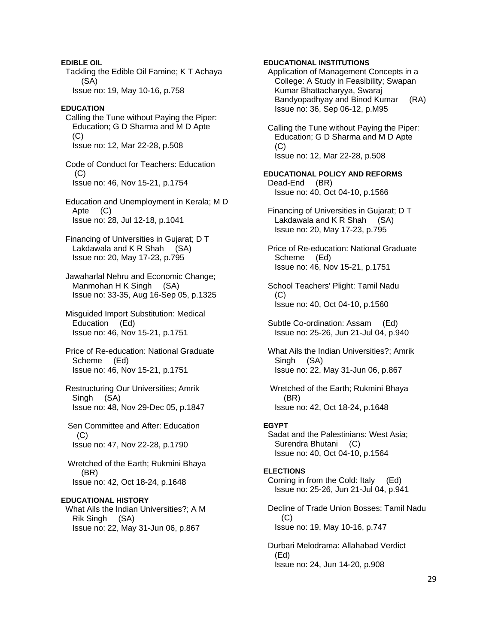**EDIBLE OIL**  Tackling the Edible Oil Famine; K T Achaya (SA) Issue no: 19, May 10-16, p.758 **EDUCATION**  Calling the Tune without Paying the Piper: Education; G D Sharma and M D Apte  $(C)$  Issue no: 12, Mar 22-28, p.508 Code of Conduct for Teachers: Education (C) Issue no: 46, Nov 15-21, p.1754 Education and Unemployment in Kerala; M D Apte (C) Issue no: 28, Jul 12-18, p.1041 Financing of Universities in Gujarat; D T Lakdawala and K R Shah (SA) Issue no: 20, May 17-23, p.795 Jawaharlal Nehru and Economic Change; Manmohan H K Singh (SA) Issue no: 33-35, Aug 16-Sep 05, p.1325 Misguided Import Substitution: Medical Education (Ed) Issue no: 46, Nov 15-21, p.1751 Price of Re-education: National Graduate Scheme (Ed) Issue no: 46, Nov 15-21, p.1751 Restructuring Our Universities; Amrik Singh (SA) Issue no: 48, Nov 29-Dec 05, p.1847 Sen Committee and After: Education  $(C)$  Issue no: 47, Nov 22-28, p.1790 Wretched of the Earth; Rukmini Bhaya (BR) Issue no: 42, Oct 18-24, p.1648 **EDUCATIONAL HISTORY**  What Ails the Indian Universities?; A M Rik Singh (SA) Issue no: 22, May 31-Jun 06, p.867

### **EDUCATIONAL INSTITUTIONS**

 Application of Management Concepts in a College: A Study in Feasibility; Swapan Kumar Bhattacharyya, Swaraj Bandyopadhyay and Binod Kumar (RA) Issue no: 36, Sep 06-12, p.M95

 Calling the Tune without Paying the Piper: Education; G D Sharma and M D Apte (C) Issue no: 12, Mar 22-28, p.508

**EDUCATIONAL POLICY AND REFORMS**  Dead-End (BR) Issue no: 40, Oct 04-10, p.1566

 Financing of Universities in Gujarat; D T Lakdawala and K R Shah (SA) Issue no: 20, May 17-23, p.795

 Price of Re-education: National Graduate Scheme (Ed) Issue no: 46, Nov 15-21, p.1751

 School Teachers' Plight: Tamil Nadu (C) Issue no: 40, Oct 04-10, p.1560

 Subtle Co-ordination: Assam (Ed) Issue no: 25-26, Jun 21-Jul 04, p.940

 What Ails the Indian Universities?; Amrik Singh (SA) Issue no: 22, May 31-Jun 06, p.867

 Wretched of the Earth; Rukmini Bhaya (BR) Issue no: 42, Oct 18-24, p.1648

### **EGYPT**

 Sadat and the Palestinians: West Asia; Surendra Bhutani (C) Issue no: 40, Oct 04-10, p.1564

#### **ELECTIONS**

 Coming in from the Cold: Italy (Ed) Issue no: 25-26, Jun 21-Jul 04, p.941

 Decline of Trade Union Bosses: Tamil Nadu  $(C)$ Issue no: 19, May 10-16, p.747

 Durbari Melodrama: Allahabad Verdict (Ed) Issue no: 24, Jun 14-20, p.908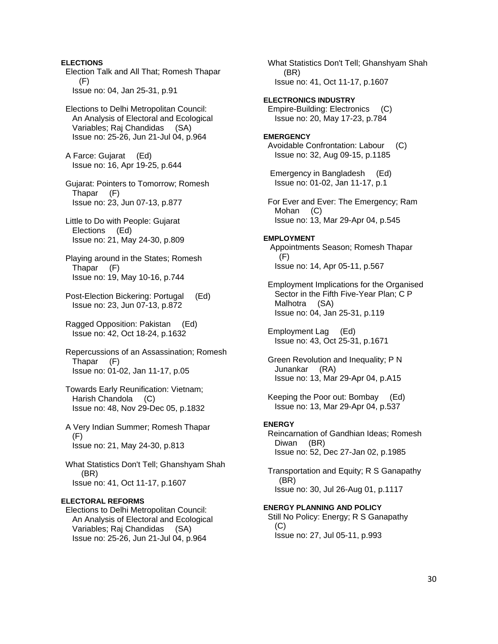Election Talk and All That; Romesh Thapar (F) Issue no: 04, Jan 25-31, p.91 Elections to Delhi Metropolitan Council: An Analysis of Electoral and Ecological Variables; Raj Chandidas (SA) Issue no: 25-26, Jun 21-Jul 04, p.964 A Farce: Gujarat (Ed) Issue no: 16, Apr 19-25, p.644 Gujarat: Pointers to Tomorrow; Romesh Thapar (F) Issue no: 23, Jun 07-13, p.877 Little to Do with People: Gujarat Elections (Ed) Issue no: 21, May 24-30, p.809 Playing around in the States; Romesh Thapar (F) Issue no: 19, May 10-16, p.744 Post-Election Bickering: Portugal (Ed) Issue no: 23, Jun 07-13, p.872 Ragged Opposition: Pakistan (Ed) Issue no: 42, Oct 18-24, p.1632 Repercussions of an Assassination; Romesh Thapar (F) Issue no: 01-02, Jan 11-17, p.05 Towards Early Reunification: Vietnam; Harish Chandola (C) Issue no: 48, Nov 29-Dec 05, p.1832 A Very Indian Summer; Romesh Thapar (F) Issue no: 21, May 24-30, p.813 What Statistics Don't Tell; Ghanshyam Shah (BR) Issue no: 41, Oct 11-17, p.1607 **ELECTORAL REFORMS**  Elections to Delhi Metropolitan Council: An Analysis of Electoral and Ecological Variables; Raj Chandidas (SA) Issue no: 25-26, Jun 21-Jul 04, p.964

**ELECTIONS** 

 What Statistics Don't Tell; Ghanshyam Shah (BR) Issue no: 41, Oct 11-17, p.1607 **ELECTRONICS INDUSTRY**  Empire-Building: Electronics (C) Issue no: 20, May 17-23, p.784 **EMERGENCY**  Avoidable Confrontation: Labour (C) Issue no: 32, Aug 09-15, p.1185 Emergency in Bangladesh (Ed) Issue no: 01-02, Jan 11-17, p.1 For Ever and Ever: The Emergency; Ram Mohan (C) Issue no: 13, Mar 29-Apr 04, p.545 **EMPLOYMENT**  Appointments Season; Romesh Thapar (F) Issue no: 14, Apr 05-11, p.567 Employment Implications for the Organised Sector in the Fifth Five-Year Plan; C P Malhotra (SA) Issue no: 04, Jan 25-31, p.119 Employment Lag (Ed) Issue no: 43, Oct 25-31, p.1671 Green Revolution and Inequality; P N Junankar (RA) Issue no: 13, Mar 29-Apr 04, p.A15 Keeping the Poor out: Bombay (Ed) Issue no: 13, Mar 29-Apr 04, p.537 **ENERGY**  Reincarnation of Gandhian Ideas; Romesh Diwan (BR) Issue no: 52, Dec 27-Jan 02, p.1985 Transportation and Equity; R S Ganapathy (BR) Issue no: 30, Jul 26-Aug 01, p.1117 **ENERGY PLANNING AND POLICY**  Still No Policy: Energy; R S Ganapathy  $(C)$ Issue no: 27, Jul 05-11, p.993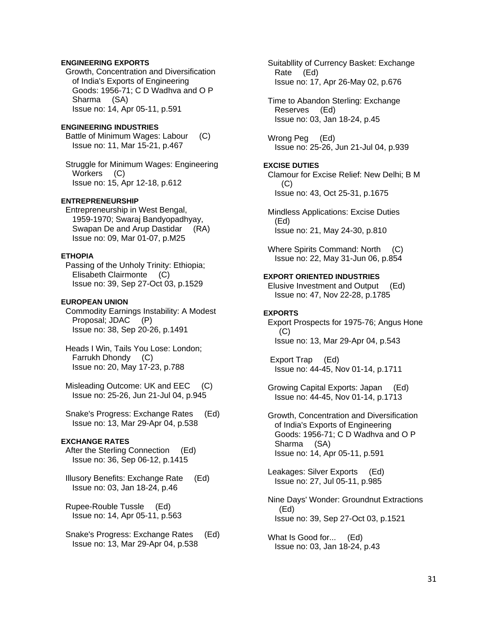# **ENGINEERING EXPORTS**

 Growth, Concentration and Diversification of India's Exports of Engineering Goods: 1956-71; C D Wadhva and O P Sharma (SA) Issue no: 14, Apr 05-11, p.591

### **ENGINEERING INDUSTRIES**

 Battle of Minimum Wages: Labour (C) Issue no: 11, Mar 15-21, p.467

 Struggle for Minimum Wages: Engineering Workers (C) Issue no: 15, Apr 12-18, p.612

# **ENTREPRENEURSHIP**

 Entrepreneurship in West Bengal, 1959-1970; Swaraj Bandyopadhyay, Swapan De and Arup Dastidar (RA) Issue no: 09, Mar 01-07, p.M25

### **ETHOPIA**

 Passing of the Unholy Trinity: Ethiopia; Elisabeth Clairmonte (C) Issue no: 39, Sep 27-Oct 03, p.1529

#### **EUROPEAN UNION**

 Commodity Earnings Instability: A Modest Proposal; JDAC (P) Issue no: 38, Sep 20-26, p.1491

 Heads I Win, Tails You Lose: London; Farrukh Dhondy (C) Issue no: 20, May 17-23, p.788

 Misleading Outcome: UK and EEC (C) Issue no: 25-26, Jun 21-Jul 04, p.945

 Snake's Progress: Exchange Rates (Ed) Issue no: 13, Mar 29-Apr 04, p.538

### **EXCHANGE RATES**

 After the Sterling Connection (Ed) Issue no: 36, Sep 06-12, p.1415

 Illusory Benefits: Exchange Rate (Ed) Issue no: 03, Jan 18-24, p.46

 Rupee-Rouble Tussle (Ed) Issue no: 14, Apr 05-11, p.563

 Snake's Progress: Exchange Rates (Ed) Issue no: 13, Mar 29-Apr 04, p.538

 Suitabllity of Currency Basket: Exchange Rate (Ed) Issue no: 17, Apr 26-May 02, p.676

 Time to Abandon Sterling: Exchange Reserves (Ed) Issue no: 03, Jan 18-24, p.45

 Wrong Peg (Ed) Issue no: 25-26, Jun 21-Jul 04, p.939

# **EXCISE DUTIES**

 Clamour for Excise Relief: New Delhi; B M (C) Issue no: 43, Oct 25-31, p.1675

 Mindless Applications: Excise Duties (Ed) Issue no: 21, May 24-30, p.810

 Where Spirits Command: North (C) Issue no: 22, May 31-Jun 06, p.854

# **EXPORT ORIENTED INDUSTRIES**

 Elusive Investment and Output (Ed) Issue no: 47, Nov 22-28, p.1785

### **EXPORTS**

 Export Prospects for 1975-76; Angus Hone (C) Issue no: 13, Mar 29-Apr 04, p.543

 Export Trap (Ed) Issue no: 44-45, Nov 01-14, p.1711

 Growing Capital Exports: Japan (Ed) Issue no: 44-45, Nov 01-14, p.1713

 Growth, Concentration and Diversification of India's Exports of Engineering Goods: 1956-71; C D Wadhva and O P Sharma (SA) Issue no: 14, Apr 05-11, p.591

 Leakages: Silver Exports (Ed) Issue no: 27, Jul 05-11, p.985

 Nine Days' Wonder: Groundnut Extractions (Ed) Issue no: 39, Sep 27-Oct 03, p.1521

What Is Good for... (Ed) Issue no: 03, Jan 18-24, p.43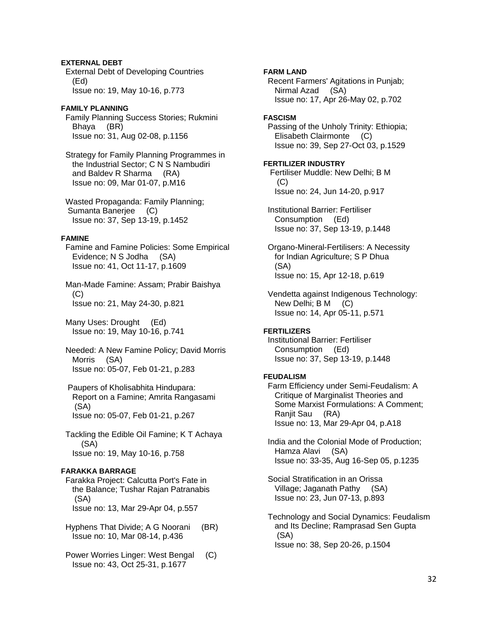# **EXTERNAL DEBT**

 External Debt of Developing Countries (Ed) Issue no: 19, May 10-16, p.773

# **FAMILY PLANNING**

 Family Planning Success Stories; Rukmini Bhaya (BR) Issue no: 31, Aug 02-08, p.1156

 Strategy for Family Planning Programmes in the Industrial Sector; C N S Nambudiri and Baldev R Sharma (RA) Issue no: 09, Mar 01-07, p.M16

 Wasted Propaganda: Family Planning; Sumanta Banerjee (C) Issue no: 37, Sep 13-19, p.1452

# **FAMINE**

 Famine and Famine Policies: Some Empirical Evidence; N S Jodha (SA) Issue no: 41, Oct 11-17, p.1609

 Man-Made Famine: Assam; Prabir Baishya  $(C)$ Issue no: 21, May 24-30, p.821

 Many Uses: Drought (Ed) Issue no: 19, May 10-16, p.741

 Needed: A New Famine Policy; David Morris Morris (SA) Issue no: 05-07, Feb 01-21, p.283

 Paupers of Kholisabhita Hindupara: Report on a Famine; Amrita Rangasami (SA) Issue no: 05-07, Feb 01-21, p.267

 Tackling the Edible Oil Famine; K T Achaya (SA) Issue no: 19, May 10-16, p.758

# **FARAKKA BARRAGE**

 Farakka Project: Calcutta Port's Fate in the Balance; Tushar Rajan Patranabis (SA) Issue no: 13, Mar 29-Apr 04, p.557

 Hyphens That Divide; A G Noorani (BR) Issue no: 10, Mar 08-14, p.436

 Power Worries Linger: West Bengal (C) Issue no: 43, Oct 25-31, p.1677

# **FARM LAND**  Recent Farmers' Agitations in Punjab; Nirmal Azad (SA) Issue no: 17, Apr 26-May 02, p.702 **FASCISM**  Passing of the Unholy Trinity: Ethiopia; Elisabeth Clairmonte (C) Issue no: 39, Sep 27-Oct 03, p.1529 **FERTILIZER INDUSTRY**  Fertiliser Muddle: New Delhi; B M  $(C)$  Issue no: 24, Jun 14-20, p.917 Institutional Barrier: Fertiliser Consumption (Ed) Issue no: 37, Sep 13-19, p.1448

 Organo-Mineral-Fertilisers: A Necessity for Indian Agriculture; S P Dhua (SA) Issue no: 15, Apr 12-18, p.619

 Vendetta against Indigenous Technology: New Delhi; B M (C) Issue no: 14, Apr 05-11, p.571

# **FERTILIZERS**

 Institutional Barrier: Fertiliser Consumption (Ed) Issue no: 37, Sep 13-19, p.1448

# **FEUDALISM**

 Farm Efficiency under Semi-Feudalism: A Critique of Marginalist Theories and Some Marxist Formulations: A Comment; Ranjit Sau (RA) Issue no: 13, Mar 29-Apr 04, p.A18

 India and the Colonial Mode of Production; Hamza Alavi (SA) Issue no: 33-35, Aug 16-Sep 05, p.1235

 Social Stratification in an Orissa Village; Jaganath Pathy (SA) Issue no: 23, Jun 07-13, p.893

 Technology and Social Dynamics: Feudalism and Its Decline; Ramprasad Sen Gupta (SA) Issue no: 38, Sep 20-26, p.1504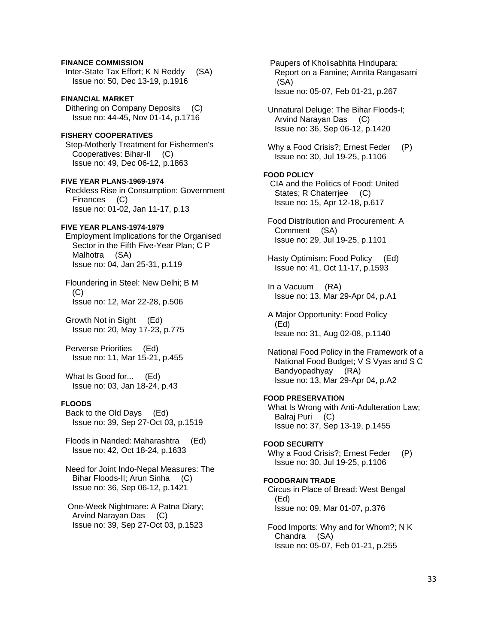# **FINANCE COMMISSION**  Inter-State Tax Effort; K N Reddy (SA) Issue no: 50, Dec 13-19, p.1916

**FINANCIAL MARKET**  Dithering on Company Deposits (C) Issue no: 44-45, Nov 01-14, p.1716

# **FISHERY COOPERATIVES**  Step-Motherly Treatment for Fishermen's Cooperatives: Bihar-II (C) Issue no: 49, Dec 06-12, p.1863

**FIVE YEAR PLANS-1969-1974**  Reckless Rise in Consumption: Government Finances (C) Issue no: 01-02, Jan 11-17, p.13

# **FIVE YEAR PLANS-1974-1979**

 Employment Implications for the Organised Sector in the Fifth Five-Year Plan; C P Malhotra (SA) Issue no: 04, Jan 25-31, p.119

 Floundering in Steel: New Delhi; B M (C) Issue no: 12, Mar 22-28, p.506

 Growth Not in Sight (Ed) Issue no: 20, May 17-23, p.775

 Perverse Priorities (Ed) Issue no: 11, Mar 15-21, p.455

What Is Good for... (Ed) Issue no: 03, Jan 18-24, p.43

# **FLOODS**

 Back to the Old Days (Ed) Issue no: 39, Sep 27-Oct 03, p.1519

 Floods in Nanded: Maharashtra (Ed) Issue no: 42, Oct 18-24, p.1633

 Need for Joint Indo-Nepal Measures: The Bihar Floods-II; Arun Sinha (C) Issue no: 36, Sep 06-12, p.1421

 One-Week Nightmare: A Patna Diary; Arvind Narayan Das (C) Issue no: 39, Sep 27-Oct 03, p.1523  Paupers of Kholisabhita Hindupara: Report on a Famine; Amrita Rangasami (SA) Issue no: 05-07, Feb 01-21, p.267

 Unnatural Deluge: The Bihar Floods-I; Arvind Narayan Das (C) Issue no: 36, Sep 06-12, p.1420

Why a Food Crisis?; Ernest Feder (P) Issue no: 30, Jul 19-25, p.1106

# **FOOD POLICY**

 CIA and the Politics of Food: United States; R Chaterriee (C) Issue no: 15, Apr 12-18, p.617

 Food Distribution and Procurement: A Comment (SA) Issue no: 29, Jul 19-25, p.1101

 Hasty Optimism: Food Policy (Ed) Issue no: 41, Oct 11-17, p.1593

 In a Vacuum (RA) Issue no: 13, Mar 29-Apr 04, p.A1

 A Major Opportunity: Food Policy (Ed) Issue no: 31, Aug 02-08, p.1140

 National Food Policy in the Framework of a National Food Budget; V S Vyas and S C Bandyopadhyay (RA) Issue no: 13, Mar 29-Apr 04, p.A2

# **FOOD PRESERVATION**

 What Is Wrong with Anti-Adulteration Law; Balraj Puri (C) Issue no: 37, Sep 13-19, p.1455

### **FOOD SECURITY**

Why a Food Crisis?; Ernest Feder (P) Issue no: 30, Jul 19-25, p.1106

### **FOODGRAIN TRADE**

 Circus in Place of Bread: West Bengal (Ed) Issue no: 09, Mar 01-07, p.376

 Food Imports: Why and for Whom?; N K Chandra (SA) Issue no: 05-07, Feb 01-21, p.255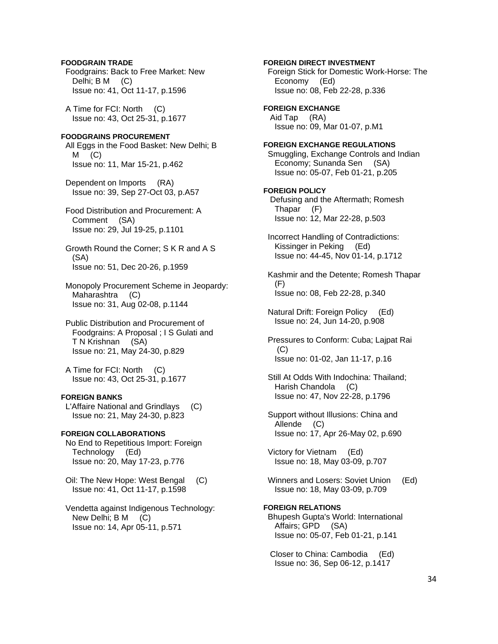# **FOODGRAIN TRADE**

 Foodgrains: Back to Free Market: New Delhi; B M (C) Issue no: 41, Oct 11-17, p.1596

 A Time for FCI: North (C) Issue no: 43, Oct 25-31, p.1677

# **FOODGRAINS PROCUREMENT**

 All Eggs in the Food Basket: New Delhi; B  $M$  (C) Issue no: 11, Mar 15-21, p.462

 Dependent on Imports (RA) Issue no: 39, Sep 27-Oct 03, p.A57

 Food Distribution and Procurement: A Comment (SA) Issue no: 29, Jul 19-25, p.1101

 Growth Round the Corner; S K R and A S (SA) Issue no: 51, Dec 20-26, p.1959

 Monopoly Procurement Scheme in Jeopardy: Maharashtra (C) Issue no: 31, Aug 02-08, p.1144

 Public Distribution and Procurement of Foodgrains: A Proposal ; I S Gulati and T N Krishnan (SA) Issue no: 21, May 24-30, p.829

 A Time for FCI: North (C) Issue no: 43, Oct 25-31, p.1677

# **FOREIGN BANKS**

 L'Affaire National and Grindlays (C) Issue no: 21, May 24-30, p.823

# **FOREIGN COLLABORATIONS**

 No End to Repetitious Import: Foreign Technology (Ed) Issue no: 20, May 17-23, p.776

 Oil: The New Hope: West Bengal (C) Issue no: 41, Oct 11-17, p.1598

 Vendetta against Indigenous Technology: New Delhi; B M (C) Issue no: 14, Apr 05-11, p.571

**FOREIGN DIRECT INVESTMENT**  Foreign Stick for Domestic Work-Horse: The Economy (Ed) Issue no: 08, Feb 22-28, p.336 **FOREIGN EXCHANGE**  Aid Tap (RA) Issue no: 09, Mar 01-07, p.M1 **FOREIGN EXCHANGE REGULATIONS**  Smuggling, Exchange Controls and Indian Economy; Sunanda Sen (SA) Issue no: 05-07, Feb 01-21, p.205 **FOREIGN POLICY**  Defusing and the Aftermath; Romesh Thapar (F) Issue no: 12, Mar 22-28, p.503 Incorrect Handling of Contradictions: Kissinger in Peking (Ed) Issue no: 44-45, Nov 01-14, p.1712 Kashmir and the Detente; Romesh Thapar (F) Issue no: 08, Feb 22-28, p.340 Natural Drift: Foreign Policy (Ed) Issue no: 24, Jun 14-20, p.908 Pressures to Conform: Cuba; Lajpat Rai (C) Issue no: 01-02, Jan 11-17, p.16 Still At Odds With Indochina: Thailand; Harish Chandola (C) Issue no: 47, Nov 22-28, p.1796 Support without Illusions: China and Allende (C) Issue no: 17, Apr 26-May 02, p.690 Victory for Vietnam (Ed) Issue no: 18, May 03-09, p.707

 Winners and Losers: Soviet Union (Ed) Issue no: 18, May 03-09, p.709

# **FOREIGN RELATIONS**  Bhupesh Gupta's World: International Affairs; GPD (SA) Issue no: 05-07, Feb 01-21, p.141

 Closer to China: Cambodia (Ed) Issue no: 36, Sep 06-12, p.1417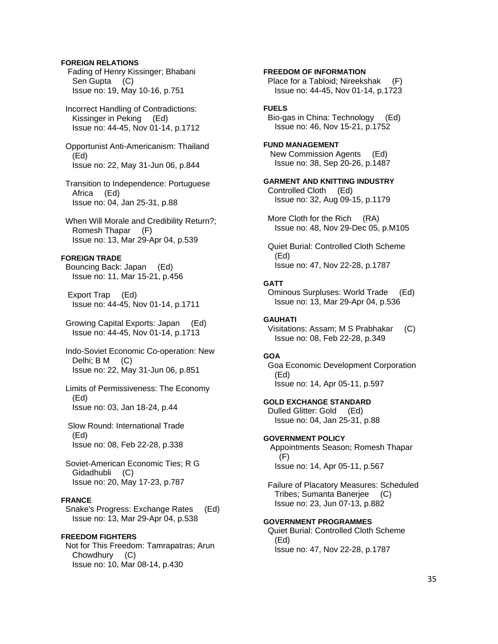# **FOREIGN RELATIONS**

 Fading of Henry Kissinger; Bhabani Sen Gupta (C) Issue no: 19, May 10-16, p.751

 Incorrect Handling of Contradictions: Kissinger in Peking (Ed) Issue no: 44-45, Nov 01-14, p.1712

 Opportunist Anti-Americanism: Thailand (Ed) Issue no: 22, May 31-Jun 06, p.844

 Transition to Independence: Portuguese Africa (Ed) Issue no: 04, Jan 25-31, p.88

 When Will Morale and Credibility Return?; Romesh Thapar (F) Issue no: 13, Mar 29-Apr 04, p.539

### **FOREIGN TRADE**

 Bouncing Back: Japan (Ed) Issue no: 11, Mar 15-21, p.456

 Export Trap (Ed) Issue no: 44-45, Nov 01-14, p.1711

 Growing Capital Exports: Japan (Ed) Issue no: 44-45, Nov 01-14, p.1713

 Indo-Soviet Economic Co-operation: New Delhi; B M (C) Issue no: 22, May 31-Jun 06, p.851

 Limits of Permissiveness: The Economy (Ed) Issue no: 03, Jan 18-24, p.44

 Slow Round: International Trade (Ed) Issue no: 08, Feb 22-28, p.338

 Soviet-American Economic Ties; R G Gidadhubli (C) Issue no: 20, May 17-23, p.787

# **FRANCE**

 Snake's Progress: Exchange Rates (Ed) Issue no: 13, Mar 29-Apr 04, p.538

# **FREEDOM FIGHTERS**

 Not for This Freedom: Tamrapatras; Arun Chowdhury (C) Issue no: 10, Mar 08-14, p.430

 Place for a Tabloid; Nireekshak (F) Issue no: 44-45, Nov 01-14, p.1723 **FUELS**  Bio-gas in China: Technology (Ed) Issue no: 46, Nov 15-21, p.1752 **FUND MANAGEMENT**  New Commission Agents (Ed) Issue no: 38, Sep 20-26, p.1487 **GARMENT AND KNITTING INDUSTRY**  Controlled Cloth (Ed) Issue no: 32, Aug 09-15, p.1179 More Cloth for the Rich (RA) Issue no: 48, Nov 29-Dec 05, p.M105

**FREEDOM OF INFORMATION** 

 Quiet Burial: Controlled Cloth Scheme (Ed) Issue no: 47, Nov 22-28, p.1787

### **GATT**

 Ominous Surpluses: World Trade (Ed) Issue no: 13, Mar 29-Apr 04, p.536

### **GAUHATI**

 Visitations: Assam; M S Prabhakar (C) Issue no: 08, Feb 22-28, p.349

#### **GOA**

 Goa Economic Development Corporation (Ed) Issue no: 14, Apr 05-11, p.597

**GOLD EXCHANGE STANDARD**  Dulled Glitter: Gold (Ed) Issue no: 04, Jan 25-31, p.88

# **GOVERNMENT POLICY**

 Appointments Season; Romesh Thapar (F) Issue no: 14, Apr 05-11, p.567

 Failure of Placatory Measures: Scheduled Tribes; Sumanta Banerjee (C) Issue no: 23, Jun 07-13, p.882

### **GOVERNMENT PROGRAMMES**

 Quiet Burial: Controlled Cloth Scheme (Ed) Issue no: 47, Nov 22-28, p.1787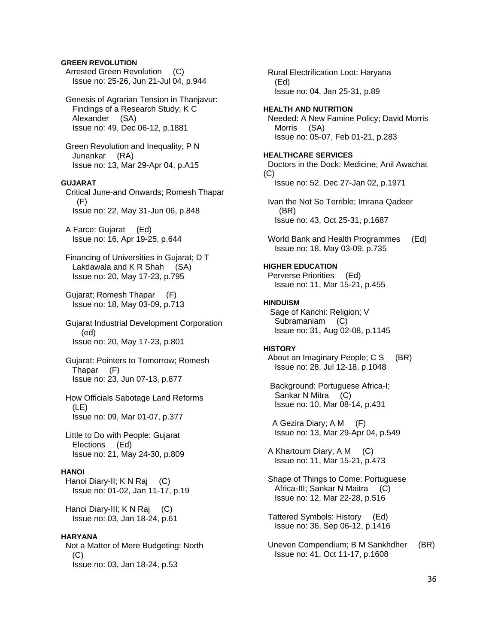# **GREEN REVOLUTION**

 Arrested Green Revolution (C) Issue no: 25-26, Jun 21-Jul 04, p.944

 Genesis of Agrarian Tension in Thanjavur: Findings of a Research Study; K C Alexander (SA) Issue no: 49, Dec 06-12, p.1881

 Green Revolution and Inequality; P N Junankar (RA) Issue no: 13, Mar 29-Apr 04, p.A15

### **GUJARAT**

 Critical June-and Onwards; Romesh Thapar (F) Issue no: 22, May 31-Jun 06, p.848

 A Farce: Gujarat (Ed) Issue no: 16, Apr 19-25, p.644

 Financing of Universities in Gujarat; D T Lakdawala and K R Shah (SA) Issue no: 20, May 17-23, p.795

 Gujarat; Romesh Thapar (F) Issue no: 18, May 03-09, p.713

 Gujarat Industrial Development Corporation (ed) Issue no: 20, May 17-23, p.801

 Gujarat: Pointers to Tomorrow; Romesh Thapar (F) Issue no: 23, Jun 07-13, p.877

 How Officials Sabotage Land Reforms (LE) Issue no: 09, Mar 01-07, p.377

 Little to Do with People: Gujarat Elections (Ed) Issue no: 21, May 24-30, p.809

### **HANOI**

 Hanoi Diary-II; K N Raj (C) Issue no: 01-02, Jan 11-17, p.19

 Hanoi Diary-III; K N Raj (C) Issue no: 03, Jan 18-24, p.61

**HARYANA**  Not a Matter of Mere Budgeting: North  $(C)$ Issue no: 03, Jan 18-24, p.53

 Rural Electrification Loot: Haryana (Ed) Issue no: 04, Jan 25-31, p.89 **HEALTH AND NUTRITION**  Needed: A New Famine Policy; David Morris Morris (SA) Issue no: 05-07, Feb 01-21, p.283 **HEALTHCARE SERVICES**  Doctors in the Dock: Medicine; Anil Awachat (C) Issue no: 52, Dec 27-Jan 02, p.1971 Ivan the Not So Terrible; Imrana Qadeer (BR) Issue no: 43, Oct 25-31, p.1687 World Bank and Health Programmes (Ed) Issue no: 18, May 03-09, p.735 **HIGHER EDUCATION**  Perverse Priorities (Ed) Issue no: 11, Mar 15-21, p.455 **HINDUISM**  Sage of Kanchi: Religion; V Subramaniam (C) Issue no: 31, Aug 02-08, p.1145 **HISTORY**  About an Imaginary People; C S (BR) Issue no: 28, Jul 12-18, p.1048 Background: Portuguese Africa-I; Sankar N Mitra (C) Issue no: 10, Mar 08-14, p.431 A Gezira Diary; A M (F) Issue no: 13, Mar 29-Apr 04, p.549 A Khartoum Diary; A M (C) Issue no: 11, Mar 15-21, p.473 Shape of Things to Come: Portuguese Africa-III; Sankar N Maitra (C) Issue no: 12, Mar 22-28, p.516 Tattered Symbols: History (Ed) Issue no: 36, Sep 06-12, p.1416 Uneven Compendium; B M Sankhdher (BR)

Issue no: 41, Oct 11-17, p.1608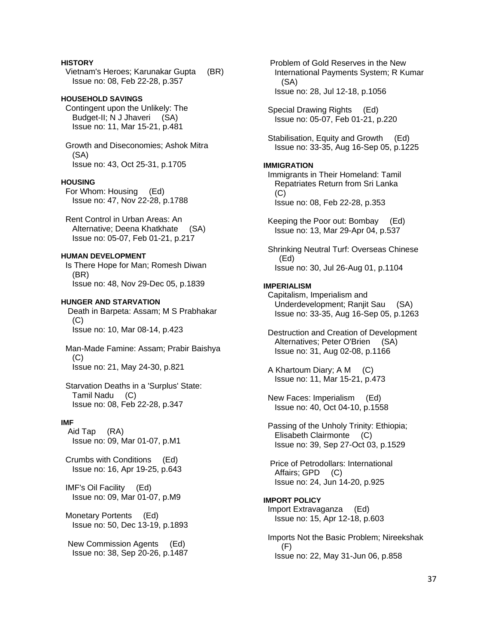## **HISTORY**

 Vietnam's Heroes; Karunakar Gupta (BR) Issue no: 08, Feb 22-28, p.357

## **HOUSEHOLD SAVINGS**

 Contingent upon the Unlikely: The Budget-II; N J Jhaveri (SA) Issue no: 11, Mar 15-21, p.481

 Growth and Diseconomies; Ashok Mitra (SA) Issue no: 43, Oct 25-31, p.1705

#### **HOUSING**

 For Whom: Housing (Ed) Issue no: 47, Nov 22-28, p.1788

 Rent Control in Urban Areas: An Alternative; Deena Khatkhate (SA) Issue no: 05-07, Feb 01-21, p.217

## **HUMAN DEVELOPMENT**

 Is There Hope for Man; Romesh Diwan (BR) Issue no: 48, Nov 29-Dec 05, p.1839

### **HUNGER AND STARVATION**

 Death in Barpeta: Assam; M S Prabhakar (C) Issue no: 10, Mar 08-14, p.423

 Man-Made Famine: Assam; Prabir Baishya  $(C)$ Issue no: 21, May 24-30, p.821

 Starvation Deaths in a 'Surplus' State: Tamil Nadu (C) Issue no: 08, Feb 22-28, p.347

#### **IMF**

 Aid Tap (RA) Issue no: 09, Mar 01-07, p.M1

 Crumbs with Conditions (Ed) Issue no: 16, Apr 19-25, p.643

 IMF's Oil Facility (Ed) Issue no: 09, Mar 01-07, p.M9

 Monetary Portents (Ed) Issue no: 50, Dec 13-19, p.1893

 New Commission Agents (Ed) Issue no: 38, Sep 20-26, p.1487  Problem of Gold Reserves in the New International Payments System; R Kumar (SA) Issue no: 28, Jul 12-18, p.1056

 Special Drawing Rights (Ed) Issue no: 05-07, Feb 01-21, p.220

 Stabilisation, Equity and Growth (Ed) Issue no: 33-35, Aug 16-Sep 05, p.1225

## **IMMIGRATION**

 Immigrants in Their Homeland: Tamil Repatriates Return from Sri Lanka  $(C)$ Issue no: 08, Feb 22-28, p.353

 Keeping the Poor out: Bombay (Ed) Issue no: 13, Mar 29-Apr 04, p.537

 Shrinking Neutral Turf: Overseas Chinese (Ed) Issue no: 30, Jul 26-Aug 01, p.1104

## **IMPERIALISM**

 Capitalism, Imperialism and Underdevelopment; Ranjit Sau (SA) Issue no: 33-35, Aug 16-Sep 05, p.1263

 Destruction and Creation of Development Alternatives; Peter O'Brien (SA) Issue no: 31, Aug 02-08, p.1166

 A Khartoum Diary; A M (C) Issue no: 11, Mar 15-21, p.473

 New Faces: Imperialism (Ed) Issue no: 40, Oct 04-10, p.1558

 Passing of the Unholy Trinity: Ethiopia; Elisabeth Clairmonte (C) Issue no: 39, Sep 27-Oct 03, p.1529

 Price of Petrodollars: International Affairs; GPD (C) Issue no: 24, Jun 14-20, p.925

### **IMPORT POLICY**

 Import Extravaganza (Ed) Issue no: 15, Apr 12-18, p.603

 Imports Not the Basic Problem; Nireekshak (F) Issue no: 22, May 31-Jun 06, p.858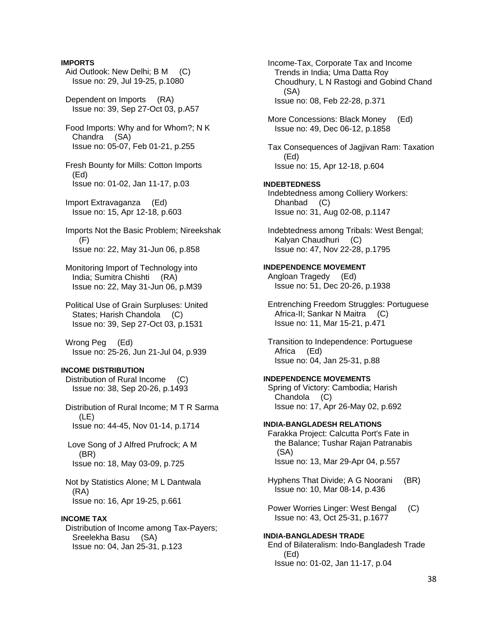### **IMPORTS**

- Aid Outlook: New Delhi; B M (C) Issue no: 29, Jul 19-25, p.1080
- Dependent on Imports (RA) Issue no: 39, Sep 27-Oct 03, p.A57
- Food Imports: Why and for Whom?; N K Chandra (SA) Issue no: 05-07, Feb 01-21, p.255
- Fresh Bounty for Mills: Cotton Imports (Ed) Issue no: 01-02, Jan 11-17, p.03
- Import Extravaganza (Ed) Issue no: 15, Apr 12-18, p.603
- Imports Not the Basic Problem; Nireekshak  $(F)$ Issue no: 22, May 31-Jun 06, p.858
- Monitoring Import of Technology into India; Sumitra Chishti (RA) Issue no: 22, May 31-Jun 06, p.M39
- Political Use of Grain Surpluses: United States; Harish Chandola (C) Issue no: 39, Sep 27-Oct 03, p.1531
- Wrong Peg (Ed) Issue no: 25-26, Jun 21-Jul 04, p.939

### **INCOME DISTRIBUTION**

 Distribution of Rural Income (C) Issue no: 38, Sep 20-26, p.1493

- Distribution of Rural Income; M T R Sarma (LE) Issue no: 44-45, Nov 01-14, p.1714
- Love Song of J Alfred Prufrock; A M (BR) Issue no: 18, May 03-09, p.725
- Not by Statistics Alone; M L Dantwala (RA) Issue no: 16, Apr 19-25, p.661

## **INCOME TAX**

 Distribution of Income among Tax-Payers; Sreelekha Basu (SA) Issue no: 04, Jan 25-31, p.123

 Income-Tax, Corporate Tax and Income Trends in India; Uma Datta Roy Choudhury, L N Rastogi and Gobind Chand (SA) Issue no: 08, Feb 22-28, p.371

 More Concessions: Black Money (Ed) Issue no: 49, Dec 06-12, p.1858

 Tax Consequences of Jagjivan Ram: Taxation (Ed) Issue no: 15, Apr 12-18, p.604

#### **INDEBTEDNESS**

 Indebtedness among Colliery Workers: Dhanbad (C) Issue no: 31, Aug 02-08, p.1147

 Indebtedness among Tribals: West Bengal; Kalyan Chaudhuri (C) Issue no: 47, Nov 22-28, p.1795

## **INDEPENDENCE MOVEMENT**  Angloan Tragedy (Ed) Issue no: 51, Dec 20-26, p.1938

 Entrenching Freedom Struggles: Portuguese Africa-II; Sankar N Maitra (C) Issue no: 11, Mar 15-21, p.471

 Transition to Independence: Portuguese Africa (Ed) Issue no: 04, Jan 25-31, p.88

#### **INDEPENDENCE MOVEMENTS**

 Spring of Victory: Cambodia; Harish Chandola (C) Issue no: 17, Apr 26-May 02, p.692

### **INDIA-BANGLADESH RELATIONS**

 Farakka Project: Calcutta Port's Fate in the Balance; Tushar Rajan Patranabis (SA) Issue no: 13, Mar 29-Apr 04, p.557

- Hyphens That Divide; A G Noorani (BR) Issue no: 10, Mar 08-14, p.436
- Power Worries Linger: West Bengal (C) Issue no: 43, Oct 25-31, p.1677

## **INDIA-BANGLADESH TRADE**  End of Bilateralism: Indo-Bangladesh Trade (Ed) Issue no: 01-02, Jan 11-17, p.04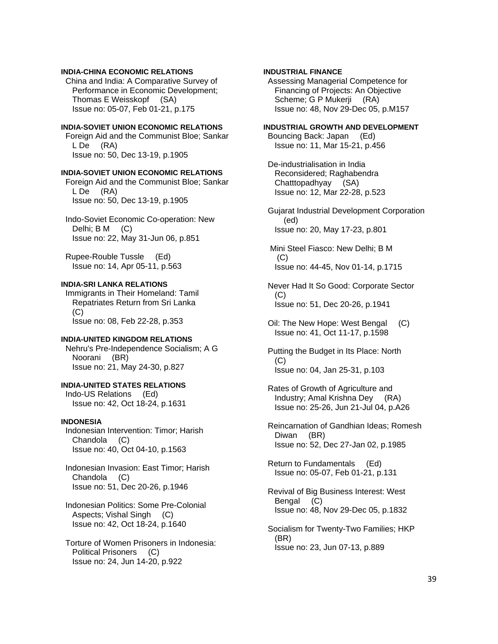## **INDIA-CHINA ECONOMIC RELATIONS**

 China and India: A Comparative Survey of Performance in Economic Development; Thomas E Weisskopf (SA) Issue no: 05-07, Feb 01-21, p.175

## **INDIA-SOVIET UNION ECONOMIC RELATIONS**

 Foreign Aid and the Communist Bloe; Sankar L De (RA) Issue no: 50, Dec 13-19, p.1905

### **INDIA-SOVIET UNION ECONOMIC RELATIONS**

 Foreign Aid and the Communist Bloe; Sankar L De (RA) Issue no: 50, Dec 13-19, p.1905

 Indo-Soviet Economic Co-operation: New Delhi; B M (C) Issue no: 22, May 31-Jun 06, p.851

 Rupee-Rouble Tussle (Ed) Issue no: 14, Apr 05-11, p.563

### **INDIA-SRI LANKA RELATIONS**

 Immigrants in Their Homeland: Tamil Repatriates Return from Sri Lanka  $(C)$ Issue no: 08, Feb 22-28, p.353

### **INDIA-UNITED KINGDOM RELATIONS**

 Nehru's Pre-Independence Socialism; A G Noorani (BR) Issue no: 21, May 24-30, p.827

# **INDIA-UNITED STATES RELATIONS**  Indo-US Relations (Ed)

Issue no: 42, Oct 18-24, p.1631

## **INDONESIA**

 Indonesian Intervention: Timor; Harish Chandola (C) Issue no: 40, Oct 04-10, p.1563

 Indonesian Invasion: East Timor; Harish Chandola (C) Issue no: 51, Dec 20-26, p.1946

 Indonesian Politics: Some Pre-Colonial Aspects; Vishal Singh (C) Issue no: 42, Oct 18-24, p.1640

 Torture of Women Prisoners in Indonesia: Political Prisoners (C) Issue no: 24, Jun 14-20, p.922

## **INDUSTRIAL FINANCE**

 Assessing Managerial Competence for Financing of Projects: An Objective Scheme; G P Mukerji (RA) Issue no: 48, Nov 29-Dec 05, p.M157

## **INDUSTRIAL GROWTH AND DEVELOPMENT**

 Bouncing Back: Japan (Ed) Issue no: 11, Mar 15-21, p.456

 De-industrialisation in India Reconsidered; Raghabendra Chatttopadhyay (SA) Issue no: 12, Mar 22-28, p.523

 Gujarat Industrial Development Corporation (ed) Issue no: 20, May 17-23, p.801

 Mini Steel Fiasco: New Delhi; B M  $(C)$ Issue no: 44-45, Nov 01-14, p.1715

 Never Had It So Good: Corporate Sector (C) Issue no: 51, Dec 20-26, p.1941

- Oil: The New Hope: West Bengal (C) Issue no: 41, Oct 11-17, p.1598
- Putting the Budget in Its Place: North (C) Issue no: 04, Jan 25-31, p.103
- Rates of Growth of Agriculture and Industry; Amal Krishna Dey (RA) Issue no: 25-26, Jun 21-Jul 04, p.A26
- Reincarnation of Gandhian Ideas; Romesh Diwan (BR) Issue no: 52, Dec 27-Jan 02, p.1985

 Return to Fundamentals (Ed) Issue no: 05-07, Feb 01-21, p.131

 Revival of Big Business Interest: West Bengal (C) Issue no: 48, Nov 29-Dec 05, p.1832

 Socialism for Twenty-Two Families; HKP (BR) Issue no: 23, Jun 07-13, p.889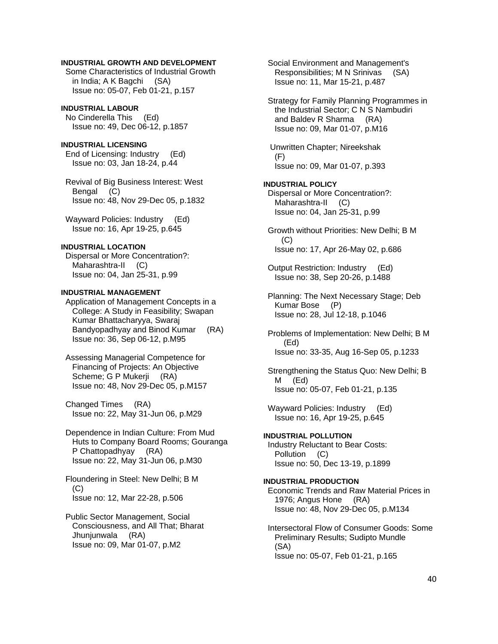## **INDUSTRIAL GROWTH AND DEVELOPMENT**

 Some Characteristics of Industrial Growth in India; A K Bagchi (SA) Issue no: 05-07, Feb 01-21, p.157

## **INDUSTRIAL LABOUR**

 No Cinderella This (Ed) Issue no: 49, Dec 06-12, p.1857

## **INDUSTRIAL LICENSING**

 End of Licensing: Industry (Ed) Issue no: 03, Jan 18-24, p.44

 Revival of Big Business Interest: West Bengal (C) Issue no: 48, Nov 29-Dec 05, p.1832

 Wayward Policies: Industry (Ed) Issue no: 16, Apr 19-25, p.645

## **INDUSTRIAL LOCATION**

 Dispersal or More Concentration?: Maharashtra-II (C) Issue no: 04, Jan 25-31, p.99

## **INDUSTRIAL MANAGEMENT**

 Application of Management Concepts in a College: A Study in Feasibility; Swapan Kumar Bhattacharyya, Swaraj Bandyopadhyay and Binod Kumar (RA) Issue no: 36, Sep 06-12, p.M95

 Assessing Managerial Competence for Financing of Projects: An Objective Scheme; G P Mukerji (RA) Issue no: 48, Nov 29-Dec 05, p.M157

 Changed Times (RA) Issue no: 22, May 31-Jun 06, p.M29

 Dependence in Indian Culture: From Mud Huts to Company Board Rooms; Gouranga P Chattopadhyay (RA) Issue no: 22, May 31-Jun 06, p.M30

 Floundering in Steel: New Delhi; B M (C) Issue no: 12, Mar 22-28, p.506

 Public Sector Management, Social Consciousness, and All That; Bharat Jhunjunwala (RA) Issue no: 09, Mar 01-07, p.M2

 Social Environment and Management's Responsibilities; M N Srinivas (SA) Issue no: 11, Mar 15-21, p.487

 Strategy for Family Planning Programmes in the Industrial Sector; C N S Nambudiri and Baldev R Sharma (RA) Issue no: 09, Mar 01-07, p.M16

 Unwritten Chapter; Nireekshak (F) Issue no: 09, Mar 01-07, p.393

## **INDUSTRIAL POLICY**

 Dispersal or More Concentration?: Maharashtra-II (C) Issue no: 04, Jan 25-31, p.99

 Growth without Priorities: New Delhi; B M (C) Issue no: 17, Apr 26-May 02, p.686

 Output Restriction: Industry (Ed) Issue no: 38, Sep 20-26, p.1488

 Planning: The Next Necessary Stage; Deb Kumar Bose (P) Issue no: 28, Jul 12-18, p.1046

 Problems of Implementation: New Delhi; B M (Ed) Issue no: 33-35, Aug 16-Sep 05, p.1233

 Strengthening the Status Quo: New Delhi; B M (Ed) Issue no: 05-07, Feb 01-21, p.135

Wayward Policies: Industry (Ed) Issue no: 16, Apr 19-25, p.645

### **INDUSTRIAL POLLUTION**  Industry Reluctant to Bear Costs: Pollution (C) Issue no: 50, Dec 13-19, p.1899

### **INDUSTRIAL PRODUCTION**

 Economic Trends and Raw Material Prices in 1976; Angus Hone (RA) Issue no: 48, Nov 29-Dec 05, p.M134

 Intersectoral Flow of Consumer Goods: Some Preliminary Results; Sudipto Mundle (SA) Issue no: 05-07, Feb 01-21, p.165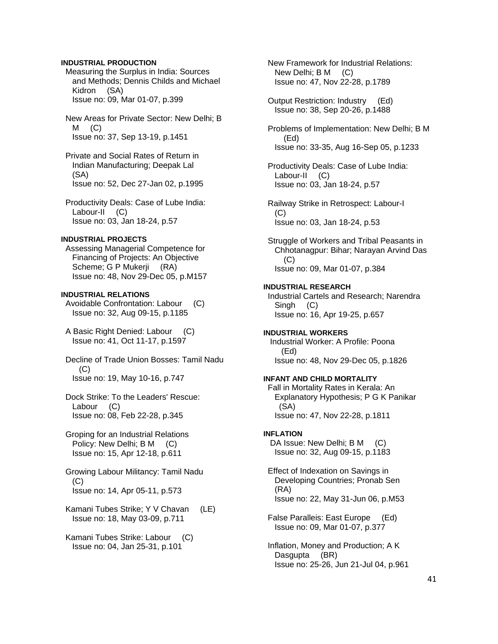## **INDUSTRIAL PRODUCTION**

 Measuring the Surplus in India: Sources and Methods; Dennis Childs and Michael Kidron (SA) Issue no: 09, Mar 01-07, p.399

 New Areas for Private Sector: New Delhi; B  $M$   $(C)$ Issue no: 37, Sep 13-19, p.1451

 Private and Social Rates of Return in Indian Manufacturing; Deepak Lal (SA) Issue no: 52, Dec 27-Jan 02, p.1995

 Productivity Deals: Case of Lube India: Labour-II (C) Issue no: 03, Jan 18-24, p.57

## **INDUSTRIAL PROJECTS**

 Assessing Managerial Competence for Financing of Projects: An Objective Scheme; G P Mukerji (RA) Issue no: 48, Nov 29-Dec 05, p.M157

**INDUSTRIAL RELATIONS**  Avoidable Confrontation: Labour (C) Issue no: 32, Aug 09-15, p.1185

 A Basic Right Denied: Labour (C) Issue no: 41, Oct 11-17, p.1597

 Decline of Trade Union Bosses: Tamil Nadu (C) Issue no: 19, May 10-16, p.747

 Dock Strike: To the Leaders' Rescue: Labour (C) Issue no: 08, Feb 22-28, p.345

 Groping for an Industrial Relations Policy: New Delhi; B M (C) Issue no: 15, Apr 12-18, p.611

 Growing Labour Militancy: Tamil Nadu (C) Issue no: 14, Apr 05-11, p.573

 Kamani Tubes Strike; Y V Chavan (LE) Issue no: 18, May 03-09, p.711

 Kamani Tubes Strike: Labour (C) Issue no: 04, Jan 25-31, p.101

 New Framework for Industrial Relations: New Delhi; B M (C) Issue no: 47, Nov 22-28, p.1789

 Output Restriction: Industry (Ed) Issue no: 38, Sep 20-26, p.1488

 Problems of Implementation: New Delhi; B M (Ed) Issue no: 33-35, Aug 16-Sep 05, p.1233

 Productivity Deals: Case of Lube India: Labour-II (C) Issue no: 03, Jan 18-24, p.57

 Railway Strike in Retrospect: Labour-I (C) Issue no: 03, Jan 18-24, p.53

 Struggle of Workers and Tribal Peasants in Chhotanagpur: Bihar; Narayan Arvind Das (C) Issue no: 09, Mar 01-07, p.384

## **INDUSTRIAL RESEARCH**

 Industrial Cartels and Research; Narendra Singh (C) Issue no: 16, Apr 19-25, p.657

**INDUSTRIAL WORKERS**  Industrial Worker: A Profile: Poona (Ed) Issue no: 48, Nov 29-Dec 05, p.1826

## **INFANT AND CHILD MORTALITY**

 Fall in Mortality Rates in Kerala: An Explanatory Hypothesis; P G K Panikar (SA) Issue no: 47, Nov 22-28, p.1811

## **INFLATION**

DA Issue: New Delhi; B M (C) Issue no: 32, Aug 09-15, p.1183

 Effect of Indexation on Savings in Developing Countries; Pronab Sen (RA) Issue no: 22, May 31-Jun 06, p.M53

 False Paralleis: East Europe (Ed) Issue no: 09, Mar 01-07, p.377

 Inflation, Money and Production; A K Dasgupta (BR) Issue no: 25-26, Jun 21-Jul 04, p.961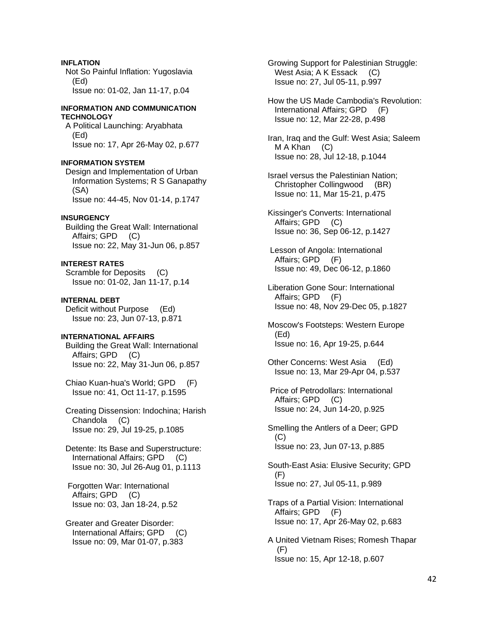## **INFLATION**

 Not So Painful Inflation: Yugoslavia (Ed) Issue no: 01-02, Jan 11-17, p.04

### **INFORMATION AND COMMUNICATION TECHNOLOGY**

 A Political Launching: Aryabhata (Ed) Issue no: 17, Apr 26-May 02, p.677

### **INFORMATION SYSTEM**

 Design and Implementation of Urban Information Systems; R S Ganapathy (SA) Issue no: 44-45, Nov 01-14, p.1747

### **INSURGENCY**

 Building the Great Wall: International Affairs; GPD (C) Issue no: 22, May 31-Jun 06, p.857

## **INTEREST RATES**

 Scramble for Deposits (C) Issue no: 01-02, Jan 11-17, p.14

**INTERNAL DEBT**  Deficit without Purpose (Ed) Issue no: 23, Jun 07-13, p.871

## **INTERNATIONAL AFFAIRS**

 Building the Great Wall: International Affairs; GPD (C) Issue no: 22, May 31-Jun 06, p.857

 Chiao Kuan-hua's World; GPD (F) Issue no: 41, Oct 11-17, p.1595

 Creating Dissension: Indochina; Harish Chandola (C) Issue no: 29, Jul 19-25, p.1085

 Detente: Its Base and Superstructure: International Affairs; GPD (C) Issue no: 30, Jul 26-Aug 01, p.1113

 Forgotten War: International Affairs; GPD (C) Issue no: 03, Jan 18-24, p.52

 Greater and Greater Disorder: International Affairs; GPD (C) Issue no: 09, Mar 01-07, p.383

 Growing Support for Palestinian Struggle: West Asia; A K Essack (C) Issue no: 27, Jul 05-11, p.997

 How the US Made Cambodia's Revolution: International Affairs; GPD (F) Issue no: 12, Mar 22-28, p.498

 Iran, Iraq and the Gulf: West Asia; Saleem M A Khan (C) Issue no: 28, Jul 12-18, p.1044

- Israel versus the Palestinian Nation; Christopher Collingwood (BR) Issue no: 11, Mar 15-21, p.475
- Kissinger's Converts: International Affairs; GPD (C) Issue no: 36, Sep 06-12, p.1427
- Lesson of Angola: International Affairs; GPD (F) Issue no: 49, Dec 06-12, p.1860
- Liberation Gone Sour: International Affairs; GPD (F) Issue no: 48, Nov 29-Dec 05, p.1827
- Moscow's Footsteps: Western Europe (Ed) Issue no: 16, Apr 19-25, p.644
- Other Concerns: West Asia (Ed) Issue no: 13, Mar 29-Apr 04, p.537
- Price of Petrodollars: International Affairs; GPD (C) Issue no: 24, Jun 14-20, p.925
- Smelling the Antlers of a Deer; GPD (C) Issue no: 23, Jun 07-13, p.885

 South-East Asia: Elusive Security; GPD (F) Issue no: 27, Jul 05-11, p.989

- Traps of a Partial Vision: International Affairs; GPD (F) Issue no: 17, Apr 26-May 02, p.683
- A United Vietnam Rises; Romesh Thapar (F) Issue no: 15, Apr 12-18, p.607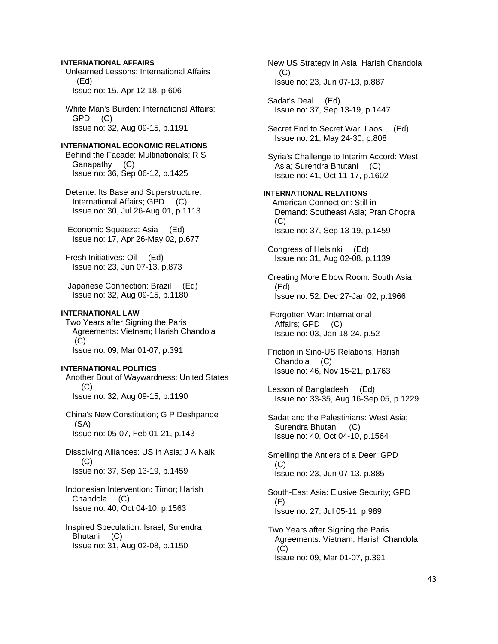## **INTERNATIONAL AFFAIRS**

 Unlearned Lessons: International Affairs (Ed) Issue no: 15, Apr 12-18, p.606

 White Man's Burden: International Affairs; GPD (C) Issue no: 32, Aug 09-15, p.1191

## **INTERNATIONAL ECONOMIC RELATIONS**

 Behind the Facade: Multinationals; R S Ganapathy (C) Issue no: 36, Sep 06-12, p.1425

 Detente: Its Base and Superstructure: International Affairs; GPD (C) Issue no: 30, Jul 26-Aug 01, p.1113

 Economic Squeeze: Asia (Ed) Issue no: 17, Apr 26-May 02, p.677

 Fresh Initiatives: Oil (Ed) Issue no: 23, Jun 07-13, p.873

 Japanese Connection: Brazil (Ed) Issue no: 32, Aug 09-15, p.1180

### **INTERNATIONAL LAW**

 Two Years after Signing the Paris Agreements: Vietnam; Harish Chandola  $(C)$ Issue no: 09, Mar 01-07, p.391

### **INTERNATIONAL POLITICS**

 Another Bout of Waywardness: United States (C) Issue no: 32, Aug 09-15, p.1190

 China's New Constitution; G P Deshpande (SA) Issue no: 05-07, Feb 01-21, p.143

 Dissolving Alliances: US in Asia; J A Naik (C) Issue no: 37, Sep 13-19, p.1459

 Indonesian Intervention: Timor; Harish Chandola (C) Issue no: 40, Oct 04-10, p.1563

 Inspired Speculation: Israel; Surendra Bhutani (C) Issue no: 31, Aug 02-08, p.1150

 New US Strategy in Asia; Harish Chandola (C) Issue no: 23, Jun 07-13, p.887

 Sadat's Deal (Ed) Issue no: 37, Sep 13-19, p.1447

 Secret End to Secret War: Laos (Ed) Issue no: 21, May 24-30, p.808

 Syria's Challenge to Interim Accord: West Asia; Surendra Bhutani (C) Issue no: 41, Oct 11-17, p.1602

#### **INTERNATIONAL RELATIONS**

 American Connection: Still in Demand: Southeast Asia; Pran Chopra  $(C)$ Issue no: 37, Sep 13-19, p.1459

 Congress of Helsinki (Ed) Issue no: 31, Aug 02-08, p.1139

 Creating More Elbow Room: South Asia (Ed) Issue no: 52, Dec 27-Jan 02, p.1966

 Forgotten War: International Affairs; GPD (C) Issue no: 03, Jan 18-24, p.52

 Friction in Sino-US Relations; Harish Chandola (C) Issue no: 46, Nov 15-21, p.1763

 Lesson of Bangladesh (Ed) Issue no: 33-35, Aug 16-Sep 05, p.1229

 Sadat and the Palestinians: West Asia; Surendra Bhutani (C) Issue no: 40, Oct 04-10, p.1564

 Smelling the Antlers of a Deer; GPD (C) Issue no: 23, Jun 07-13, p.885

 South-East Asia: Elusive Security; GPD  $(F)$ Issue no: 27, Jul 05-11, p.989

 Two Years after Signing the Paris Agreements: Vietnam; Harish Chandola  $(C)$ Issue no: 09, Mar 01-07, p.391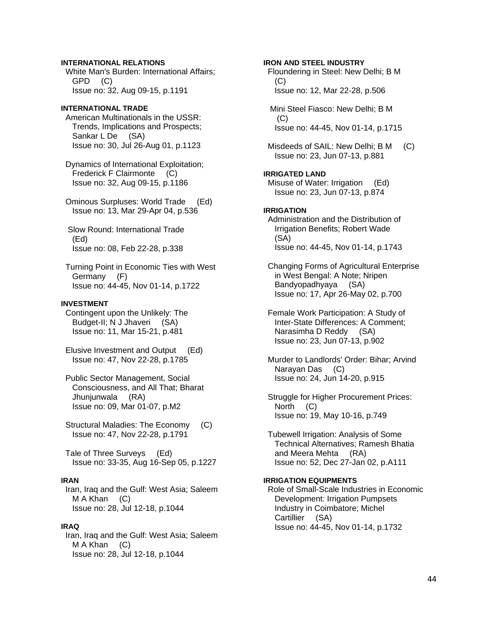## **INTERNATIONAL RELATIONS**

 White Man's Burden: International Affairs; GPD (C) Issue no: 32, Aug 09-15, p.1191

## **INTERNATIONAL TRADE**

 American Multinationals in the USSR: Trends, Implications and Prospects; Sankar L De (SA) Issue no: 30, Jul 26-Aug 01, p.1123

 Dynamics of International Exploitation; Frederick F Clairmonte (C) Issue no: 32, Aug 09-15, p.1186

 Ominous Surpluses: World Trade (Ed) Issue no: 13, Mar 29-Apr 04, p.536

 Slow Round: International Trade (Ed) Issue no: 08, Feb 22-28, p.338

 Turning Point in Economic Ties with West Germany (F) Issue no: 44-45, Nov 01-14, p.1722

## **INVESTMENT**

 Contingent upon the Unlikely: The Budget-II; N J Jhaveri (SA) Issue no: 11, Mar 15-21, p.481

 Elusive Investment and Output (Ed) Issue no: 47, Nov 22-28, p.1785

 Public Sector Management, Social Consciousness, and All That; Bharat Jhunjunwala (RA) Issue no: 09, Mar 01-07, p.M2

 Structural Maladies: The Economy (C) Issue no: 47, Nov 22-28, p.1791

 Tale of Three Surveys (Ed) Issue no: 33-35, Aug 16-Sep 05, p.1227

## **IRAN**

 Iran, Iraq and the Gulf: West Asia; Saleem M A Khan (C) Issue no: 28, Jul 12-18, p.1044

### **IRAQ**

 Iran, Iraq and the Gulf: West Asia; Saleem M A Khan (C) Issue no: 28, Jul 12-18, p.1044

**IRON AND STEEL INDUSTRY**  Floundering in Steel: New Delhi; B M  $(C)$  Issue no: 12, Mar 22-28, p.506 Mini Steel Fiasco: New Delhi; B M  $(C)$  Issue no: 44-45, Nov 01-14, p.1715 Misdeeds of SAIL: New Delhi; B M (C) Issue no: 23, Jun 07-13, p.881 **IRRIGATED LAND**  Misuse of Water: Irrigation (Ed) Issue no: 23, Jun 07-13, p.874 **IRRIGATION**  Administration and the Distribution of Irrigation Benefits; Robert Wade (SA) Issue no: 44-45, Nov 01-14, p.1743 Changing Forms of Agricultural Enterprise in West Bengal: A Note; Nripen Bandyopadhyaya (SA) Issue no: 17, Apr 26-May 02, p.700 Female Work Participation: A Study of Inter-State Differences: A Comment; Narasimha D Reddy (SA) Issue no: 23, Jun 07-13, p.902 Murder to Landlords' Order: Bihar; Arvind

 Narayan Das (C) Issue no: 24, Jun 14-20, p.915

 Struggle for Higher Procurement Prices: North (C) Issue no: 19, May 10-16, p.749

 Tubewell Irrigation: Analysis of Some Technical Alternatives; Ramesh Bhatia and Meera Mehta (RA) Issue no: 52, Dec 27-Jan 02, p.A111

## **IRRIGATION EQUIPMENTS**

 Role of Small-Scale Industries in Economic Development: Irrigation Pumpsets Industry in Coimbatore; Michel Cartillier (SA) Issue no: 44-45, Nov 01-14, p.1732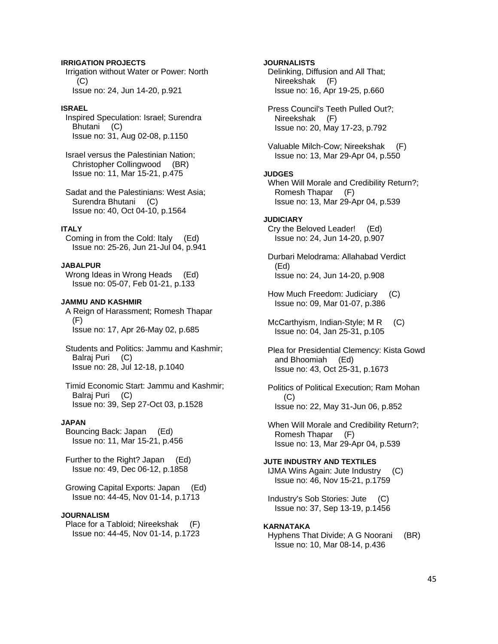## **IRRIGATION PROJECTS**

 Irrigation without Water or Power: North (C) Issue no: 24, Jun 14-20, p.921

## **ISRAEL**

 Inspired Speculation: Israel; Surendra Bhutani (C) Issue no: 31, Aug 02-08, p.1150

 Israel versus the Palestinian Nation; Christopher Collingwood (BR) Issue no: 11, Mar 15-21, p.475

 Sadat and the Palestinians: West Asia; Surendra Bhutani (C) Issue no: 40, Oct 04-10, p.1564

## **ITALY**

 Coming in from the Cold: Italy (Ed) Issue no: 25-26, Jun 21-Jul 04, p.941

## **JABALPUR**

 Wrong Ideas in Wrong Heads (Ed) Issue no: 05-07, Feb 01-21, p.133

#### **JAMMU AND KASHMIR**

 A Reign of Harassment; Romesh Thapar (F) Issue no: 17, Apr 26-May 02, p.685

 Students and Politics: Jammu and Kashmir; Balraj Puri (C) Issue no: 28, Jul 12-18, p.1040

 Timid Economic Start: Jammu and Kashmir; Balraj Puri (C) Issue no: 39, Sep 27-Oct 03, p.1528

### **JAPAN**

 Bouncing Back: Japan (Ed) Issue no: 11, Mar 15-21, p.456

 Further to the Right? Japan (Ed) Issue no: 49, Dec 06-12, p.1858

 Growing Capital Exports: Japan (Ed) Issue no: 44-45, Nov 01-14, p.1713

### **JOURNALISM**

 Place for a Tabloid; Nireekshak (F) Issue no: 44-45, Nov 01-14, p.1723

 Delinking, Diffusion and All That; Nireekshak (F) Issue no: 16, Apr 19-25, p.660 Press Council's Teeth Pulled Out?; Nireekshak (F) Issue no: 20, May 17-23, p.792 Valuable Milch-Cow; Nireekshak (F) Issue no: 13, Mar 29-Apr 04, p.550 **JUDGES**  When Will Morale and Credibility Return?; Romesh Thapar (F) Issue no: 13, Mar 29-Apr 04, p.539 **JUDICIARY**  Cry the Beloved Leader! (Ed) Issue no: 24, Jun 14-20, p.907 Durbari Melodrama: Allahabad Verdict (Ed) Issue no: 24, Jun 14-20, p.908 How Much Freedom: Judiciary (C) Issue no: 09, Mar 01-07, p.386 McCarthyism, Indian-Style; MR (C) Issue no: 04, Jan 25-31, p.105 Plea for Presidential Clemency: Kista Gowd and Bhoomiah (Ed) Issue no: 43, Oct 25-31, p.1673 Politics of Political Execution; Ram Mohan (C) Issue no: 22, May 31-Jun 06, p.852

**JOURNALISTS** 

 When Will Morale and Credibility Return?; Romesh Thapar (F) Issue no: 13, Mar 29-Apr 04, p.539

**JUTE INDUSTRY AND TEXTILES**  IJMA Wins Again: Jute Industry (C) Issue no: 46, Nov 15-21, p.1759

 Industry's Sob Stories: Jute (C) Issue no: 37, Sep 13-19, p.1456

### **KARNATAKA**

 Hyphens That Divide; A G Noorani (BR) Issue no: 10, Mar 08-14, p.436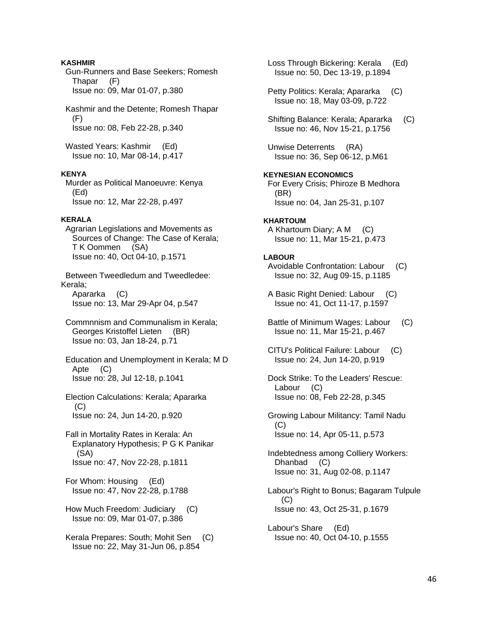## **KASHMIR**

 Gun-Runners and Base Seekers; Romesh Thapar (F) Issue no: 09, Mar 01-07, p.380

 Kashmir and the Detente; Romesh Thapar (F) Issue no: 08, Feb 22-28, p.340

Wasted Years: Kashmir (Ed) Issue no: 10, Mar 08-14, p.417

### **KENYA**

 Murder as Political Manoeuvre: Kenya (Ed) Issue no: 12, Mar 22-28, p.497

### **KERALA**

 Agrarian Legislations and Movements as Sources of Change: The Case of Kerala; T K Oommen (SA) Issue no: 40, Oct 04-10, p.1571

 Between Tweedledum and Tweedledee: Kerala; Apararka (C)

Issue no: 13, Mar 29-Apr 04, p.547

 Commnnism and Communalism in Kerala; Georges Kristoffel Lieten (BR) Issue no: 03, Jan 18-24, p.71

 Education and Unemployment in Kerala; M D Apte (C) Issue no: 28, Jul 12-18, p.1041

- Election Calculations: Kerala; Apararka (C) Issue no: 24, Jun 14-20, p.920
- Fall in Mortality Rates in Kerala: An Explanatory Hypothesis; P G K Panikar (SA) Issue no: 47, Nov 22-28, p.1811

 For Whom: Housing (Ed) Issue no: 47, Nov 22-28, p.1788

 How Much Freedom: Judiciary (C) Issue no: 09, Mar 01-07, p.386

 Kerala Prepares: South; Mohit Sen (C) Issue no: 22, May 31-Jun 06, p.854

 Loss Through Bickering: Kerala (Ed) Issue no: 50, Dec 13-19, p.1894

- Petty Politics: Kerala; Apararka (C) Issue no: 18, May 03-09, p.722
- Shifting Balance: Kerala; Apararka (C) Issue no: 46, Nov 15-21, p.1756
- Unwise Deterrents (RA) Issue no: 36, Sep 06-12, p.M61

## **KEYNESIAN ECONOMICS**  For Every Crisis; Phiroze B Medhora (BR) Issue no: 04, Jan 25-31, p.107

### **KHARTOUM**

 A Khartoum Diary; A M (C) Issue no: 11, Mar 15-21, p.473

### **LABOUR**

- Avoidable Confrontation: Labour (C) Issue no: 32, Aug 09-15, p.1185
- A Basic Right Denied: Labour (C) Issue no: 41, Oct 11-17, p.1597
- Battle of Minimum Wages: Labour (C) Issue no: 11, Mar 15-21, p.467
- CITU's Political Failure: Labour (C) Issue no: 24, Jun 14-20, p.919
- Dock Strike: To the Leaders' Rescue: Labour (C) Issue no: 08, Feb 22-28, p.345
- Growing Labour Militancy: Tamil Nadu (C) Issue no: 14, Apr 05-11, p.573
- Indebtedness among Colliery Workers: Dhanbad (C) Issue no: 31, Aug 02-08, p.1147
- Labour's Right to Bonus; Bagaram Tulpule  $(C)$ Issue no: 43, Oct 25-31, p.1679
- Labour's Share (Ed) Issue no: 40, Oct 04-10, p.1555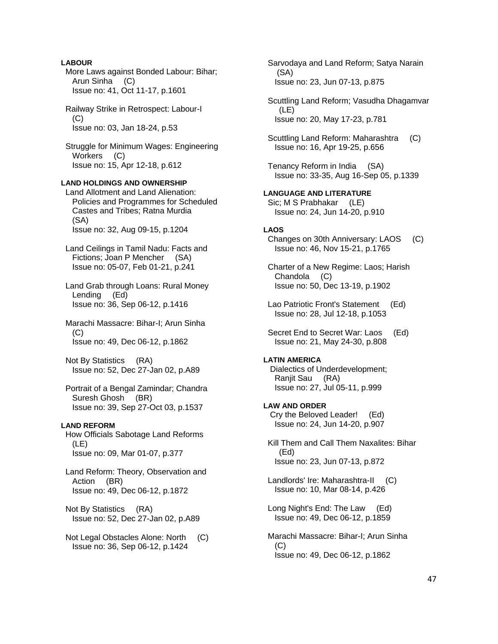## **LABOUR**

 More Laws against Bonded Labour: Bihar; Arun Sinha (C) Issue no: 41, Oct 11-17, p.1601

 Railway Strike in Retrospect: Labour-I (C) Issue no: 03, Jan 18-24, p.53

 Struggle for Minimum Wages: Engineering Workers (C) Issue no: 15, Apr 12-18, p.612

## **LAND HOLDINGS AND OWNERSHIP**

 Land Allotment and Land Alienation: Policies and Programmes for Scheduled Castes and Tribes; Ratna Murdia (SA) Issue no: 32, Aug 09-15, p.1204

- Land Ceilings in Tamil Nadu: Facts and Fictions; Joan P Mencher (SA) Issue no: 05-07, Feb 01-21, p.241
- Land Grab through Loans: Rural Money Lending (Ed) Issue no: 36, Sep 06-12, p.1416
- Marachi Massacre: Bihar-I; Arun Sinha  $(C)$ Issue no: 49, Dec 06-12, p.1862

 Not By Statistics (RA) Issue no: 52, Dec 27-Jan 02, p.A89

 Portrait of a Bengal Zamindar; Chandra Suresh Ghosh (BR) Issue no: 39, Sep 27-Oct 03, p.1537

### **LAND REFORM**

 How Officials Sabotage Land Reforms (LE) Issue no: 09, Mar 01-07, p.377

- Land Reform: Theory, Observation and Action (BR) Issue no: 49, Dec 06-12, p.1872
- Not By Statistics (RA) Issue no: 52, Dec 27-Jan 02, p.A89
- Not Legal Obstacles Alone: North (C) Issue no: 36, Sep 06-12, p.1424

 Sarvodaya and Land Reform; Satya Narain (SA) Issue no: 23, Jun 07-13, p.875

 Scuttling Land Reform; Vasudha Dhagamvar (LE) Issue no: 20, May 17-23, p.781

 Scuttling Land Reform: Maharashtra (C) Issue no: 16, Apr 19-25, p.656

 Tenancy Reform in India (SA) Issue no: 33-35, Aug 16-Sep 05, p.1339

**LANGUAGE AND LITERATURE**  Sic; M S Prabhakar (LE) Issue no: 24, Jun 14-20, p.910

## **LAOS**

 Changes on 30th Anniversary: LAOS (C) Issue no: 46, Nov 15-21, p.1765

 Charter of a New Regime: Laos; Harish Chandola (C) Issue no: 50, Dec 13-19, p.1902

 Lao Patriotic Front's Statement (Ed) Issue no: 28, Jul 12-18, p.1053

Secret End to Secret War: Laos (Ed) Issue no: 21, May 24-30, p.808

## **LATIN AMERICA**

 Dialectics of Underdevelopment; Ranjit Sau (RA) Issue no: 27, Jul 05-11, p.999

- **LAW AND ORDER**  Cry the Beloved Leader! (Ed) Issue no: 24, Jun 14-20, p.907
- Kill Them and Call Them Naxalites: Bihar (Ed) Issue no: 23, Jun 07-13, p.872
- Landlords' Ire: Maharashtra-II (C) Issue no: 10, Mar 08-14, p.426
- Long Night's End: The Law (Ed) Issue no: 49, Dec 06-12, p.1859
- Marachi Massacre: Bihar-I; Arun Sinha  $(C)$ Issue no: 49, Dec 06-12, p.1862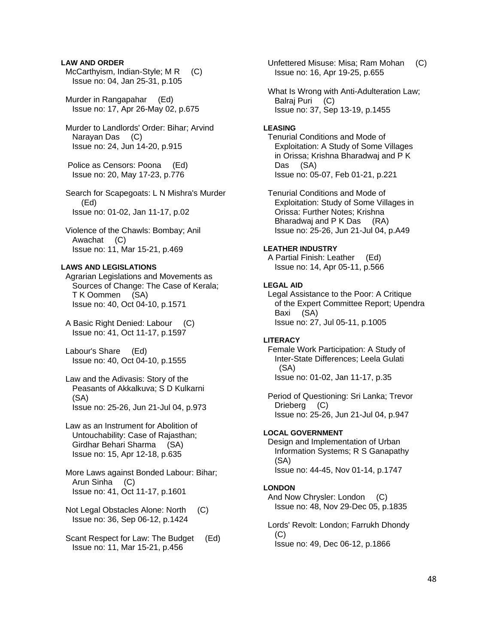## **LAW AND ORDER**

- McCarthyism, Indian-Style; MR (C) Issue no: 04, Jan 25-31, p.105
- Murder in Rangapahar (Ed) Issue no: 17, Apr 26-May 02, p.675
- Murder to Landlords' Order: Bihar; Arvind Narayan Das (C) Issue no: 24, Jun 14-20, p.915
- Police as Censors: Poona (Ed) Issue no: 20, May 17-23, p.776
- Search for Scapegoats: L N Mishra's Murder (Ed) Issue no: 01-02, Jan 11-17, p.02
- Violence of the Chawls: Bombay; Anil Awachat (C) Issue no: 11, Mar 15-21, p.469

## **LAWS AND LEGISLATIONS**

 Agrarian Legislations and Movements as Sources of Change: The Case of Kerala; T K Oommen (SA) Issue no: 40, Oct 04-10, p.1571

- A Basic Right Denied: Labour (C) Issue no: 41, Oct 11-17, p.1597
- Labour's Share (Ed) Issue no: 40, Oct 04-10, p.1555
- Law and the Adivasis: Story of the Peasants of Akkalkuva; S D Kulkarni (SA) Issue no: 25-26, Jun 21-Jul 04, p.973
- Law as an Instrument for Abolition of Untouchability: Case of Rajasthan; Girdhar Behari Sharma (SA) Issue no: 15, Apr 12-18, p.635
- More Laws against Bonded Labour: Bihar; Arun Sinha (C) Issue no: 41, Oct 11-17, p.1601
- Not Legal Obstacles Alone: North (C) Issue no: 36, Sep 06-12, p.1424
- Scant Respect for Law: The Budget (Ed) Issue no: 11, Mar 15-21, p.456

 Unfettered Misuse: Misa; Ram Mohan (C) Issue no: 16, Apr 19-25, p.655

 What Is Wrong with Anti-Adulteration Law; Balraj Puri (C) Issue no: 37, Sep 13-19, p.1455

#### **LEASING**

 Tenurial Conditions and Mode of Exploitation: A Study of Some Villages in Orissa; Krishna Bharadwaj and P K Das (SA) Issue no: 05-07, Feb 01-21, p.221

 Tenurial Conditions and Mode of Exploitation: Study of Some Villages in Orissa: Further Notes; Krishna Bharadwaj and P K Das (RA) Issue no: 25-26, Jun 21-Jul 04, p.A49

## **LEATHER INDUSTRY**

 A Partial Finish: Leather (Ed) Issue no: 14, Apr 05-11, p.566

#### **LEGAL AID**

 Legal Assistance to the Poor: A Critique of the Expert Committee Report; Upendra Baxi (SA) Issue no: 27, Jul 05-11, p.1005

### **LITERACY**

 Female Work Participation: A Study of Inter-State Differences; Leela Gulati (SA) Issue no: 01-02, Jan 11-17, p.35

 Period of Questioning: Sri Lanka; Trevor Drieberg (C) Issue no: 25-26, Jun 21-Jul 04, p.947

#### **LOCAL GOVERNMENT**

 Design and Implementation of Urban Information Systems; R S Ganapathy (SA) Issue no: 44-45, Nov 01-14, p.1747

#### **LONDON**

And Now Chrysler: London (C) Issue no: 48, Nov 29-Dec 05, p.1835

 Lords' Revolt: London; Farrukh Dhondy  $(C)$ Issue no: 49, Dec 06-12, p.1866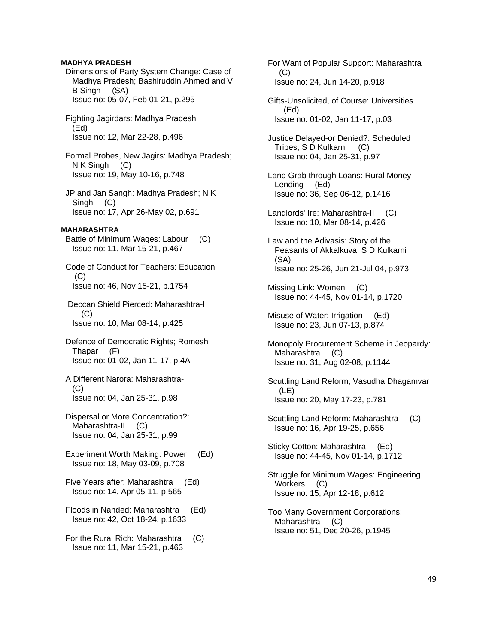## **MADHYA PRADESH**

- Dimensions of Party System Change: Case of Madhya Pradesh; Bashiruddin Ahmed and V B Singh (SA) Issue no: 05-07, Feb 01-21, p.295
- Fighting Jagirdars: Madhya Pradesh (Ed) Issue no: 12, Mar 22-28, p.496
- Formal Probes, New Jagirs: Madhya Pradesh; N K Singh (C) Issue no: 19, May 10-16, p.748
- JP and Jan Sangh: Madhya Pradesh; N K Singh (C) Issue no: 17, Apr 26-May 02, p.691

## **MAHARASHTRA**

- Battle of Minimum Wages: Labour (C) Issue no: 11, Mar 15-21, p.467
- Code of Conduct for Teachers: Education (C) Issue no: 46, Nov 15-21, p.1754
- Deccan Shield Pierced: Maharashtra-I (C) Issue no: 10, Mar 08-14, p.425
- Defence of Democratic Rights; Romesh Thapar (F) Issue no: 01-02, Jan 11-17, p.4A
- A Different Narora: Maharashtra-I (C) Issue no: 04, Jan 25-31, p.98
- Dispersal or More Concentration?: Maharashtra-II (C) Issue no: 04, Jan 25-31, p.99
- Experiment Worth Making: Power (Ed) Issue no: 18, May 03-09, p.708
- Five Years after: Maharashtra (Ed) Issue no: 14, Apr 05-11, p.565
- Floods in Nanded: Maharashtra (Ed) Issue no: 42, Oct 18-24, p.1633
- For the Rural Rich: Maharashtra (C) Issue no: 11, Mar 15-21, p.463
- For Want of Popular Support: Maharashtra (C) Issue no: 24, Jun 14-20, p.918
- Gifts-Unsolicited, of Course: Universities (Ed) Issue no: 01-02, Jan 11-17, p.03
- Justice Delayed-or Denied?: Scheduled Tribes; S D Kulkarni (C) Issue no: 04, Jan 25-31, p.97
- Land Grab through Loans: Rural Money Lending (Ed) Issue no: 36, Sep 06-12, p.1416
- Landlords' Ire: Maharashtra-II (C) Issue no: 10, Mar 08-14, p.426
- Law and the Adivasis: Story of the Peasants of Akkalkuva; S D Kulkarni (SA) Issue no: 25-26, Jun 21-Jul 04, p.973
- Missing Link: Women (C) Issue no: 44-45, Nov 01-14, p.1720
- Misuse of Water: Irrigation (Ed) Issue no: 23, Jun 07-13, p.874
- Monopoly Procurement Scheme in Jeopardy: Maharashtra (C) Issue no: 31, Aug 02-08, p.1144
- Scuttling Land Reform; Vasudha Dhagamvar (LE) Issue no: 20, May 17-23, p.781
- Scuttling Land Reform: Maharashtra (C) Issue no: 16, Apr 19-25, p.656
- Sticky Cotton: Maharashtra (Ed) Issue no: 44-45, Nov 01-14, p.1712
- Struggle for Minimum Wages: Engineering Workers (C) Issue no: 15, Apr 12-18, p.612
- Too Many Government Corporations: Maharashtra (C) Issue no: 51, Dec 20-26, p.1945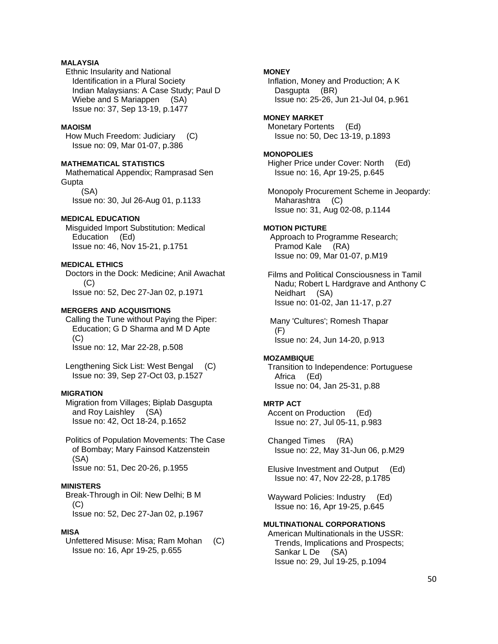## **MALAYSIA**

 Ethnic Insularity and National Identification in a Plural Society Indian Malaysians: A Case Study; Paul D Wiebe and S Mariappen (SA) Issue no: 37, Sep 13-19, p.1477

## **MAOISM**

 How Much Freedom: Judiciary (C) Issue no: 09, Mar 01-07, p.386

### **MATHEMATICAL STATISTICS**

 Mathematical Appendix; Ramprasad Sen **Gupta**  (SA) Issue no: 30, Jul 26-Aug 01, p.1133

### **MEDICAL EDUCATION**

 Misguided Import Substitution: Medical Education (Ed) Issue no: 46, Nov 15-21, p.1751

## **MEDICAL ETHICS**

 Doctors in the Dock: Medicine; Anil Awachat (C) Issue no: 52, Dec 27-Jan 02, p.1971

## **MERGERS AND ACQUISITIONS**

 Calling the Tune without Paying the Piper: Education; G D Sharma and M D Apte (C) Issue no: 12, Mar 22-28, p.508

 Lengthening Sick List: West Bengal (C) Issue no: 39, Sep 27-Oct 03, p.1527

## **MIGRATION**

 Migration from Villages; Biplab Dasgupta and Roy Laishley (SA) Issue no: 42, Oct 18-24, p.1652

 Politics of Population Movements: The Case of Bombay; Mary Fainsod Katzenstein (SA) Issue no: 51, Dec 20-26, p.1955

### **MINISTERS**

 Break-Through in Oil: New Delhi; B M  $(C)$ Issue no: 52, Dec 27-Jan 02, p.1967

## **MISA**

 Unfettered Misuse: Misa; Ram Mohan (C) Issue no: 16, Apr 19-25, p.655

## **MONEY**

 Inflation, Money and Production; A K Dasgupta (BR) Issue no: 25-26, Jun 21-Jul 04, p.961

## **MONEY MARKET**

 Monetary Portents (Ed) Issue no: 50, Dec 13-19, p.1893

#### **MONOPOLIES**

 Higher Price under Cover: North (Ed) Issue no: 16, Apr 19-25, p.645

 Monopoly Procurement Scheme in Jeopardy: Maharashtra (C) Issue no: 31, Aug 02-08, p.1144

## **MOTION PICTURE**

 Approach to Programme Research; Pramod Kale (RA) Issue no: 09, Mar 01-07, p.M19

 Films and Political Consciousness in Tamil Nadu; Robert L Hardgrave and Anthony C Neidhart (SA) Issue no: 01-02, Jan 11-17, p.27

 Many 'Cultures'; Romesh Thapar (F) Issue no: 24, Jun 14-20, p.913

#### **MOZAMBIQUE**

 Transition to Independence: Portuguese Africa (Ed) Issue no: 04, Jan 25-31, p.88

## **MRTP ACT**

 Accent on Production (Ed) Issue no: 27, Jul 05-11, p.983

 Changed Times (RA) Issue no: 22, May 31-Jun 06, p.M29

 Elusive Investment and Output (Ed) Issue no: 47, Nov 22-28, p.1785

 Wayward Policies: Industry (Ed) Issue no: 16, Apr 19-25, p.645

## **MULTINATIONAL CORPORATIONS**

 American Multinationals in the USSR: Trends, Implications and Prospects; Sankar L De (SA) Issue no: 29, Jul 19-25, p.1094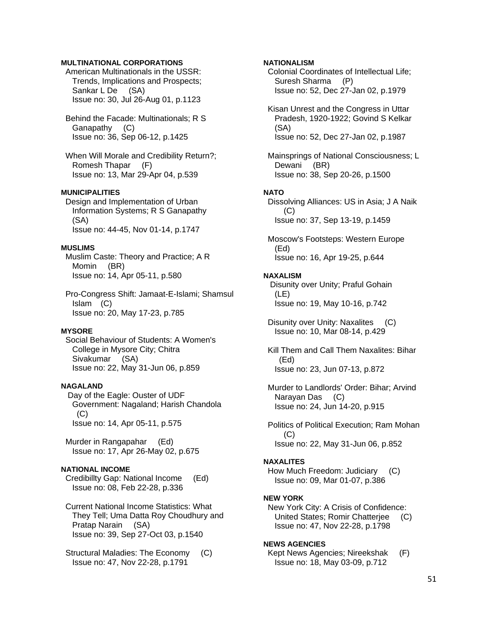## **MULTINATIONAL CORPORATIONS**

 American Multinationals in the USSR: Trends, Implications and Prospects; Sankar L De (SA) Issue no: 30, Jul 26-Aug 01, p.1123

- Behind the Facade: Multinationals; R S Ganapathy (C) Issue no: 36, Sep 06-12, p.1425
- When Will Morale and Credibility Return?; Romesh Thapar (F) Issue no: 13, Mar 29-Apr 04, p.539

## **MUNICIPALITIES**

 Design and Implementation of Urban Information Systems; R S Ganapathy (SA) Issue no: 44-45, Nov 01-14, p.1747

## **MUSLIMS**

 Muslim Caste: Theory and Practice; A R Momin (BR) Issue no: 14, Apr 05-11, p.580

 Pro-Congress Shift: Jamaat-E-Islami; Shamsul Islam (C) Issue no: 20, May 17-23, p.785

## **MYSORE**

 Social Behaviour of Students: A Women's College in Mysore City; Chitra Sivakumar (SA) Issue no: 22, May 31-Jun 06, p.859

### **NAGALAND**

 Day of the Eagle: Ouster of UDF Government: Nagaland; Harish Chandola  $(C)$ Issue no: 14, Apr 05-11, p.575

 Murder in Rangapahar (Ed) Issue no: 17, Apr 26-May 02, p.675

## **NATIONAL INCOME**

 Credibillty Gap: National Income (Ed) Issue no: 08, Feb 22-28, p.336

 Current National Income Statistics: What They Tell; Uma Datta Roy Choudhury and Pratap Narain (SA) Issue no: 39, Sep 27-Oct 03, p.1540

 Structural Maladies: The Economy (C) Issue no: 47, Nov 22-28, p.1791

## **NATIONALISM**

 Colonial Coordinates of Intellectual Life; Suresh Sharma (P) Issue no: 52, Dec 27-Jan 02, p.1979

 Kisan Unrest and the Congress in Uttar Pradesh, 1920-1922; Govind S Kelkar (SA) Issue no: 52, Dec 27-Jan 02, p.1987

 Mainsprings of National Consciousness; L Dewani (BR) Issue no: 38, Sep 20-26, p.1500

### **NATO**

 Dissolving Alliances: US in Asia; J A Naik (C) Issue no: 37, Sep 13-19, p.1459

 Moscow's Footsteps: Western Europe (Ed) Issue no: 16, Apr 19-25, p.644

#### **NAXALISM**

 Disunity over Unity; Praful Gohain (LE) Issue no: 19, May 10-16, p.742

 Disunity over Unity: Naxalites (C) Issue no: 10, Mar 08-14, p.429

 Kill Them and Call Them Naxalites: Bihar (Ed) Issue no: 23, Jun 07-13, p.872

 Murder to Landlords' Order: Bihar; Arvind Narayan Das (C) Issue no: 24, Jun 14-20, p.915

 Politics of Political Execution; Ram Mohan (C) Issue no: 22, May 31-Jun 06, p.852

#### **NAXALITES**

 How Much Freedom: Judiciary (C) Issue no: 09, Mar 01-07, p.386

### **NEW YORK**

 New York City: A Crisis of Confidence: United States; Romir Chatterjee (C) Issue no: 47, Nov 22-28, p.1798

#### **NEWS AGENCIES**

 Kept News Agencies; Nireekshak (F) Issue no: 18, May 03-09, p.712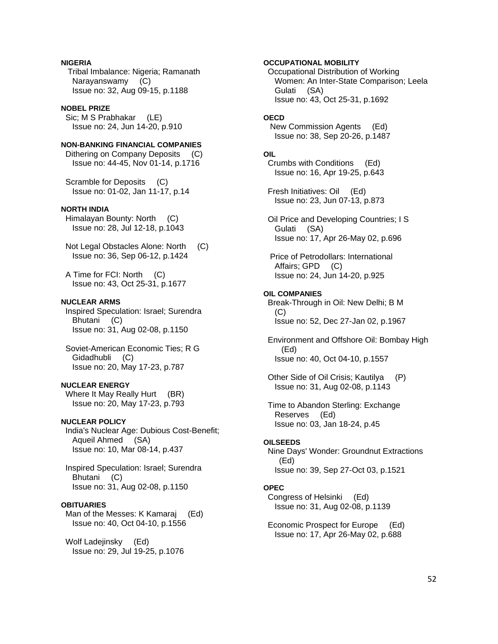## **NIGERIA**

 Tribal Imbalance: Nigeria; Ramanath Narayanswamy (C) Issue no: 32, Aug 09-15, p.1188

### **NOBEL PRIZE**

 Sic; M S Prabhakar (LE) Issue no: 24, Jun 14-20, p.910

## **NON-BANKING FINANCIAL COMPANIES**

 Dithering on Company Deposits (C) Issue no: 44-45, Nov 01-14, p.1716

 Scramble for Deposits (C) Issue no: 01-02, Jan 11-17, p.14

## **NORTH INDIA**

 Himalayan Bounty: North (C) Issue no: 28, Jul 12-18, p.1043

 Not Legal Obstacles Alone: North (C) Issue no: 36, Sep 06-12, p.1424

 A Time for FCI: North (C) Issue no: 43, Oct 25-31, p.1677

#### **NUCLEAR ARMS**

 Inspired Speculation: Israel; Surendra Bhutani (C) Issue no: 31, Aug 02-08, p.1150

 Soviet-American Economic Ties; R G Gidadhubli (C) Issue no: 20, May 17-23, p.787

## **NUCLEAR ENERGY**

Where It May Really Hurt (BR) Issue no: 20, May 17-23, p.793

## **NUCLEAR POLICY**

 India's Nuclear Age: Dubious Cost-Benefit; Aqueil Ahmed (SA) Issue no: 10, Mar 08-14, p.437

 Inspired Speculation: Israel; Surendra Bhutani (C) Issue no: 31, Aug 02-08, p.1150

## **OBITUARIES**

 Man of the Messes: K Kamaraj (Ed) Issue no: 40, Oct 04-10, p.1556

 Wolf Ladejinsky (Ed) Issue no: 29, Jul 19-25, p.1076

### **OCCUPATIONAL MOBILITY**

 Occupational Distribution of Working Women: An Inter-State Comparison; Leela Gulati (SA) Issue no: 43, Oct 25-31, p.1692

#### **OECD**

 New Commission Agents (Ed) Issue no: 38, Sep 20-26, p.1487

#### **OIL**

 Crumbs with Conditions (Ed) Issue no: 16, Apr 19-25, p.643

 Fresh Initiatives: Oil (Ed) Issue no: 23, Jun 07-13, p.873

 Oil Price and Developing Countries; I S Gulati (SA) Issue no: 17, Apr 26-May 02, p.696

 Price of Petrodollars: International Affairs; GPD (C) Issue no: 24, Jun 14-20, p.925

#### **OIL COMPANIES**

 Break-Through in Oil: New Delhi; B M (C) Issue no: 52, Dec 27-Jan 02, p.1967

 Environment and Offshore Oil: Bombay High (Ed) Issue no: 40, Oct 04-10, p.1557

 Other Side of Oil Crisis; Kautilya (P) Issue no: 31, Aug 02-08, p.1143

 Time to Abandon Sterling: Exchange Reserves (Ed) Issue no: 03, Jan 18-24, p.45

### **OILSEEDS**

 Nine Days' Wonder: Groundnut Extractions (Ed) Issue no: 39, Sep 27-Oct 03, p.1521

## **OPEC**

 Congress of Helsinki (Ed) Issue no: 31, Aug 02-08, p.1139

 Economic Prospect for Europe (Ed) Issue no: 17, Apr 26-May 02, p.688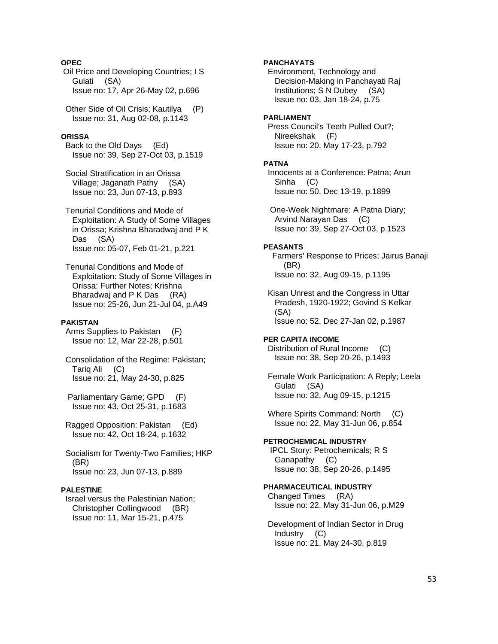## **OPEC**

 Oil Price and Developing Countries; I S Gulati (SA) Issue no: 17, Apr 26-May 02, p.696

 Other Side of Oil Crisis; Kautilya (P) Issue no: 31, Aug 02-08, p.1143

## **ORISSA**

 Back to the Old Days (Ed) Issue no: 39, Sep 27-Oct 03, p.1519

 Social Stratification in an Orissa Village; Jaganath Pathy (SA) Issue no: 23, Jun 07-13, p.893

 Tenurial Conditions and Mode of Exploitation: A Study of Some Villages in Orissa; Krishna Bharadwaj and P K Das (SA) Issue no: 05-07, Feb 01-21, p.221

 Tenurial Conditions and Mode of Exploitation: Study of Some Villages in Orissa: Further Notes; Krishna Bharadwaj and P K Das (RA) Issue no: 25-26, Jun 21-Jul 04, p.A49

## **PAKISTAN**

 Arms Supplies to Pakistan (F) Issue no: 12, Mar 22-28, p.501

 Consolidation of the Regime: Pakistan; Tariq Ali (C) Issue no: 21, May 24-30, p.825

 Parliamentary Game; GPD (F) Issue no: 43, Oct 25-31, p.1683

 Ragged Opposition: Pakistan (Ed) Issue no: 42, Oct 18-24, p.1632

 Socialism for Twenty-Two Families; HKP (BR) Issue no: 23, Jun 07-13, p.889

### **PALESTINE**

 Israel versus the Palestinian Nation; Christopher Collingwood (BR) Issue no: 11, Mar 15-21, p.475

## **PANCHAYATS**

 Environment, Technology and Decision-Making in Panchayati Raj Institutions; S N Dubey (SA) Issue no: 03, Jan 18-24, p.75

#### **PARLIAMENT**

 Press Council's Teeth Pulled Out?; Nireekshak (F) Issue no: 20, May 17-23, p.792

#### **PATNA**

 Innocents at a Conference: Patna; Arun Sinha (C) Issue no: 50, Dec 13-19, p.1899

 One-Week Nightmare: A Patna Diary; Arvind Narayan Das (C) Issue no: 39, Sep 27-Oct 03, p.1523

### **PEASANTS**

 Farmers' Response to Prices; Jairus Banaji (BR) Issue no: 32, Aug 09-15, p.1195

 Kisan Unrest and the Congress in Uttar Pradesh, 1920-1922; Govind S Kelkar (SA) Issue no: 52, Dec 27-Jan 02, p.1987

## **PER CAPITA INCOME**

 Distribution of Rural Income (C) Issue no: 38, Sep 20-26, p.1493

 Female Work Participation: A Reply; Leela Gulati (SA) Issue no: 32, Aug 09-15, p.1215

 Where Spirits Command: North (C) Issue no: 22, May 31-Jun 06, p.854

**PETROCHEMICAL INDUSTRY**  IPCL Story: Petrochemicals; R S Ganapathy (C) Issue no: 38, Sep 20-26, p.1495

## **PHARMACEUTICAL INDUSTRY**

 Changed Times (RA) Issue no: 22, May 31-Jun 06, p.M29

 Development of Indian Sector in Drug Industry (C) Issue no: 21, May 24-30, p.819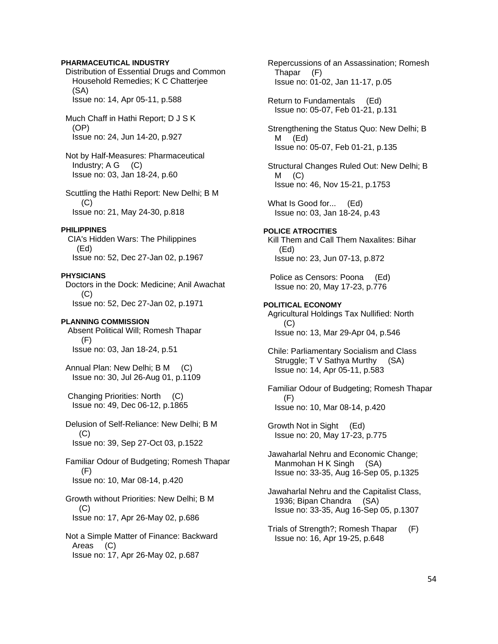## **PHARMACEUTICAL INDUSTRY**

 Distribution of Essential Drugs and Common Household Remedies; K C Chatterjee (SA) Issue no: 14, Apr 05-11, p.588

 Much Chaff in Hathi Report; D J S K (OP) Issue no: 24, Jun 14-20, p.927

 Not by Half-Measures: Pharmaceutical Industry;  $A G$  (C) Issue no: 03, Jan 18-24, p.60

 Scuttling the Hathi Report: New Delhi; B M (C) Issue no: 21, May 24-30, p.818

#### **PHILIPPINES**

 CIA's Hidden Wars: The Philippines (Ed) Issue no: 52, Dec 27-Jan 02, p.1967

### **PHYSICIANS**

 Doctors in the Dock: Medicine; Anil Awachat (C) Issue no: 52, Dec 27-Jan 02, p.1971

## **PLANNING COMMISSION**

 Absent Political Will; Romesh Thapar (F) Issue no: 03, Jan 18-24, p.51

 Annual Plan: New Delhi; B M (C) Issue no: 30, Jul 26-Aug 01, p.1109

 Changing Priorities: North (C) Issue no: 49, Dec 06-12, p.1865

 Delusion of Self-Reliance: New Delhi; B M  $(C)$ Issue no: 39, Sep 27-Oct 03, p.1522

 Familiar Odour of Budgeting; Romesh Thapar (F) Issue no: 10, Mar 08-14, p.420

 Growth without Priorities: New Delhi; B M (C) Issue no: 17, Apr 26-May 02, p.686

 Not a Simple Matter of Finance: Backward Areas (C) Issue no: 17, Apr 26-May 02, p.687

 Repercussions of an Assassination; Romesh Thapar (F) Issue no: 01-02, Jan 11-17, p.05

 Return to Fundamentals (Ed) Issue no: 05-07, Feb 01-21, p.131

 Strengthening the Status Quo: New Delhi; B M (Ed) Issue no: 05-07, Feb 01-21, p.135

 Structural Changes Ruled Out: New Delhi; B  $M$  (C) Issue no: 46, Nov 15-21, p.1753

What Is Good for... (Ed) Issue no: 03, Jan 18-24, p.43

## **POLICE ATROCITIES**

 Kill Them and Call Them Naxalites: Bihar (Ed) Issue no: 23, Jun 07-13, p.872

 Police as Censors: Poona (Ed) Issue no: 20, May 17-23, p.776

## **POLITICAL ECONOMY**

 Agricultural Holdings Tax Nullified: North (C) Issue no: 13, Mar 29-Apr 04, p.546

 Chile: Parliamentary Socialism and Class Struggle; T V Sathya Murthy (SA) Issue no: 14, Apr 05-11, p.583

 Familiar Odour of Budgeting; Romesh Thapar (F) Issue no: 10, Mar 08-14, p.420

 Growth Not in Sight (Ed) Issue no: 20, May 17-23, p.775

 Jawaharlal Nehru and Economic Change; Manmohan H K Singh (SA) Issue no: 33-35, Aug 16-Sep 05, p.1325

 Jawaharlal Nehru and the Capitalist Class, 1936; Bipan Chandra (SA) Issue no: 33-35, Aug 16-Sep 05, p.1307

 Trials of Strength?; Romesh Thapar (F) Issue no: 16, Apr 19-25, p.648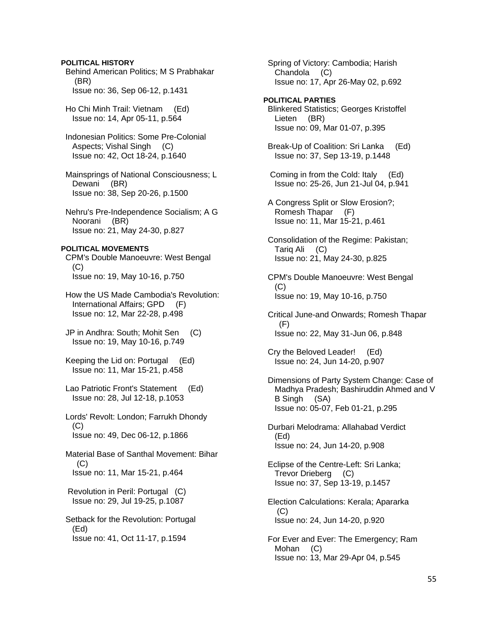## **POLITICAL HISTORY**

 Behind American Politics; M S Prabhakar (BR) Issue no: 36, Sep 06-12, p.1431

 Ho Chi Minh Trail: Vietnam (Ed) Issue no: 14, Apr 05-11, p.564

 Indonesian Politics: Some Pre-Colonial Aspects; Vishal Singh (C) Issue no: 42, Oct 18-24, p.1640

 Mainsprings of National Consciousness; L Dewani (BR) Issue no: 38, Sep 20-26, p.1500

 Nehru's Pre-Independence Socialism; A G Noorani (BR) Issue no: 21, May 24-30, p.827

### **POLITICAL MOVEMENTS**

 CPM's Double Manoeuvre: West Bengal (C) Issue no: 19, May 10-16, p.750

 How the US Made Cambodia's Revolution: International Affairs; GPD (F) Issue no: 12, Mar 22-28, p.498

 JP in Andhra: South; Mohit Sen (C) Issue no: 19, May 10-16, p.749

 Keeping the Lid on: Portugal (Ed) Issue no: 11, Mar 15-21, p.458

 Lao Patriotic Front's Statement (Ed) Issue no: 28, Jul 12-18, p.1053

 Lords' Revolt: London; Farrukh Dhondy (C) Issue no: 49, Dec 06-12, p.1866

 Material Base of Santhal Movement: Bihar  $(C)$ Issue no: 11, Mar 15-21, p.464

 Revolution in Peril: Portugal (C) Issue no: 29, Jul 19-25, p.1087

 Setback for the Revolution: Portugal (Ed) Issue no: 41, Oct 11-17, p.1594

 Spring of Victory: Cambodia; Harish Chandola (C) Issue no: 17, Apr 26-May 02, p.692

## **POLITICAL PARTIES**

 Blinkered Statistics; Georges Kristoffel Lieten (BR) Issue no: 09, Mar 01-07, p.395

 Break-Up of Coalition: Sri Lanka (Ed) Issue no: 37, Sep 13-19, p.1448

 Coming in from the Cold: Italy (Ed) Issue no: 25-26, Jun 21-Jul 04, p.941

 A Congress Split or Slow Erosion?; Romesh Thapar (F) Issue no: 11, Mar 15-21, p.461

 Consolidation of the Regime: Pakistan; Tariq Ali (C) Issue no: 21, May 24-30, p.825

 CPM's Double Manoeuvre: West Bengal (C) Issue no: 19, May 10-16, p.750

 Critical June-and Onwards; Romesh Thapar (F) Issue no: 22, May 31-Jun 06, p.848

 Cry the Beloved Leader! (Ed) Issue no: 24, Jun 14-20, p.907

 Dimensions of Party System Change: Case of Madhya Pradesh; Bashiruddin Ahmed and V B Singh (SA) Issue no: 05-07, Feb 01-21, p.295

 Durbari Melodrama: Allahabad Verdict (Ed) Issue no: 24, Jun 14-20, p.908

 Eclipse of the Centre-Left: Sri Lanka; Trevor Drieberg (C) Issue no: 37, Sep 13-19, p.1457

 Election Calculations: Kerala; Apararka (C) Issue no: 24, Jun 14-20, p.920

 For Ever and Ever: The Emergency; Ram Mohan (C) Issue no: 13, Mar 29-Apr 04, p.545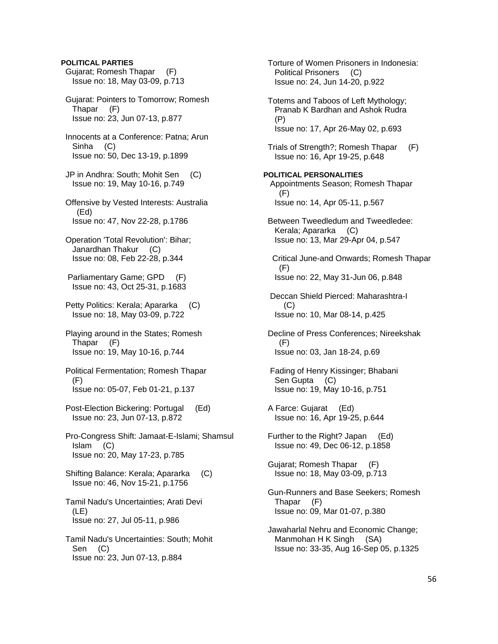## **POLITICAL PARTIES**

 Gujarat; Romesh Thapar (F) Issue no: 18, May 03-09, p.713

 Gujarat: Pointers to Tomorrow; Romesh Thapar (F) Issue no: 23, Jun 07-13, p.877

- Innocents at a Conference: Patna; Arun Sinha (C) Issue no: 50, Dec 13-19, p.1899
- JP in Andhra: South; Mohit Sen (C) Issue no: 19, May 10-16, p.749
- Offensive by Vested Interests: Australia (Ed) Issue no: 47, Nov 22-28, p.1786
- Operation 'Total Revolution': Bihar; Janardhan Thakur (C) Issue no: 08, Feb 22-28, p.344
- Parliamentary Game; GPD (F) Issue no: 43, Oct 25-31, p.1683
- Petty Politics: Kerala; Apararka (C) Issue no: 18, May 03-09, p.722
- Playing around in the States; Romesh Thapar (F) Issue no: 19, May 10-16, p.744
- Political Fermentation; Romesh Thapar (F) Issue no: 05-07, Feb 01-21, p.137
- Post-Election Bickering: Portugal (Ed) Issue no: 23, Jun 07-13, p.872
- Pro-Congress Shift: Jamaat-E-Islami; Shamsul Islam (C) Issue no: 20, May 17-23, p.785
- Shifting Balance: Kerala; Apararka (C) Issue no: 46, Nov 15-21, p.1756
- Tamil Nadu's Uncertainties; Arati Devi (LE) Issue no: 27, Jul 05-11, p.986
- Tamil Nadu's Uncertainties: South; Mohit Sen (C) Issue no: 23, Jun 07-13, p.884

 Torture of Women Prisoners in Indonesia: Political Prisoners (C) Issue no: 24, Jun 14-20, p.922 Totems and Taboos of Left Mythology; Pranab K Bardhan and Ashok Rudra (P) Issue no: 17, Apr 26-May 02, p.693 Trials of Strength?; Romesh Thapar (F) Issue no: 16, Apr 19-25, p.648 **POLITICAL PERSONALITIES**  Appointments Season; Romesh Thapar  $(F)$  Issue no: 14, Apr 05-11, p.567 Between Tweedledum and Tweedledee: Kerala; Apararka (C) Issue no: 13, Mar 29-Apr 04, p.547 Critical June-and Onwards; Romesh Thapar (F) Issue no: 22, May 31-Jun 06, p.848 Deccan Shield Pierced: Maharashtra-I (C) Issue no: 10, Mar 08-14, p.425 Decline of Press Conferences; Nireekshak (F) Issue no: 03, Jan 18-24, p.69 Fading of Henry Kissinger; Bhabani Sen Gupta (C) Issue no: 19, May 10-16, p.751 A Farce: Gujarat (Ed) Issue no: 16, Apr 19-25, p.644 Further to the Right? Japan (Ed) Issue no: 49, Dec 06-12, p.1858 Gujarat; Romesh Thapar (F) Issue no: 18, May 03-09, p.713 Gun-Runners and Base Seekers; Romesh Thapar (F) Issue no: 09, Mar 01-07, p.380 Jawaharlal Nehru and Economic Change; Manmohan H K Singh (SA) Issue no: 33-35, Aug 16-Sep 05, p.1325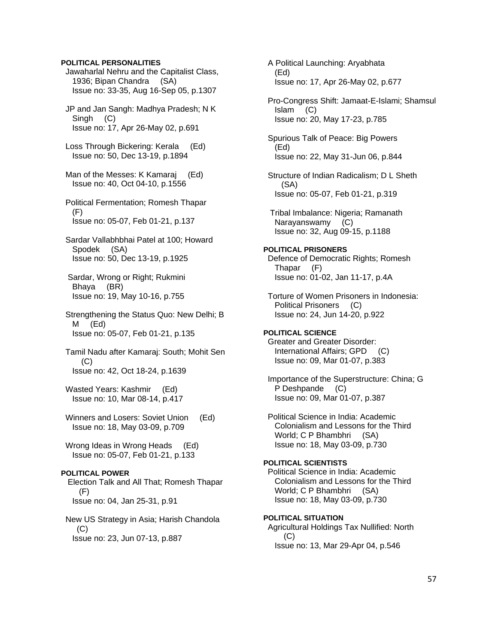## **POLITICAL PERSONALITIES**

 Jawaharlal Nehru and the Capitalist Class, 1936; Bipan Chandra (SA) Issue no: 33-35, Aug 16-Sep 05, p.1307

 JP and Jan Sangh: Madhya Pradesh; N K Singh (C) Issue no: 17, Apr 26-May 02, p.691

 Loss Through Bickering: Kerala (Ed) Issue no: 50, Dec 13-19, p.1894

 Man of the Messes: K Kamaraj (Ed) Issue no: 40, Oct 04-10, p.1556

 Political Fermentation; Romesh Thapar (F) Issue no: 05-07, Feb 01-21, p.137

 Sardar Vallabhbhai Patel at 100; Howard Spodek (SA) Issue no: 50, Dec 13-19, p.1925

 Sardar, Wrong or Right; Rukmini Bhaya (BR) Issue no: 19, May 10-16, p.755

 Strengthening the Status Quo: New Delhi; B M (Ed) Issue no: 05-07, Feb 01-21, p.135

 Tamil Nadu after Kamaraj: South; Mohit Sen  $(C)$ Issue no: 42, Oct 18-24, p.1639

Wasted Years: Kashmir (Ed) Issue no: 10, Mar 08-14, p.417

Winners and Losers: Soviet Union (Ed) Issue no: 18, May 03-09, p.709

 Wrong Ideas in Wrong Heads (Ed) Issue no: 05-07, Feb 01-21, p.133

### **POLITICAL POWER**

 Election Talk and All That; Romesh Thapar (F) Issue no: 04, Jan 25-31, p.91

 New US Strategy in Asia; Harish Chandola  $(C)$ Issue no: 23, Jun 07-13, p.887

 A Political Launching: Aryabhata (Ed) Issue no: 17, Apr 26-May 02, p.677

 Pro-Congress Shift: Jamaat-E-Islami; Shamsul Islam (C) Issue no: 20, May 17-23, p.785

 Spurious Talk of Peace: Big Powers (Ed) Issue no: 22, May 31-Jun 06, p.844

 Structure of Indian Radicalism; D L Sheth (SA) Issue no: 05-07, Feb 01-21, p.319

 Tribal Imbalance: Nigeria; Ramanath Narayanswamy (C) Issue no: 32, Aug 09-15, p.1188

**POLITICAL PRISONERS**  Defence of Democratic Rights; Romesh Thapar (F) Issue no: 01-02, Jan 11-17, p.4A

 Torture of Women Prisoners in Indonesia: Political Prisoners (C) Issue no: 24, Jun 14-20, p.922

# **POLITICAL SCIENCE**

 Greater and Greater Disorder: International Affairs; GPD (C) Issue no: 09, Mar 01-07, p.383

 Importance of the Superstructure: China; G P Deshpande (C) Issue no: 09, Mar 01-07, p.387

 Political Science in India: Academic Colonialism and Lessons for the Third World; C P Bhambhri (SA) Issue no: 18, May 03-09, p.730

# **POLITICAL SCIENTISTS**  Political Science in India: Academic

 Colonialism and Lessons for the Third World; C P Bhambhri (SA) Issue no: 18, May 03-09, p.730

## **POLITICAL SITUATION**

 Agricultural Holdings Tax Nullified: North (C) Issue no: 13, Mar 29-Apr 04, p.546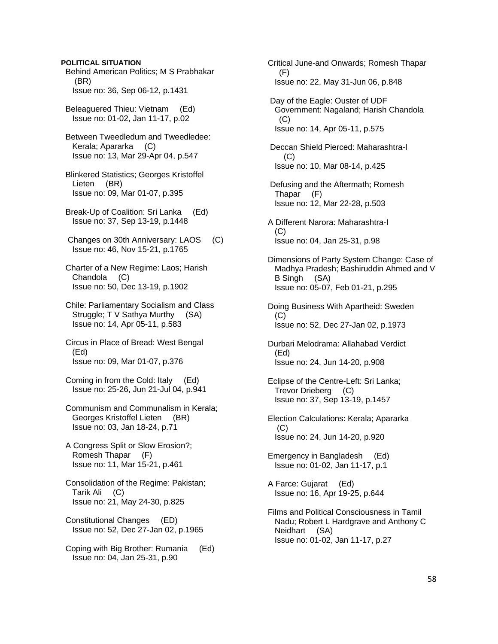## **POLITICAL SITUATION**

 Behind American Politics; M S Prabhakar (BR) Issue no: 36, Sep 06-12, p.1431

 Beleaguered Thieu: Vietnam (Ed) Issue no: 01-02, Jan 11-17, p.02

 Between Tweedledum and Tweedledee: Kerala; Apararka (C) Issue no: 13, Mar 29-Apr 04, p.547

 Blinkered Statistics; Georges Kristoffel Lieten (BR) Issue no: 09, Mar 01-07, p.395

 Break-Up of Coalition: Sri Lanka (Ed) Issue no: 37, Sep 13-19, p.1448

 Changes on 30th Anniversary: LAOS (C) Issue no: 46, Nov 15-21, p.1765

 Charter of a New Regime: Laos; Harish Chandola (C) Issue no: 50, Dec 13-19, p.1902

 Chile: Parliamentary Socialism and Class Struggle; T V Sathya Murthy (SA) Issue no: 14, Apr 05-11, p.583

 Circus in Place of Bread: West Bengal (Ed) Issue no: 09, Mar 01-07, p.376

 Coming in from the Cold: Italy (Ed) Issue no: 25-26, Jun 21-Jul 04, p.941

 Communism and Communalism in Kerala; Georges Kristoffel Lieten (BR) Issue no: 03, Jan 18-24, p.71

 A Congress Split or Slow Erosion?; Romesh Thapar (F) Issue no: 11, Mar 15-21, p.461

 Consolidation of the Regime: Pakistan; Tarik Ali (C) Issue no: 21, May 24-30, p.825

 Constitutional Changes (ED) Issue no: 52, Dec 27-Jan 02, p.1965

 Coping with Big Brother: Rumania (Ed) Issue no: 04, Jan 25-31, p.90

 Critical June-and Onwards; Romesh Thapar (F) Issue no: 22, May 31-Jun 06, p.848 Day of the Eagle: Ouster of UDF Government: Nagaland; Harish Chandola  $(C)$  Issue no: 14, Apr 05-11, p.575 Deccan Shield Pierced: Maharashtra-I (C) Issue no: 10, Mar 08-14, p.425 Defusing and the Aftermath; Romesh Thapar (F) Issue no: 12, Mar 22-28, p.503 A Different Narora: Maharashtra-I  $(C)$  Issue no: 04, Jan 25-31, p.98 Dimensions of Party System Change: Case of Madhya Pradesh; Bashiruddin Ahmed and V B Singh (SA) Issue no: 05-07, Feb 01-21, p.295 Doing Business With Apartheid: Sweden  $(C)$  Issue no: 52, Dec 27-Jan 02, p.1973 Durbari Melodrama: Allahabad Verdict (Ed) Issue no: 24, Jun 14-20, p.908 Eclipse of the Centre-Left: Sri Lanka; Trevor Drieberg (C) Issue no: 37, Sep 13-19, p.1457 Election Calculations: Kerala; Apararka (C) Issue no: 24, Jun 14-20, p.920 Emergency in Bangladesh (Ed) Issue no: 01-02, Jan 11-17, p.1 A Farce: Gujarat (Ed) Issue no: 16, Apr 19-25, p.644 Films and Political Consciousness in Tamil

 Nadu; Robert L Hardgrave and Anthony C Neidhart (SA) Issue no: 01-02, Jan 11-17, p.27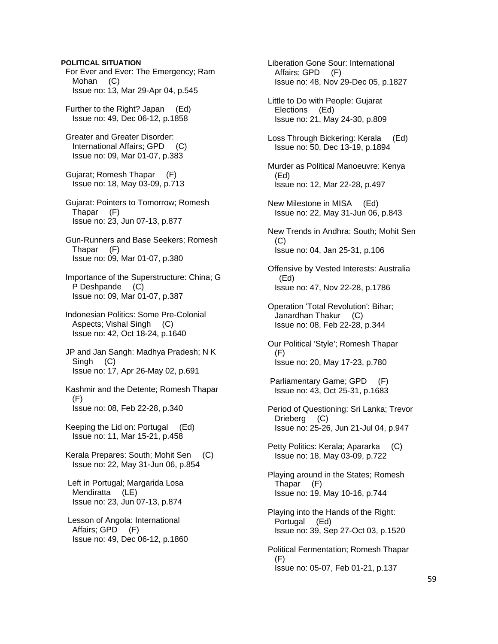## **POLITICAL SITUATION**

 For Ever and Ever: The Emergency; Ram Mohan (C) Issue no: 13, Mar 29-Apr 04, p.545

 Further to the Right? Japan (Ed) Issue no: 49, Dec 06-12, p.1858

 Greater and Greater Disorder: International Affairs; GPD (C) Issue no: 09, Mar 01-07, p.383

 Gujarat; Romesh Thapar (F) Issue no: 18, May 03-09, p.713

 Gujarat: Pointers to Tomorrow; Romesh Thapar (F) Issue no: 23, Jun 07-13, p.877

 Gun-Runners and Base Seekers; Romesh Thapar (F) Issue no: 09, Mar 01-07, p.380

 Importance of the Superstructure: China; G P Deshpande (C) Issue no: 09, Mar 01-07, p.387

 Indonesian Politics: Some Pre-Colonial Aspects; Vishal Singh (C) Issue no: 42, Oct 18-24, p.1640

 JP and Jan Sangh: Madhya Pradesh; N K Singh (C) Issue no: 17, Apr 26-May 02, p.691

 Kashmir and the Detente; Romesh Thapar (F) Issue no: 08, Feb 22-28, p.340

 Keeping the Lid on: Portugal (Ed) Issue no: 11, Mar 15-21, p.458

 Kerala Prepares: South; Mohit Sen (C) Issue no: 22, May 31-Jun 06, p.854

 Left in Portugal; Margarida Losa Mendiratta (LE) Issue no: 23, Jun 07-13, p.874

 Lesson of Angola: International Affairs; GPD (F) Issue no: 49, Dec 06-12, p.1860

 Liberation Gone Sour: International Affairs; GPD (F) Issue no: 48, Nov 29-Dec 05, p.1827 Little to Do with People: Gujarat Elections (Ed) Issue no: 21, May 24-30, p.809 Loss Through Bickering: Kerala (Ed) Issue no: 50, Dec 13-19, p.1894 Murder as Political Manoeuvre: Kenya (Ed) Issue no: 12, Mar 22-28, p.497 New Milestone in MISA (Ed) Issue no: 22, May 31-Jun 06, p.843 New Trends in Andhra: South; Mohit Sen (C) Issue no: 04, Jan 25-31, p.106 Offensive by Vested Interests: Australia (Ed) Issue no: 47, Nov 22-28, p.1786 Operation 'Total Revolution': Bihar; Janardhan Thakur (C) Issue no: 08, Feb 22-28, p.344 Our Political 'Style'; Romesh Thapar (F) Issue no: 20, May 17-23, p.780 Parliamentary Game; GPD (F) Issue no: 43, Oct 25-31, p.1683 Period of Questioning: Sri Lanka; Trevor Drieberg (C) Issue no: 25-26, Jun 21-Jul 04, p.947 Petty Politics: Kerala; Apararka (C) Issue no: 18, May 03-09, p.722 Playing around in the States; Romesh Thapar (F) Issue no: 19, May 10-16, p.744 Playing into the Hands of the Right: Portugal (Ed) Issue no: 39, Sep 27-Oct 03, p.1520 Political Fermentation; Romesh Thapar (F)

Issue no: 05-07, Feb 01-21, p.137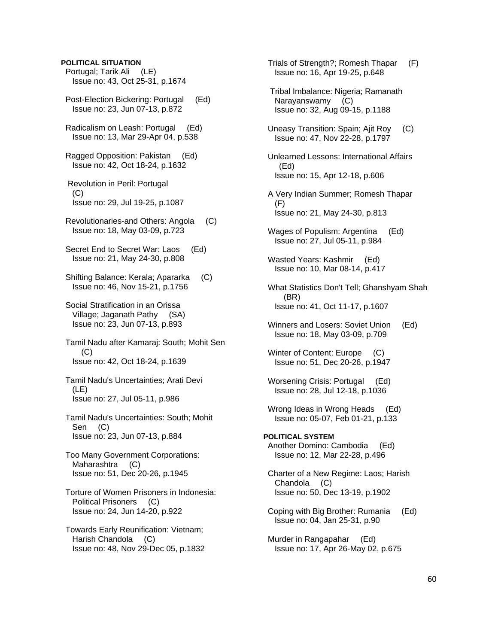## **POLITICAL SITUATION**

 Portugal; Tarik Ali (LE) Issue no: 43, Oct 25-31, p.1674

- Post-Election Bickering: Portugal (Ed) Issue no: 23, Jun 07-13, p.872
- Radicalism on Leash: Portugal (Ed) Issue no: 13, Mar 29-Apr 04, p.538
- Ragged Opposition: Pakistan (Ed) Issue no: 42, Oct 18-24, p.1632
- Revolution in Peril: Portugal  $(C)$ Issue no: 29, Jul 19-25, p.1087
- Revolutionaries-and Others: Angola (C) Issue no: 18, May 03-09, p.723
- Secret End to Secret War: Laos (Ed) Issue no: 21, May 24-30, p.808
- Shifting Balance: Kerala; Apararka (C) Issue no: 46, Nov 15-21, p.1756
- Social Stratification in an Orissa Village; Jaganath Pathy (SA) Issue no: 23, Jun 07-13, p.893
- Tamil Nadu after Kamaraj: South; Mohit Sen (C) Issue no: 42, Oct 18-24, p.1639
- Tamil Nadu's Uncertainties; Arati Devi (LE) Issue no: 27, Jul 05-11, p.986
- Tamil Nadu's Uncertainties: South; Mohit Sen (C) Issue no: 23, Jun 07-13, p.884
- Too Many Government Corporations: Maharashtra (C) Issue no: 51, Dec 20-26, p.1945
- Torture of Women Prisoners in Indonesia: Political Prisoners (C) Issue no: 24, Jun 14-20, p.922
- Towards Early Reunification: Vietnam; Harish Chandola (C) Issue no: 48, Nov 29-Dec 05, p.1832
- Trials of Strength?; Romesh Thapar (F) Issue no: 16, Apr 19-25, p.648
- Tribal Imbalance: Nigeria; Ramanath Narayanswamy (C) Issue no: 32, Aug 09-15, p.1188
- Uneasy Transition: Spain; Ajit Roy (C) Issue no: 47, Nov 22-28, p.1797
- Unlearned Lessons: International Affairs (Ed) Issue no: 15, Apr 12-18, p.606
- A Very Indian Summer; Romesh Thapar (F) Issue no: 21, May 24-30, p.813
- Wages of Populism: Argentina (Ed) Issue no: 27, Jul 05-11, p.984
- Wasted Years: Kashmir (Ed) Issue no: 10, Mar 08-14, p.417
- What Statistics Don't Tell; Ghanshyam Shah (BR) Issue no: 41, Oct 11-17, p.1607
- Winners and Losers: Soviet Union (Ed) Issue no: 18, May 03-09, p.709
- Winter of Content: Europe (C) Issue no: 51, Dec 20-26, p.1947
- Worsening Crisis: Portugal (Ed) Issue no: 28, Jul 12-18, p.1036
- Wrong Ideas in Wrong Heads (Ed) Issue no: 05-07, Feb 01-21, p.133
- **POLITICAL SYSTEM**  Another Domino: Cambodia (Ed) Issue no: 12, Mar 22-28, p.496
- Charter of a New Regime: Laos; Harish Chandola (C) Issue no: 50, Dec 13-19, p.1902
- Coping with Big Brother: Rumania (Ed) Issue no: 04, Jan 25-31, p.90
- Murder in Rangapahar (Ed) Issue no: 17, Apr 26-May 02, p.675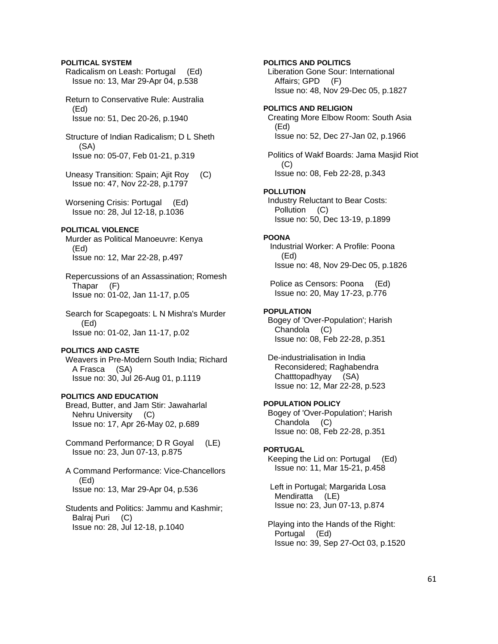## **POLITICAL SYSTEM**

 Radicalism on Leash: Portugal (Ed) Issue no: 13, Mar 29-Apr 04, p.538

 Return to Conservative Rule: Australia (Ed) Issue no: 51, Dec 20-26, p.1940

 Structure of Indian Radicalism; D L Sheth (SA) Issue no: 05-07, Feb 01-21, p.319

 Uneasy Transition: Spain; Ajit Roy (C) Issue no: 47, Nov 22-28, p.1797

 Worsening Crisis: Portugal (Ed) Issue no: 28, Jul 12-18, p.1036

## **POLITICAL VIOLENCE**

 Murder as Political Manoeuvre: Kenya (Ed) Issue no: 12, Mar 22-28, p.497

 Repercussions of an Assassination; Romesh Thapar (F) Issue no: 01-02, Jan 11-17, p.05

 Search for Scapegoats: L N Mishra's Murder (Ed) Issue no: 01-02, Jan 11-17, p.02

## **POLITICS AND CASTE**

 Weavers in Pre-Modern South India; Richard A Frasca (SA) Issue no: 30, Jul 26-Aug 01, p.1119

## **POLITICS AND EDUCATION**

 Bread, Butter, and Jam Stir: Jawaharlal Nehru University (C) Issue no: 17, Apr 26-May 02, p.689

- Command Performance; D R Goyal (LE) Issue no: 23, Jun 07-13, p.875
- A Command Performance: Vice-Chancellors (Ed) Issue no: 13, Mar 29-Apr 04, p.536

 Students and Politics: Jammu and Kashmir; Balraj Puri (C) Issue no: 28, Jul 12-18, p.1040

## **POLITICS AND POLITICS**

 Liberation Gone Sour: International Affairs; GPD (F) Issue no: 48, Nov 29-Dec 05, p.1827

### **POLITICS AND RELIGION**

 Creating More Elbow Room: South Asia (Ed) Issue no: 52, Dec 27-Jan 02, p.1966

 Politics of Wakf Boards: Jama Masjid Riot (C) Issue no: 08, Feb 22-28, p.343

### **POLLUTION**

 Industry Reluctant to Bear Costs: Pollution (C) Issue no: 50, Dec 13-19, p.1899

### **POONA**

 Industrial Worker: A Profile: Poona (Ed) Issue no: 48, Nov 29-Dec 05, p.1826

 Police as Censors: Poona (Ed) Issue no: 20, May 17-23, p.776

### **POPULATION**

 Bogey of 'Over-Population'; Harish Chandola (C) Issue no: 08, Feb 22-28, p.351

 De-industrialisation in India Reconsidered; Raghabendra Chatttopadhyay (SA) Issue no: 12, Mar 22-28, p.523

## **POPULATION POLICY**

 Bogey of 'Over-Population'; Harish Chandola (C) Issue no: 08, Feb 22-28, p.351

#### **PORTUGAL**

 Keeping the Lid on: Portugal (Ed) Issue no: 11, Mar 15-21, p.458

 Left in Portugal; Margarida Losa Mendiratta (LE) Issue no: 23, Jun 07-13, p.874

 Playing into the Hands of the Right: Portugal (Ed) Issue no: 39, Sep 27-Oct 03, p.1520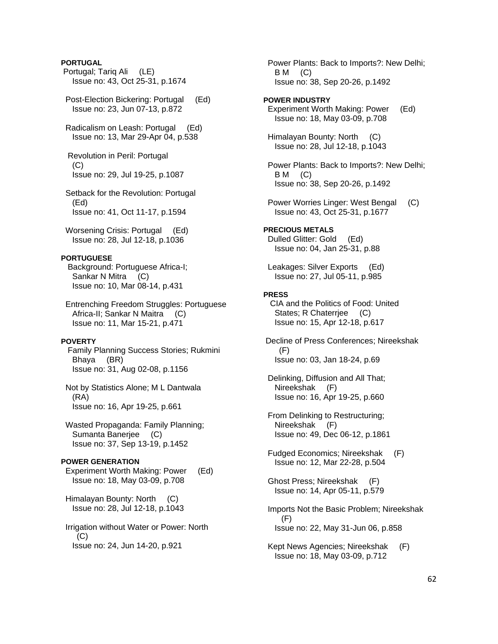## **PORTUGAL**

- Portugal; Tariq Ali (LE) Issue no: 43, Oct 25-31, p.1674
- Post-Election Bickering: Portugal (Ed) Issue no: 23, Jun 07-13, p.872
- Radicalism on Leash: Portugal (Ed) Issue no: 13, Mar 29-Apr 04, p.538

 Revolution in Peril: Portugal  $(C)$ Issue no: 29, Jul 19-25, p.1087

- Setback for the Revolution: Portugal (Ed) Issue no: 41, Oct 11-17, p.1594
- Worsening Crisis: Portugal (Ed) Issue no: 28, Jul 12-18, p.1036

### **PORTUGUESE**

 Background: Portuguese Africa-I; Sankar N Mitra (C) Issue no: 10, Mar 08-14, p.431

 Entrenching Freedom Struggles: Portuguese Africa-II; Sankar N Maitra (C) Issue no: 11, Mar 15-21, p.471

#### **POVERTY**

 Family Planning Success Stories; Rukmini Bhaya (BR) Issue no: 31, Aug 02-08, p.1156

 Not by Statistics Alone; M L Dantwala (RA) Issue no: 16, Apr 19-25, p.661

 Wasted Propaganda: Family Planning; Sumanta Banerjee (C) Issue no: 37, Sep 13-19, p.1452

## **POWER GENERATION**

 Experiment Worth Making: Power (Ed) Issue no: 18, May 03-09, p.708

 Himalayan Bounty: North (C) Issue no: 28, Jul 12-18, p.1043

 Irrigation without Water or Power: North  $(C)$ Issue no: 24, Jun 14-20, p.921

 Power Plants: Back to Imports?: New Delhi; B M (C) Issue no: 38, Sep 20-26, p.1492

### **POWER INDUSTRY**

 Experiment Worth Making: Power (Ed) Issue no: 18, May 03-09, p.708

 Himalayan Bounty: North (C) Issue no: 28, Jul 12-18, p.1043

 Power Plants: Back to Imports?: New Delhi;  $BM$  (C) Issue no: 38, Sep 20-26, p.1492

 Power Worries Linger: West Bengal (C) Issue no: 43, Oct 25-31, p.1677

## **PRECIOUS METALS**

 Dulled Glitter: Gold (Ed) Issue no: 04, Jan 25-31, p.88

 Leakages: Silver Exports (Ed) Issue no: 27, Jul 05-11, p.985

### **PRESS**

 CIA and the Politics of Food: United States; R Chaterrjee (C) Issue no: 15, Apr 12-18, p.617

 Decline of Press Conferences; Nireekshak (F) Issue no: 03, Jan 18-24, p.69

- Delinking, Diffusion and All That; Nireekshak (F) Issue no: 16, Apr 19-25, p.660
- From Delinking to Restructuring; Nireekshak (F) Issue no: 49, Dec 06-12, p.1861
- Fudged Economics; Nireekshak (F) Issue no: 12, Mar 22-28, p.504

 Ghost Press; Nireekshak (F) Issue no: 14, Apr 05-11, p.579

- Imports Not the Basic Problem; Nireekshak (F) Issue no: 22, May 31-Jun 06, p.858
- Kept News Agencies; Nireekshak (F) Issue no: 18, May 03-09, p.712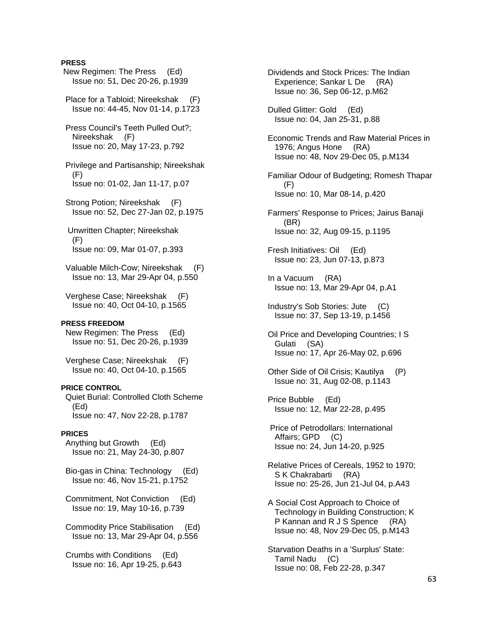## **PRESS**

 New Regimen: The Press (Ed) Issue no: 51, Dec 20-26, p.1939 Place for a Tabloid; Nireekshak (F) Issue no: 44-45, Nov 01-14, p.1723 Press Council's Teeth Pulled Out?; Nireekshak (F) Issue no: 20, May 17-23, p.792 Privilege and Partisanship; Nireekshak (F) Issue no: 01-02, Jan 11-17, p.07 Strong Potion; Nireekshak (F) Issue no: 52, Dec 27-Jan 02, p.1975 Unwritten Chapter; Nireekshak (F) Issue no: 09, Mar 01-07, p.393 Valuable Milch-Cow; Nireekshak (F) Issue no: 13, Mar 29-Apr 04, p.550 Verghese Case; Nireekshak (F) Issue no: 40, Oct 04-10, p.1565 **PRESS FREEDOM**  New Regimen: The Press (Ed) Issue no: 51, Dec 20-26, p.1939 Verghese Case; Nireekshak (F) Issue no: 40, Oct 04-10, p.1565 **PRICE CONTROL**  Quiet Burial: Controlled Cloth Scheme (Ed) Issue no: 47, Nov 22-28, p.1787 **PRICES**  Anything but Growth (Ed) Issue no: 21, May 24-30, p.807 Bio-gas in China: Technology (Ed) Issue no: 46, Nov 15-21, p.1752 Commitment, Not Conviction (Ed) Issue no: 19, May 10-16, p.739 Commodity Price Stabilisation (Ed) Issue no: 13, Mar 29-Apr 04, p.556 Crumbs with Conditions (Ed) Issue no: 16, Apr 19-25, p.643

 Dividends and Stock Prices: The Indian Experience; Sankar L De (RA) Issue no: 36, Sep 06-12, p.M62 Dulled Glitter: Gold (Ed) Issue no: 04, Jan 25-31, p.88 Economic Trends and Raw Material Prices in 1976; Angus Hone (RA) Issue no: 48, Nov 29-Dec 05, p.M134 Familiar Odour of Budgeting; Romesh Thapar (F) Issue no: 10, Mar 08-14, p.420 Farmers' Response to Prices; Jairus Banaji (BR) Issue no: 32, Aug 09-15, p.1195 Fresh Initiatives: Oil (Ed) Issue no: 23, Jun 07-13, p.873 In a Vacuum (RA) Issue no: 13, Mar 29-Apr 04, p.A1 Industry's Sob Stories: Jute (C) Issue no: 37, Sep 13-19, p.1456 Oil Price and Developing Countries; I S Gulati (SA) Issue no: 17, Apr 26-May 02, p.696 Other Side of Oil Crisis; Kautilya (P) Issue no: 31, Aug 02-08, p.1143 Price Bubble (Ed) Issue no: 12, Mar 22-28, p.495 Price of Petrodollars: International Affairs; GPD (C) Issue no: 24, Jun 14-20, p.925 Relative Prices of Cereals, 1952 to 1970; S K Chakrabarti (RA) Issue no: 25-26, Jun 21-Jul 04, p.A43 A Social Cost Approach to Choice of Technology in Building Construction; K P Kannan and R J S Spence (RA) Issue no: 48, Nov 29-Dec 05, p.M143 Starvation Deaths in a 'Surplus' State: Tamil Nadu (C) Issue no: 08, Feb 22-28, p.347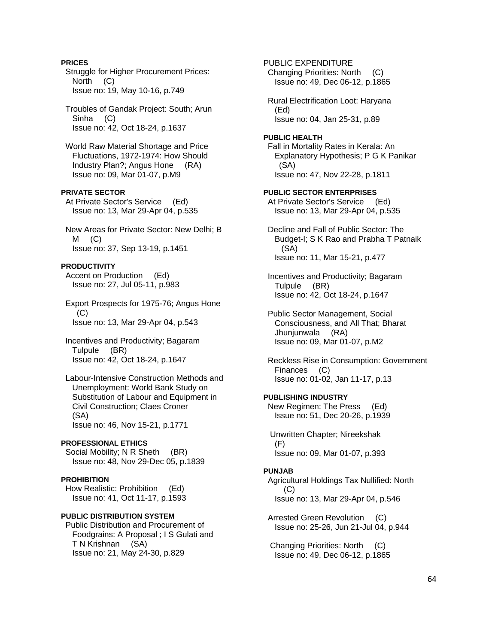## **PRICES**

 Struggle for Higher Procurement Prices: North (C) Issue no: 19, May 10-16, p.749

 Troubles of Gandak Project: South; Arun Sinha (C) Issue no: 42, Oct 18-24, p.1637

 World Raw Material Shortage and Price Fluctuations, 1972-1974: How Should Industry Plan?; Angus Hone (RA) Issue no: 09, Mar 01-07, p.M9

## **PRIVATE SECTOR**

 At Private Sector's Service (Ed) Issue no: 13, Mar 29-Apr 04, p.535

 New Areas for Private Sector: New Delhi; B  $M$  (C) Issue no: 37, Sep 13-19, p.1451

## **PRODUCTIVITY**

 Accent on Production (Ed) Issue no: 27, Jul 05-11, p.983

 Export Prospects for 1975-76; Angus Hone (C) Issue no: 13, Mar 29-Apr 04, p.543

 Incentives and Productivity; Bagaram Tulpule (BR) Issue no: 42, Oct 18-24, p.1647

 Labour-Intensive Construction Methods and Unemployment: World Bank Study on Substitution of Labour and Equipment in Civil Construction; Claes Croner (SA) Issue no: 46, Nov 15-21, p.1771

### **PROFESSIONAL ETHICS**

Social Mobility; N R Sheth (BR) Issue no: 48, Nov 29-Dec 05, p.1839

## **PROHIBITION**

 How Realistic: Prohibition (Ed) Issue no: 41, Oct 11-17, p.1593

## **PUBLIC DISTRIBUTION SYSTEM**

 Public Distribution and Procurement of Foodgrains: A Proposal ; I S Gulati and T N Krishnan (SA) Issue no: 21, May 24-30, p.829

 Changing Priorities: North (C) Issue no: 49, Dec 06-12, p.1865 Rural Electrification Loot: Haryana (Ed) Issue no: 04, Jan 25-31, p.89 **PUBLIC HEALTH**  Fall in Mortality Rates in Kerala: An Explanatory Hypothesis; P G K Panikar (SA) Issue no: 47, Nov 22-28, p.1811 **PUBLIC SECTOR ENTERPRISES**  At Private Sector's Service (Ed) Issue no: 13, Mar 29-Apr 04, p.535 Decline and Fall of Public Sector: The Budget-I; S K Rao and Prabha T Patnaik (SA) Issue no: 11, Mar 15-21, p.477 Incentives and Productivity; Bagaram Tulpule (BR) Issue no: 42, Oct 18-24, p.1647 Public Sector Management, Social Consciousness, and All That; Bharat Jhunjunwala (RA) Issue no: 09, Mar 01-07, p.M2 Reckless Rise in Consumption: Government Finances (C) Issue no: 01-02, Jan 11-17, p.13 **PUBLISHING INDUSTRY**  New Regimen: The Press (Ed) Issue no: 51, Dec 20-26, p.1939 Unwritten Chapter; Nireekshak (F) Issue no: 09, Mar 01-07, p.393 **PUNJAB**  Agricultural Holdings Tax Nullified: North (C) Issue no: 13, Mar 29-Apr 04, p.546 Arrested Green Revolution (C)

PUBLIC EXPENDITURE

 Changing Priorities: North (C) Issue no: 49, Dec 06-12, p.1865

Issue no: 25-26, Jun 21-Jul 04, p.944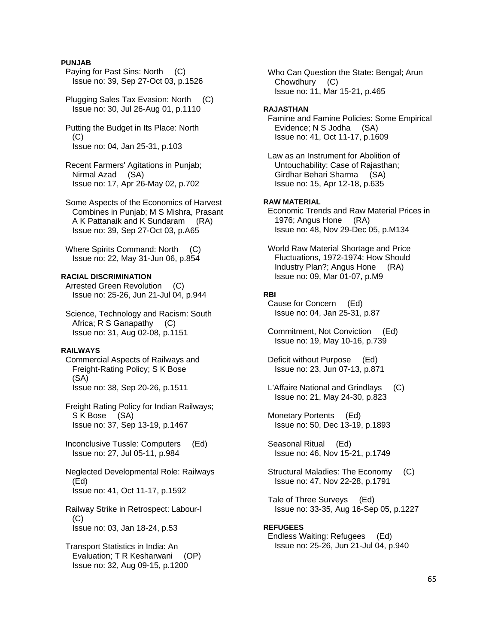## **PUNJAB**

 Paying for Past Sins: North (C) Issue no: 39, Sep 27-Oct 03, p.1526

 Plugging Sales Tax Evasion: North (C) Issue no: 30, Jul 26-Aug 01, p.1110

 Putting the Budget in Its Place: North  $(C)$ Issue no: 04, Jan 25-31, p.103

 Recent Farmers' Agitations in Punjab; Nirmal Azad (SA) Issue no: 17, Apr 26-May 02, p.702

 Some Aspects of the Economics of Harvest Combines in Punjab; M S Mishra, Prasant A K Pattanaik and K Sundaram (RA) Issue no: 39, Sep 27-Oct 03, p.A65

Where Spirits Command: North (C) Issue no: 22, May 31-Jun 06, p.854

## **RACIAL DISCRIMINATION**

 Arrested Green Revolution (C) Issue no: 25-26, Jun 21-Jul 04, p.944

 Science, Technology and Racism: South Africa; R S Ganapathy (C) Issue no: 31, Aug 02-08, p.1151

#### **RAILWAYS**

 Commercial Aspects of Railways and Freight-Rating Policy; S K Bose (SA) Issue no: 38, Sep 20-26, p.1511

 Freight Rating Policy for Indian Railways; S K Bose (SA) Issue no: 37, Sep 13-19, p.1467

 Inconclusive Tussle: Computers (Ed) Issue no: 27, Jul 05-11, p.984

 Neglected Developmental Role: Railways (Ed) Issue no: 41, Oct 11-17, p.1592

 Railway Strike in Retrospect: Labour-I (C) Issue no: 03, Jan 18-24, p.53

 Transport Statistics in India: An Evaluation; T R Kesharwani (OP) Issue no: 32, Aug 09-15, p.1200

 Who Can Question the State: Bengal; Arun Chowdhury (C) Issue no: 11, Mar 15-21, p.465

### **RAJASTHAN**

 Famine and Famine Policies: Some Empirical Evidence; N S Jodha (SA) Issue no: 41, Oct 11-17, p.1609

 Law as an Instrument for Abolition of Untouchability: Case of Rajasthan; Girdhar Behari Sharma (SA) Issue no: 15, Apr 12-18, p.635

## **RAW MATERIAL**

 Economic Trends and Raw Material Prices in 1976; Angus Hone (RA) Issue no: 48, Nov 29-Dec 05, p.M134

 World Raw Material Shortage and Price Fluctuations, 1972-1974: How Should Industry Plan?; Angus Hone (RA) Issue no: 09, Mar 01-07, p.M9

### **RBI**

 Cause for Concern (Ed) Issue no: 04, Jan 25-31, p.87

 Commitment, Not Conviction (Ed) Issue no: 19, May 10-16, p.739

 Deficit without Purpose (Ed) Issue no: 23, Jun 07-13, p.871

 L'Affaire National and Grindlays (C) Issue no: 21, May 24-30, p.823

 Monetary Portents (Ed) Issue no: 50, Dec 13-19, p.1893

 Seasonal Ritual (Ed) Issue no: 46, Nov 15-21, p.1749

 Structural Maladies: The Economy (C) Issue no: 47, Nov 22-28, p.1791

 Tale of Three Surveys (Ed) Issue no: 33-35, Aug 16-Sep 05, p.1227

## **REFUGEES**

 Endless Waiting: Refugees (Ed) Issue no: 25-26, Jun 21-Jul 04, p.940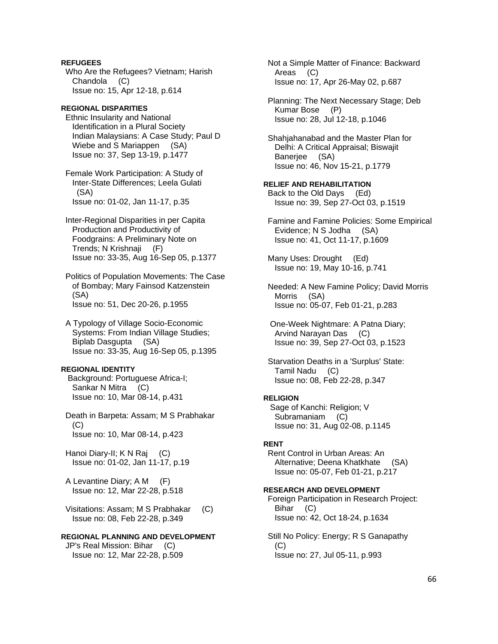**REFUGEES**  Who Are the Refugees? Vietnam; Harish Chandola (C) Issue no: 15, Apr 12-18, p.614

**REGIONAL DISPARITIES**  Ethnic Insularity and National Identification in a Plural Society Indian Malaysians: A Case Study; Paul D Wiebe and S Mariappen (SA) Issue no: 37, Sep 13-19, p.1477

 Female Work Participation: A Study of Inter-State Differences; Leela Gulati (SA) Issue no: 01-02, Jan 11-17, p.35

 Inter-Regional Disparities in per Capita Production and Productivity of Foodgrains: A Preliminary Note on Trends; N Krishnaji (F) Issue no: 33-35, Aug 16-Sep 05, p.1377

 Politics of Population Movements: The Case of Bombay; Mary Fainsod Katzenstein (SA) Issue no: 51, Dec 20-26, p.1955

 A Typology of Village Socio-Economic Systems: From Indian Village Studies; Biplab Dasgupta (SA) Issue no: 33-35, Aug 16-Sep 05, p.1395

### **REGIONAL IDENTITY**

 Background: Portuguese Africa-I; Sankar N Mitra (C) Issue no: 10, Mar 08-14, p.431

 Death in Barpeta: Assam; M S Prabhakar (C) Issue no: 10, Mar 08-14, p.423

 Hanoi Diary-II; K N Raj (C) Issue no: 01-02, Jan 11-17, p.19

 A Levantine Diary; A M (F) Issue no: 12, Mar 22-28, p.518

 Visitations: Assam; M S Prabhakar (C) Issue no: 08, Feb 22-28, p.349

## **REGIONAL PLANNING AND DEVELOPMENT**  JP's Real Mission: Bihar (C)

Issue no: 12, Mar 22-28, p.509

 Not a Simple Matter of Finance: Backward Areas (C) Issue no: 17, Apr 26-May 02, p.687

 Planning: The Next Necessary Stage; Deb Kumar Bose (P) Issue no: 28, Jul 12-18, p.1046

 Shahjahanabad and the Master Plan for Delhi: A Critical Appraisal; Biswajit Banerjee (SA) Issue no: 46, Nov 15-21, p.1779

### **RELIEF AND REHABILITATION**

 Back to the Old Days (Ed) Issue no: 39, Sep 27-Oct 03, p.1519

 Famine and Famine Policies: Some Empirical Evidence; N S Jodha (SA) Issue no: 41, Oct 11-17, p.1609

 Many Uses: Drought (Ed) Issue no: 19, May 10-16, p.741

 Needed: A New Famine Policy; David Morris Morris (SA) Issue no: 05-07, Feb 01-21, p.283

 One-Week Nightmare: A Patna Diary; Arvind Narayan Das (C) Issue no: 39, Sep 27-Oct 03, p.1523

 Starvation Deaths in a 'Surplus' State: Tamil Nadu (C) Issue no: 08, Feb 22-28, p.347

## **RELIGION**

 Sage of Kanchi: Religion; V Subramaniam (C) Issue no: 31, Aug 02-08, p.1145

## **RENT**

 Rent Control in Urban Areas: An Alternative; Deena Khatkhate (SA) Issue no: 05-07, Feb 01-21, p.217

## **RESEARCH AND DEVELOPMENT**

 Foreign Participation in Research Project: Bihar (C) Issue no: 42, Oct 18-24, p.1634

 Still No Policy: Energy; R S Ganapathy  $(C)$ Issue no: 27, Jul 05-11, p.993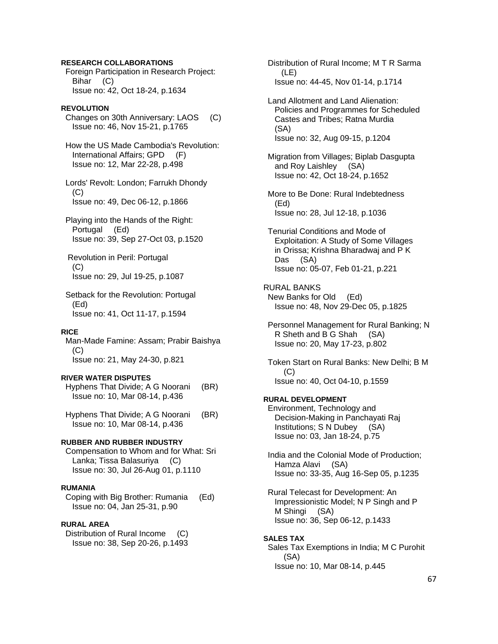### **RESEARCH COLLABORATIONS**

 Foreign Participation in Research Project: Bihar (C) Issue no: 42, Oct 18-24, p.1634

## **REVOLUTION**

 Changes on 30th Anniversary: LAOS (C) Issue no: 46, Nov 15-21, p.1765

 How the US Made Cambodia's Revolution: International Affairs; GPD (F) Issue no: 12, Mar 22-28, p.498

 Lords' Revolt: London; Farrukh Dhondy  $(C)$ Issue no: 49, Dec 06-12, p.1866

 Playing into the Hands of the Right: Portugal (Ed) Issue no: 39, Sep 27-Oct 03, p.1520

 Revolution in Peril: Portugal (C) Issue no: 29, Jul 19-25, p.1087

 Setback for the Revolution: Portugal (Ed) Issue no: 41, Oct 11-17, p.1594

## **RICE**

 Man-Made Famine: Assam; Prabir Baishya  $(C)$ Issue no: 21, May 24-30, p.821

### **RIVER WATER DISPUTES**

 Hyphens That Divide; A G Noorani (BR) Issue no: 10, Mar 08-14, p.436

 Hyphens That Divide; A G Noorani (BR) Issue no: 10, Mar 08-14, p.436

### **RUBBER AND RUBBER INDUSTRY**

 Compensation to Whom and for What: Sri Lanka; Tissa Balasuriya (C) Issue no: 30, Jul 26-Aug 01, p.1110

### **RUMANIA**

 Coping with Big Brother: Rumania (Ed) Issue no: 04, Jan 25-31, p.90

### **RURAL AREA**

 Distribution of Rural Income (C) Issue no: 38, Sep 20-26, p.1493  Distribution of Rural Income; M T R Sarma (LE) Issue no: 44-45, Nov 01-14, p.1714

 Land Allotment and Land Alienation: Policies and Programmes for Scheduled Castes and Tribes; Ratna Murdia (SA) Issue no: 32, Aug 09-15, p.1204

 Migration from Villages; Biplab Dasgupta and Roy Laishley (SA) Issue no: 42, Oct 18-24, p.1652

 More to Be Done: Rural Indebtedness (Ed) Issue no: 28, Jul 12-18, p.1036

 Tenurial Conditions and Mode of Exploitation: A Study of Some Villages in Orissa; Krishna Bharadwaj and P K Das (SA) Issue no: 05-07, Feb 01-21, p.221

RURAL BANKS New Banks for Old (Ed) Issue no: 48, Nov 29-Dec 05, p.1825

 Personnel Management for Rural Banking; N R Sheth and B G Shah (SA) Issue no: 20, May 17-23, p.802

 Token Start on Rural Banks: New Delhi; B M (C) Issue no: 40, Oct 04-10, p.1559

### **RURAL DEVELOPMENT**

 Environment, Technology and Decision-Making in Panchayati Raj Institutions; S N Dubey (SA) Issue no: 03, Jan 18-24, p.75

 India and the Colonial Mode of Production; Hamza Alavi (SA) Issue no: 33-35, Aug 16-Sep 05, p.1235

 Rural Telecast for Development: An Impressionistic Model; N P Singh and P M Shingi (SA) Issue no: 36, Sep 06-12, p.1433

#### **SALES TAX**

 Sales Tax Exemptions in India; M C Purohit (SA) Issue no: 10, Mar 08-14, p.445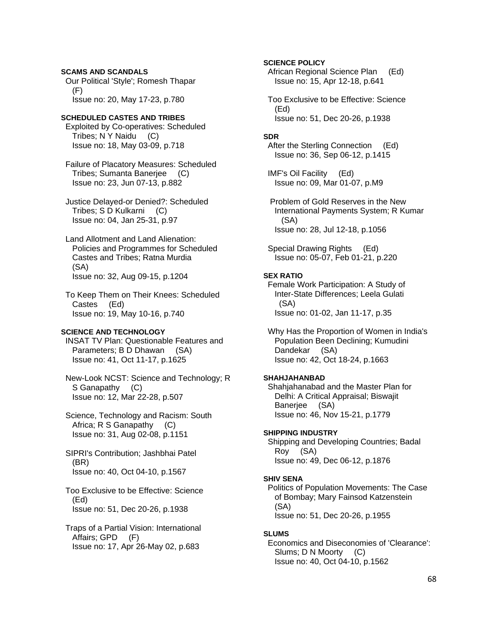# **SCAMS AND SCANDALS**

 Our Political 'Style'; Romesh Thapar (F) Issue no: 20, May 17-23, p.780

### **SCHEDULED CASTES AND TRIBES**

 Exploited by Co-operatives: Scheduled Tribes; N Y Naidu (C) Issue no: 18, May 03-09, p.718

 Failure of Placatory Measures: Scheduled Tribes; Sumanta Banerjee (C) Issue no: 23, Jun 07-13, p.882

 Justice Delayed-or Denied?: Scheduled Tribes; S D Kulkarni (C) Issue no: 04, Jan 25-31, p.97

 Land Allotment and Land Alienation: Policies and Programmes for Scheduled Castes and Tribes; Ratna Murdia (SA) Issue no: 32, Aug 09-15, p.1204

 To Keep Them on Their Knees: Scheduled Castes (Ed) Issue no: 19, May 10-16, p.740

## **SCIENCE AND TECHNOLOGY**

 INSAT TV Plan: Questionable Features and Parameters; B D Dhawan (SA) Issue no: 41, Oct 11-17, p.1625

 New-Look NCST: Science and Technology; R S Ganapathy (C) Issue no: 12, Mar 22-28, p.507

 Science, Technology and Racism: South Africa; R S Ganapathy (C) Issue no: 31, Aug 02-08, p.1151

 SIPRI's Contribution; Jashbhai Patel (BR) Issue no: 40, Oct 04-10, p.1567

 Too Exclusive to be Effective: Science (Ed) Issue no: 51, Dec 20-26, p.1938

 Traps of a Partial Vision: International Affairs; GPD (F) Issue no: 17, Apr 26-May 02, p.683

## **SCIENCE POLICY**

 African Regional Science Plan (Ed) Issue no: 15, Apr 12-18, p.641

 Too Exclusive to be Effective: Science (Ed) Issue no: 51, Dec 20-26, p.1938

#### **SDR**

 After the Sterling Connection (Ed) Issue no: 36, Sep 06-12, p.1415

 IMF's Oil Facility (Ed) Issue no: 09, Mar 01-07, p.M9

 Problem of Gold Reserves in the New International Payments System; R Kumar (SA) Issue no: 28, Jul 12-18, p.1056

 Special Drawing Rights (Ed) Issue no: 05-07, Feb 01-21, p.220

### **SEX RATIO**

 Female Work Participation: A Study of Inter-State Differences; Leela Gulati (SA) Issue no: 01-02, Jan 11-17, p.35

 Why Has the Proportion of Women in India's Population Been Declining; Kumudini Dandekar (SA) Issue no: 42, Oct 18-24, p.1663

### **SHAHJAHANBAD**

 Shahjahanabad and the Master Plan for Delhi: A Critical Appraisal; Biswajit Banerjee (SA) Issue no: 46, Nov 15-21, p.1779

#### **SHIPPING INDUSTRY**

 Shipping and Developing Countries; Badal Roy (SA) Issue no: 49, Dec 06-12, p.1876

#### **SHIV SENA**

 Politics of Population Movements: The Case of Bombay; Mary Fainsod Katzenstein (SA) Issue no: 51, Dec 20-26, p.1955

#### **SLUMS**

 Economics and Diseconomies of 'Clearance': Slums; D N Moorty (C) Issue no: 40, Oct 04-10, p.1562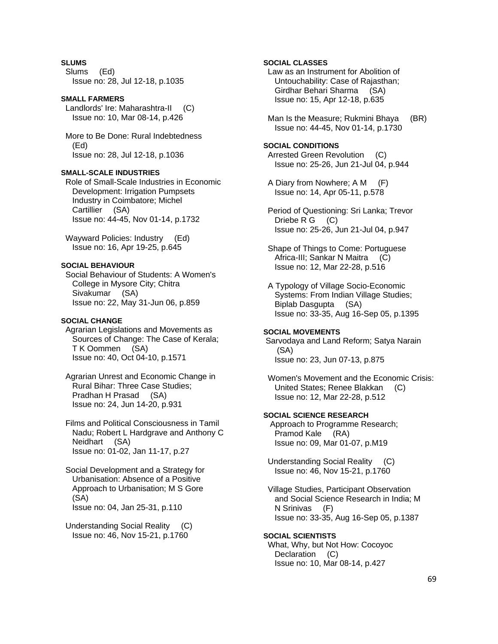## **SLUMS**

 Slums (Ed) Issue no: 28, Jul 12-18, p.1035

### **SMALL FARMERS**

 Landlords' Ire: Maharashtra-II (C) Issue no: 10, Mar 08-14, p.426

 More to Be Done: Rural Indebtedness (Ed) Issue no: 28, Jul 12-18, p.1036

## **SMALL-SCALE INDUSTRIES**

 Role of Small-Scale Industries in Economic Development: Irrigation Pumpsets Industry in Coimbatore; Michel Cartillier (SA) Issue no: 44-45, Nov 01-14, p.1732

 Wayward Policies: Industry (Ed) Issue no: 16, Apr 19-25, p.645

## **SOCIAL BEHAVIOUR**

 Social Behaviour of Students: A Women's College in Mysore City; Chitra Sivakumar (SA) Issue no: 22, May 31-Jun 06, p.859

### **SOCIAL CHANGE**

 Agrarian Legislations and Movements as Sources of Change: The Case of Kerala; T K Oommen (SA) Issue no: 40, Oct 04-10, p.1571

 Agrarian Unrest and Economic Change in Rural Bihar: Three Case Studies; Pradhan H Prasad (SA) Issue no: 24, Jun 14-20, p.931

 Films and Political Consciousness in Tamil Nadu; Robert L Hardgrave and Anthony C Neidhart (SA) Issue no: 01-02, Jan 11-17, p.27

 Social Development and a Strategy for Urbanisation: Absence of a Positive Approach to Urbanisation; M S Gore (SA) Issue no: 04, Jan 25-31, p.110

 Understanding Social Reality (C) Issue no: 46, Nov 15-21, p.1760

## **SOCIAL CLASSES**

 Law as an Instrument for Abolition of Untouchability: Case of Rajasthan; Girdhar Behari Sharma (SA) Issue no: 15, Apr 12-18, p.635

Man Is the Measure; Rukmini Bhaya (BR) Issue no: 44-45, Nov 01-14, p.1730

### **SOCIAL CONDITIONS**

 Arrested Green Revolution (C) Issue no: 25-26, Jun 21-Jul 04, p.944

 A Diary from Nowhere; A M (F) Issue no: 14, Apr 05-11, p.578

 Period of Questioning: Sri Lanka; Trevor Driebe R G (C) Issue no: 25-26, Jun 21-Jul 04, p.947

 Shape of Things to Come: Portuguese Africa-III; Sankar N Maitra (C) Issue no: 12, Mar 22-28, p.516

 A Typology of Village Socio-Economic Systems: From Indian Village Studies; Biplab Dasgupta (SA) Issue no: 33-35, Aug 16-Sep 05, p.1395

## **SOCIAL MOVEMENTS**

 Sarvodaya and Land Reform; Satya Narain (SA) Issue no: 23, Jun 07-13, p.875

 Women's Movement and the Economic Crisis: United States; Renee Blakkan (C) Issue no: 12, Mar 22-28, p.512

## **SOCIAL SCIENCE RESEARCH**

 Approach to Programme Research; Pramod Kale (RA) Issue no: 09, Mar 01-07, p.M19

 Understanding Social Reality (C) Issue no: 46, Nov 15-21, p.1760

 Village Studies, Participant Observation and Social Science Research in India; M N Srinivas (F) Issue no: 33-35, Aug 16-Sep 05, p.1387

### **SOCIAL SCIENTISTS**

 What, Why, but Not How: Cocoyoc Declaration (C) Issue no: 10, Mar 08-14, p.427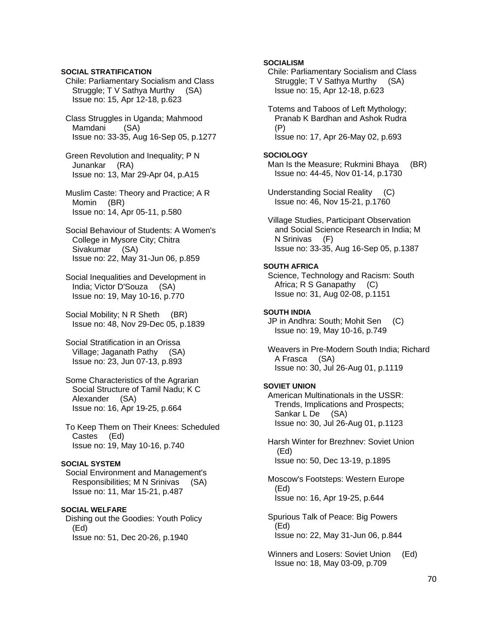## **SOCIAL STRATIFICATION**

 Chile: Parliamentary Socialism and Class Struggle; T V Sathya Murthy (SA) Issue no: 15, Apr 12-18, p.623

 Class Struggles in Uganda; Mahmood Mamdani (SA) Issue no: 33-35, Aug 16-Sep 05, p.1277

 Green Revolution and Inequality; P N Junankar (RA) Issue no: 13, Mar 29-Apr 04, p.A15

 Muslim Caste: Theory and Practice; A R Momin (BR) Issue no: 14, Apr 05-11, p.580

 Social Behaviour of Students: A Women's College in Mysore City; Chitra Sivakumar (SA) Issue no: 22, May 31-Jun 06, p.859

 Social Inequalities and Development in India; Victor D'Souza (SA) Issue no: 19, May 10-16, p.770

Social Mobility; N R Sheth (BR) Issue no: 48, Nov 29-Dec 05, p.1839

 Social Stratification in an Orissa Village; Jaganath Pathy (SA) Issue no: 23, Jun 07-13, p.893

 Some Characteristics of the Agrarian Social Structure of Tamil Nadu; K C Alexander (SA) Issue no: 16, Apr 19-25, p.664

 To Keep Them on Their Knees: Scheduled Castes (Ed) Issue no: 19, May 10-16, p.740

#### **SOCIAL SYSTEM**

 Social Environment and Management's Responsibilities; M N Srinivas (SA) Issue no: 11, Mar 15-21, p.487

## **SOCIAL WELFARE**

 Dishing out the Goodies: Youth Policy (Ed) Issue no: 51, Dec 20-26, p.1940

## **SOCIALISM**

 Chile: Parliamentary Socialism and Class Struggle; T V Sathya Murthy (SA) Issue no: 15, Apr 12-18, p.623

 Totems and Taboos of Left Mythology; Pranab K Bardhan and Ashok Rudra (P) Issue no: 17, Apr 26-May 02, p.693

#### **SOCIOLOGY**

Man Is the Measure; Rukmini Bhaya (BR) Issue no: 44-45, Nov 01-14, p.1730

 Understanding Social Reality (C) Issue no: 46, Nov 15-21, p.1760

 Village Studies, Participant Observation and Social Science Research in India; M N Srinivas (F) Issue no: 33-35, Aug 16-Sep 05, p.1387

### **SOUTH AFRICA**

 Science, Technology and Racism: South Africa; R S Ganapathy (C) Issue no: 31, Aug 02-08, p.1151

## **SOUTH INDIA**

 JP in Andhra: South; Mohit Sen (C) Issue no: 19, May 10-16, p.749

 Weavers in Pre-Modern South India; Richard A Frasca (SA) Issue no: 30, Jul 26-Aug 01, p.1119

#### **SOVIET UNION**

 American Multinationals in the USSR: Trends, Implications and Prospects; Sankar L De (SA) Issue no: 30, Jul 26-Aug 01, p.1123

 Harsh Winter for Brezhnev: Soviet Union (Ed) Issue no: 50, Dec 13-19, p.1895

 Moscow's Footsteps: Western Europe (Ed) Issue no: 16, Apr 19-25, p.644

 Spurious Talk of Peace: Big Powers (Ed) Issue no: 22, May 31-Jun 06, p.844

 Winners and Losers: Soviet Union (Ed) Issue no: 18, May 03-09, p.709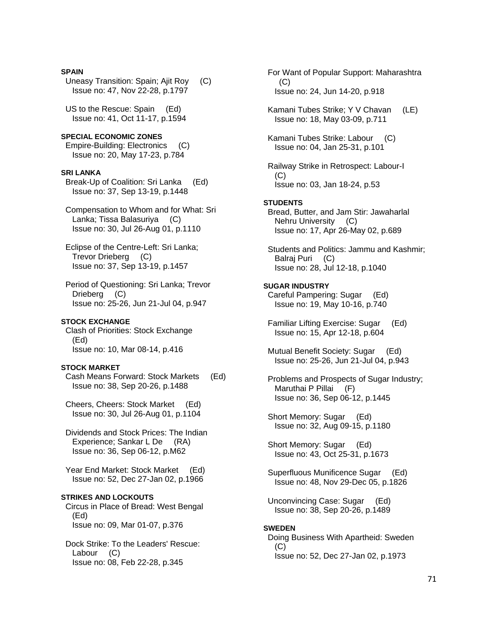#### **SPAIN**

 Uneasy Transition: Spain; Ajit Roy (C) Issue no: 47, Nov 22-28, p.1797

 US to the Rescue: Spain (Ed) Issue no: 41, Oct 11-17, p.1594

**SPECIAL ECONOMIC ZONES**  Empire-Building: Electronics (C) Issue no: 20, May 17-23, p.784

#### **SRI LANKA**

 Break-Up of Coalition: Sri Lanka (Ed) Issue no: 37, Sep 13-19, p.1448

 Compensation to Whom and for What: Sri Lanka; Tissa Balasuriya (C) Issue no: 30, Jul 26-Aug 01, p.1110

 Eclipse of the Centre-Left: Sri Lanka; Trevor Drieberg (C) Issue no: 37, Sep 13-19, p.1457

 Period of Questioning: Sri Lanka; Trevor Drieberg (C) Issue no: 25-26, Jun 21-Jul 04, p.947

#### **STOCK EXCHANGE**

 Clash of Priorities: Stock Exchange (Ed) Issue no: 10, Mar 08-14, p.416

## **STOCK MARKET**

 Cash Means Forward: Stock Markets (Ed) Issue no: 38, Sep 20-26, p.1488

 Cheers, Cheers: Stock Market (Ed) Issue no: 30, Jul 26-Aug 01, p.1104

 Dividends and Stock Prices: The Indian Experience; Sankar L De (RA) Issue no: 36, Sep 06-12, p.M62

 Year End Market: Stock Market (Ed) Issue no: 52, Dec 27-Jan 02, p.1966

#### **STRIKES AND LOCKOUTS**

 Circus in Place of Bread: West Bengal (Ed) Issue no: 09, Mar 01-07, p.376

 Dock Strike: To the Leaders' Rescue: Labour (C) Issue no: 08, Feb 22-28, p.345

 For Want of Popular Support: Maharashtra  $(C)$ Issue no: 24, Jun 14-20, p.918

 Kamani Tubes Strike; Y V Chavan (LE) Issue no: 18, May 03-09, p.711

 Kamani Tubes Strike: Labour (C) Issue no: 04, Jan 25-31, p.101

 Railway Strike in Retrospect: Labour-I  $(C)$ Issue no: 03, Jan 18-24, p.53

#### **STUDENTS**

 Bread, Butter, and Jam Stir: Jawaharlal Nehru University (C) Issue no: 17, Apr 26-May 02, p.689

 Students and Politics: Jammu and Kashmir; Balraj Puri (C) Issue no: 28, Jul 12-18, p.1040

## **SUGAR INDUSTRY**

 Careful Pampering: Sugar (Ed) Issue no: 19, May 10-16, p.740

- Familiar Lifting Exercise: Sugar (Ed) Issue no: 15, Apr 12-18, p.604
- Mutual Benefit Society: Sugar (Ed) Issue no: 25-26, Jun 21-Jul 04, p.943
- Problems and Prospects of Sugar Industry; Maruthai P Pillai (F) Issue no: 36, Sep 06-12, p.1445

 Short Memory: Sugar (Ed) Issue no: 32, Aug 09-15, p.1180

 Short Memory: Sugar (Ed) Issue no: 43, Oct 25-31, p.1673

 Superfluous Munificence Sugar (Ed) Issue no: 48, Nov 29-Dec 05, p.1826

 Unconvincing Case: Sugar (Ed) Issue no: 38, Sep 20-26, p.1489

### **SWEDEN**

 Doing Business With Apartheid: Sweden (C) Issue no: 52, Dec 27-Jan 02, p.1973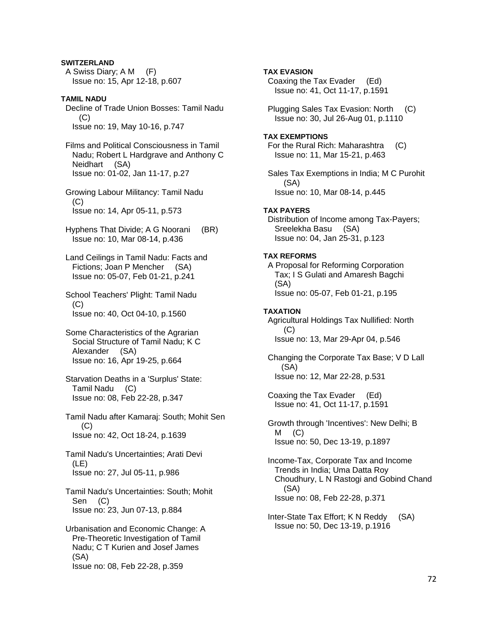## **SWITZERLAND**

 A Swiss Diary; A M (F) Issue no: 15, Apr 12-18, p.607

**TAMIL NADU**  Decline of Trade Union Bosses: Tamil Nadu  $(C)$ Issue no: 19, May 10-16, p.747

 Films and Political Consciousness in Tamil Nadu; Robert L Hardgrave and Anthony C Neidhart (SA) Issue no: 01-02, Jan 11-17, p.27

 Growing Labour Militancy: Tamil Nadu (C) Issue no: 14, Apr 05-11, p.573

- Hyphens That Divide; A G Noorani (BR) Issue no: 10, Mar 08-14, p.436
- Land Ceilings in Tamil Nadu: Facts and Fictions; Joan P Mencher (SA) Issue no: 05-07, Feb 01-21, p.241

 School Teachers' Plight: Tamil Nadu (C) Issue no: 40, Oct 04-10, p.1560

- Some Characteristics of the Agrarian Social Structure of Tamil Nadu; K C Alexander (SA) Issue no: 16, Apr 19-25, p.664
- Starvation Deaths in a 'Surplus' State: Tamil Nadu (C) Issue no: 08, Feb 22-28, p.347
- Tamil Nadu after Kamaraj: South; Mohit Sen (C) Issue no: 42, Oct 18-24, p.1639

 Tamil Nadu's Uncertainties; Arati Devi (LE) Issue no: 27, Jul 05-11, p.986

 Tamil Nadu's Uncertainties: South; Mohit Sen (C) Issue no: 23, Jun 07-13, p.884

 Urbanisation and Economic Change: A Pre-Theoretic Investigation of Tamil Nadu; C T Kurien and Josef James (SA) Issue no: 08, Feb 22-28, p.359

**TAX EVASION**  Coaxing the Tax Evader (Ed) Issue no: 41, Oct 11-17, p.1591 Plugging Sales Tax Evasion: North (C) Issue no: 30, Jul 26-Aug 01, p.1110 **TAX EXEMPTIONS**  For the Rural Rich: Maharashtra (C) Issue no: 11, Mar 15-21, p.463 Sales Tax Exemptions in India; M C Purohit (SA) Issue no: 10, Mar 08-14, p.445 **TAX PAYERS**  Distribution of Income among Tax-Payers; Sreelekha Basu (SA) Issue no: 04, Jan 25-31, p.123 **TAX REFORMS**  A Proposal for Reforming Corporation Tax; I S Gulati and Amaresh Bagchi (SA) Issue no: 05-07, Feb 01-21, p.195 **TAXATION**  Agricultural Holdings Tax Nullified: North (C) Issue no: 13, Mar 29-Apr 04, p.546 Changing the Corporate Tax Base; V D Lall (SA) Issue no: 12, Mar 22-28, p.531 Coaxing the Tax Evader (Ed) Issue no: 41, Oct 11-17, p.1591 Growth through 'Incentives': New Delhi; B  $M$  (C) Issue no: 50, Dec 13-19, p.1897 Income-Tax, Corporate Tax and Income Trends in India; Uma Datta Roy Choudhury, L N Rastogi and Gobind Chand (SA) Issue no: 08, Feb 22-28, p.371

 Inter-State Tax Effort; K N Reddy (SA) Issue no: 50, Dec 13-19, p.1916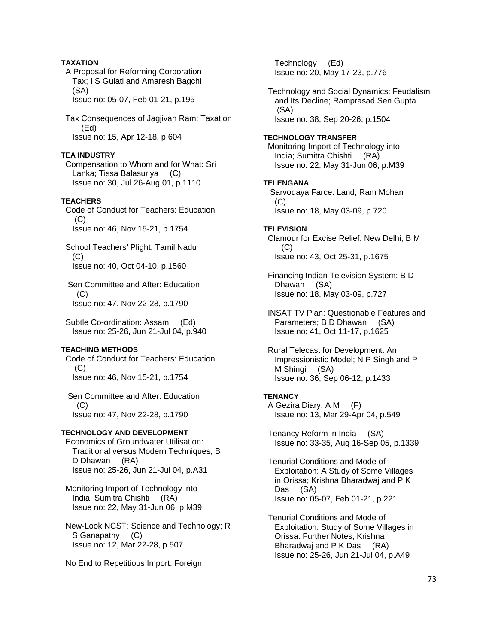# **TAXATION**

 A Proposal for Reforming Corporation Tax; I S Gulati and Amaresh Bagchi (SA) Issue no: 05-07, Feb 01-21, p.195

 Tax Consequences of Jagjivan Ram: Taxation (Ed) Issue no: 15, Apr 12-18, p.604

#### **TEA INDUSTRY**

 Compensation to Whom and for What: Sri Lanka; Tissa Balasuriya (C) Issue no: 30, Jul 26-Aug 01, p.1110

## **TEACHERS**

 Code of Conduct for Teachers: Education (C) Issue no: 46, Nov 15-21, p.1754

 School Teachers' Plight: Tamil Nadu (C) Issue no: 40, Oct 04-10, p.1560

 Sen Committee and After: Education  $(C)$ Issue no: 47, Nov 22-28, p.1790

 Subtle Co-ordination: Assam (Ed) Issue no: 25-26, Jun 21-Jul 04, p.940

#### **TEACHING METHODS**

 Code of Conduct for Teachers: Education  $(C)$ Issue no: 46, Nov 15-21, p.1754

 Sen Committee and After: Education  $(C)$ Issue no: 47, Nov 22-28, p.1790

### **TECHNOLOGY AND DEVELOPMENT**

 Economics of Groundwater Utilisation: Traditional versus Modern Techniques; B D Dhawan (RA) Issue no: 25-26, Jun 21-Jul 04, p.A31

 Monitoring Import of Technology into India; Sumitra Chishti (RA) Issue no: 22, May 31-Jun 06, p.M39

 New-Look NCST: Science and Technology; R S Ganapathy (C) Issue no: 12, Mar 22-28, p.507

No End to Repetitious Import: Foreign

 Technology (Ed) Issue no: 20, May 17-23, p.776

 Technology and Social Dynamics: Feudalism and Its Decline; Ramprasad Sen Gupta (SA) Issue no: 38, Sep 20-26, p.1504

#### **TECHNOLOGY TRANSFER**

 Monitoring Import of Technology into India; Sumitra Chishti (RA) Issue no: 22, May 31-Jun 06, p.M39

# **TELENGANA**

 Sarvodaya Farce: Land; Ram Mohan  $(C)$ Issue no: 18, May 03-09, p.720

**TELEVISION**  Clamour for Excise Relief: New Delhi; B M  $(C)$ Issue no: 43, Oct 25-31, p.1675

 Financing Indian Television System; B D Dhawan (SA) Issue no: 18, May 03-09, p.727

 INSAT TV Plan: Questionable Features and Parameters; B D Dhawan (SA) Issue no: 41, Oct 11-17, p.1625

 Rural Telecast for Development: An Impressionistic Model; N P Singh and P M Shingi (SA) Issue no: 36, Sep 06-12, p.1433

#### **TENANCY**

 A Gezira Diary; A M (F) Issue no: 13, Mar 29-Apr 04, p.549

 Tenancy Reform in India (SA) Issue no: 33-35, Aug 16-Sep 05, p.1339

 Tenurial Conditions and Mode of Exploitation: A Study of Some Villages in Orissa; Krishna Bharadwaj and P K Das (SA) Issue no: 05-07, Feb 01-21, p.221

 Tenurial Conditions and Mode of Exploitation: Study of Some Villages in Orissa: Further Notes; Krishna Bharadwaj and P K Das (RA) Issue no: 25-26, Jun 21-Jul 04, p.A49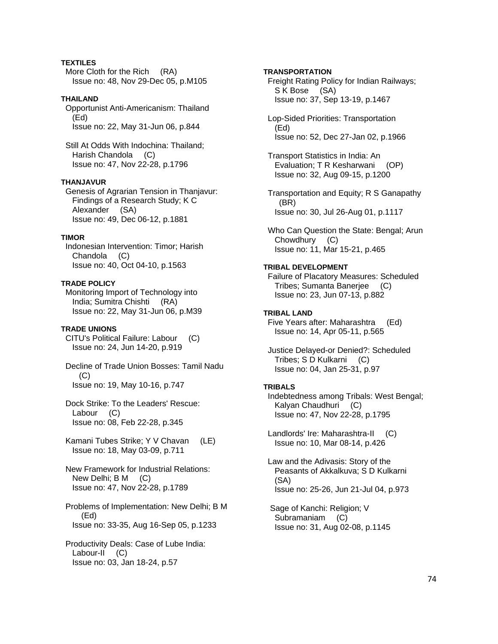# **TEXTILES**

 More Cloth for the Rich (RA) Issue no: 48, Nov 29-Dec 05, p.M105

### **THAILAND**

 Opportunist Anti-Americanism: Thailand (Ed) Issue no: 22, May 31-Jun 06, p.844

 Still At Odds With Indochina: Thailand; Harish Chandola (C) Issue no: 47, Nov 22-28, p.1796

#### **THANJAVUR**

 Genesis of Agrarian Tension in Thanjavur: Findings of a Research Study; K C Alexander (SA) Issue no: 49, Dec 06-12, p.1881

### **TIMOR**

 Indonesian Intervention: Timor; Harish Chandola (C) Issue no: 40, Oct 04-10, p.1563

#### **TRADE POLICY**

 Monitoring Import of Technology into India; Sumitra Chishti (RA) Issue no: 22, May 31-Jun 06, p.M39

### **TRADE UNIONS**

 CITU's Political Failure: Labour (C) Issue no: 24, Jun 14-20, p.919

 Decline of Trade Union Bosses: Tamil Nadu  $(C)$ Issue no: 19, May 10-16, p.747

 Dock Strike: To the Leaders' Rescue: Labour (C) Issue no: 08, Feb 22-28, p.345

 Kamani Tubes Strike; Y V Chavan (LE) Issue no: 18, May 03-09, p.711

 New Framework for Industrial Relations: New Delhi; B M (C) Issue no: 47, Nov 22-28, p.1789

 Problems of Implementation: New Delhi; B M (Ed) Issue no: 33-35, Aug 16-Sep 05, p.1233

 Productivity Deals: Case of Lube India: Labour-II (C) Issue no: 03, Jan 18-24, p.57

## **TRANSPORTATION**

 Freight Rating Policy for Indian Railways; S K Bose (SA) Issue no: 37, Sep 13-19, p.1467

 Lop-Sided Priorities: Transportation (Ed) Issue no: 52, Dec 27-Jan 02, p.1966

 Transport Statistics in India: An Evaluation; T R Kesharwani (OP) Issue no: 32, Aug 09-15, p.1200

 Transportation and Equity; R S Ganapathy (BR) Issue no: 30, Jul 26-Aug 01, p.1117

 Who Can Question the State: Bengal; Arun Chowdhury (C) Issue no: 11, Mar 15-21, p.465

## **TRIBAL DEVELOPMENT**

 Failure of Placatory Measures: Scheduled Tribes; Sumanta Banerjee (C) Issue no: 23, Jun 07-13, p.882

## **TRIBAL LAND**

 Five Years after: Maharashtra (Ed) Issue no: 14, Apr 05-11, p.565

 Justice Delayed-or Denied?: Scheduled Tribes; S D Kulkarni (C) Issue no: 04, Jan 25-31, p.97

#### **TRIBALS**

 Indebtedness among Tribals: West Bengal; Kalyan Chaudhuri (C) Issue no: 47, Nov 22-28, p.1795

 Landlords' Ire: Maharashtra-II (C) Issue no: 10, Mar 08-14, p.426

 Law and the Adivasis: Story of the Peasants of Akkalkuva; S D Kulkarni (SA) Issue no: 25-26, Jun 21-Jul 04, p.973

 Sage of Kanchi: Religion; V Subramaniam (C) Issue no: 31, Aug 02-08, p.1145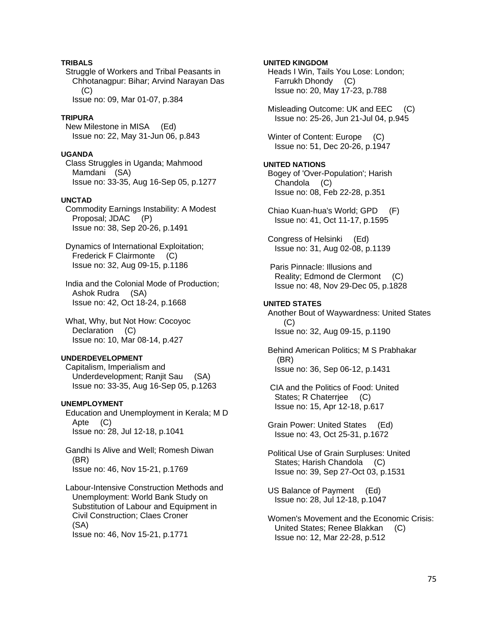# **TRIBALS**

 Struggle of Workers and Tribal Peasants in Chhotanagpur: Bihar; Arvind Narayan Das (C) Issue no: 09, Mar 01-07, p.384

### **TRIPURA**

 New Milestone in MISA (Ed) Issue no: 22, May 31-Jun 06, p.843

## **UGANDA**

 Class Struggles in Uganda; Mahmood Mamdani (SA) Issue no: 33-35, Aug 16-Sep 05, p.1277

### **UNCTAD**

 Commodity Earnings Instability: A Modest Proposal; JDAC (P) Issue no: 38, Sep 20-26, p.1491

 Dynamics of International Exploitation; Frederick F Clairmonte (C) Issue no: 32, Aug 09-15, p.1186

 India and the Colonial Mode of Production; Ashok Rudra (SA) Issue no: 42, Oct 18-24, p.1668

 What, Why, but Not How: Cocoyoc Declaration (C) Issue no: 10, Mar 08-14, p.427

### **UNDERDEVELOPMENT**

 Capitalism, Imperialism and Underdevelopment; Ranjit Sau (SA) Issue no: 33-35, Aug 16-Sep 05, p.1263

### **UNEMPLOYMENT**

 Education and Unemployment in Kerala; M D Apte (C) Issue no: 28, Jul 12-18, p.1041

 Gandhi Is Alive and Well; Romesh Diwan (BR) Issue no: 46, Nov 15-21, p.1769

 Labour-Intensive Construction Methods and Unemployment: World Bank Study on Substitution of Labour and Equipment in Civil Construction; Claes Croner (SA) Issue no: 46, Nov 15-21, p.1771

## **UNITED KINGDOM**

 Heads I Win, Tails You Lose: London; Farrukh Dhondy (C) Issue no: 20, May 17-23, p.788

 Misleading Outcome: UK and EEC (C) Issue no: 25-26, Jun 21-Jul 04, p.945

Winter of Content: Europe (C) Issue no: 51, Dec 20-26, p.1947

# **UNITED NATIONS**

 Bogey of 'Over-Population'; Harish Chandola (C) Issue no: 08, Feb 22-28, p.351

 Chiao Kuan-hua's World; GPD (F) Issue no: 41, Oct 11-17, p.1595

 Congress of Helsinki (Ed) Issue no: 31, Aug 02-08, p.1139

 Paris Pinnacle: Illusions and Reality; Edmond de Clermont (C) Issue no: 48, Nov 29-Dec 05, p.1828

## **UNITED STATES**

 Another Bout of Waywardness: United States (C) Issue no: 32, Aug 09-15, p.1190

 Behind American Politics; M S Prabhakar (BR) Issue no: 36, Sep 06-12, p.1431

 CIA and the Politics of Food: United States; R Chaterriee (C) Issue no: 15, Apr 12-18, p.617

 Grain Power: United States (Ed) Issue no: 43, Oct 25-31, p.1672

 Political Use of Grain Surpluses: United States; Harish Chandola (C) Issue no: 39, Sep 27-Oct 03, p.1531

 US Balance of Payment (Ed) Issue no: 28, Jul 12-18, p.1047

 Women's Movement and the Economic Crisis: United States; Renee Blakkan (C) Issue no: 12, Mar 22-28, p.512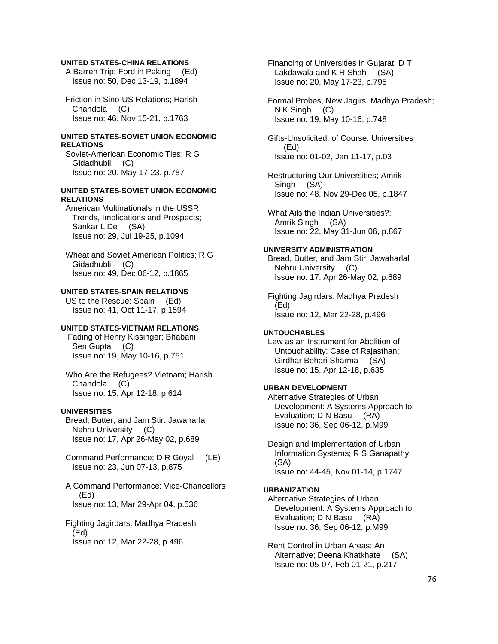### **UNITED STATES-CHINA RELATIONS**

 A Barren Trip: Ford in Peking (Ed) Issue no: 50, Dec 13-19, p.1894

 Friction in Sino-US Relations; Harish Chandola (C) Issue no: 46, Nov 15-21, p.1763

### **UNITED STATES-SOVIET UNION ECONOMIC RELATIONS**

 Soviet-American Economic Ties; R G Gidadhubli (C) Issue no: 20, May 17-23, p.787

### **UNITED STATES-SOVIET UNION ECONOMIC RELATIONS**

 American Multinationals in the USSR: Trends, Implications and Prospects; Sankar L De (SA) Issue no: 29, Jul 19-25, p.1094

 Wheat and Soviet American Politics; R G Gidadhubli (C) Issue no: 49, Dec 06-12, p.1865

## **UNITED STATES-SPAIN RELATIONS**

 US to the Rescue: Spain (Ed) Issue no: 41, Oct 11-17, p.1594

# **UNITED STATES-VIETNAM RELATIONS**

 Fading of Henry Kissinger; Bhabani Sen Gupta (C) Issue no: 19, May 10-16, p.751

 Who Are the Refugees? Vietnam; Harish Chandola (C) Issue no: 15, Apr 12-18, p.614

## **UNIVERSITIES**

 Bread, Butter, and Jam Stir: Jawaharlal Nehru University (C) Issue no: 17, Apr 26-May 02, p.689

- Command Performance; D R Goyal (LE) Issue no: 23, Jun 07-13, p.875
- A Command Performance: Vice-Chancellors (Ed) Issue no: 13, Mar 29-Apr 04, p.536
- Fighting Jagirdars: Madhya Pradesh (Ed) Issue no: 12, Mar 22-28, p.496

 Financing of Universities in Gujarat; D T Lakdawala and K R Shah (SA) Issue no: 20, May 17-23, p.795

 Formal Probes, New Jagirs: Madhya Pradesh; N K Singh (C) Issue no: 19, May 10-16, p.748

 Gifts-Unsolicited, of Course: Universities (Ed) Issue no: 01-02, Jan 11-17, p.03

 Restructuring Our Universities; Amrik Singh (SA) Issue no: 48, Nov 29-Dec 05, p.1847

 What Ails the Indian Universities?; Amrik Singh (SA) Issue no: 22, May 31-Jun 06, p.867

### **UNIVERSITY ADMINISTRATION**

 Bread, Butter, and Jam Stir: Jawaharlal Nehru University (C) Issue no: 17, Apr 26-May 02, p.689

 Fighting Jagirdars: Madhya Pradesh (Ed) Issue no: 12, Mar 22-28, p.496

### **UNTOUCHABLES**

 Law as an Instrument for Abolition of Untouchability: Case of Rajasthan; Girdhar Behari Sharma (SA) Issue no: 15, Apr 12-18, p.635

## **URBAN DEVELOPMENT**

 Alternative Strategies of Urban Development: A Systems Approach to Evaluation; D N Basu (RA) Issue no: 36, Sep 06-12, p.M99

 Design and Implementation of Urban Information Systems; R S Ganapathy (SA) Issue no: 44-45, Nov 01-14, p.1747

#### **URBANIZATION**

 Alternative Strategies of Urban Development: A Systems Approach to Evaluation; D N Basu (RA) Issue no: 36, Sep 06-12, p.M99

 Rent Control in Urban Areas: An Alternative; Deena Khatkhate (SA) Issue no: 05-07, Feb 01-21, p.217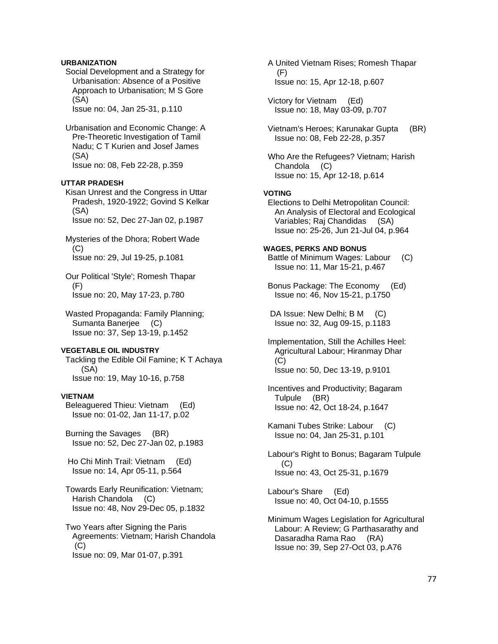# **URBANIZATION**

 Social Development and a Strategy for Urbanisation: Absence of a Positive Approach to Urbanisation; M S Gore (SA)

Issue no: 04, Jan 25-31, p.110

 Urbanisation and Economic Change: A Pre-Theoretic Investigation of Tamil Nadu; C T Kurien and Josef James (SA) Issue no: 08, Feb 22-28, p.359

## **UTTAR PRADESH**

 Kisan Unrest and the Congress in Uttar Pradesh, 1920-1922; Govind S Kelkar (SA) Issue no: 52, Dec 27-Jan 02, p.1987

- Mysteries of the Dhora; Robert Wade (C) Issue no: 29, Jul 19-25, p.1081
- Our Political 'Style'; Romesh Thapar (F) Issue no: 20, May 17-23, p.780
- Wasted Propaganda: Family Planning; Sumanta Banerjee (C) Issue no: 37, Sep 13-19, p.1452

### **VEGETABLE OIL INDUSTRY**

 Tackling the Edible Oil Famine; K T Achaya (SA) Issue no: 19, May 10-16, p.758

### **VIETNAM**

 Beleaguered Thieu: Vietnam (Ed) Issue no: 01-02, Jan 11-17, p.02

 Burning the Savages (BR) Issue no: 52, Dec 27-Jan 02, p.1983

 Ho Chi Minh Trail: Vietnam (Ed) Issue no: 14, Apr 05-11, p.564

- Towards Early Reunification: Vietnam; Harish Chandola (C) Issue no: 48, Nov 29-Dec 05, p.1832
- Two Years after Signing the Paris Agreements: Vietnam; Harish Chandola  $(C)$ Issue no: 09, Mar 01-07, p.391
- A United Vietnam Rises; Romesh Thapar (F) Issue no: 15, Apr 12-18, p.607
- Victory for Vietnam (Ed) Issue no: 18, May 03-09, p.707
- Vietnam's Heroes; Karunakar Gupta (BR) Issue no: 08, Feb 22-28, p.357
- Who Are the Refugees? Vietnam; Harish Chandola (C) Issue no: 15, Apr 12-18, p.614

### **VOTING**

 Elections to Delhi Metropolitan Council: An Analysis of Electoral and Ecological Variables; Raj Chandidas (SA) Issue no: 25-26, Jun 21-Jul 04, p.964

## **WAGES, PERKS AND BONUS**

 Battle of Minimum Wages: Labour (C) Issue no: 11, Mar 15-21, p.467

 Bonus Package: The Economy (Ed) Issue no: 46, Nov 15-21, p.1750

DA Issue: New Delhi; B M (C) Issue no: 32, Aug 09-15, p.1183

- Implementation, Still the Achilles Heel: Agricultural Labour; Hiranmay Dhar (C) Issue no: 50, Dec 13-19, p.9101
- Incentives and Productivity; Bagaram Tulpule (BR) Issue no: 42, Oct 18-24, p.1647
- Kamani Tubes Strike: Labour (C) Issue no: 04, Jan 25-31, p.101
- Labour's Right to Bonus; Bagaram Tulpule (C) Issue no: 43, Oct 25-31, p.1679
- Labour's Share (Ed) Issue no: 40, Oct 04-10, p.1555
- Minimum Wages Legislation for Agricultural Labour: A Review; G Parthasarathy and Dasaradha Rama Rao (RA) Issue no: 39, Sep 27-Oct 03, p.A76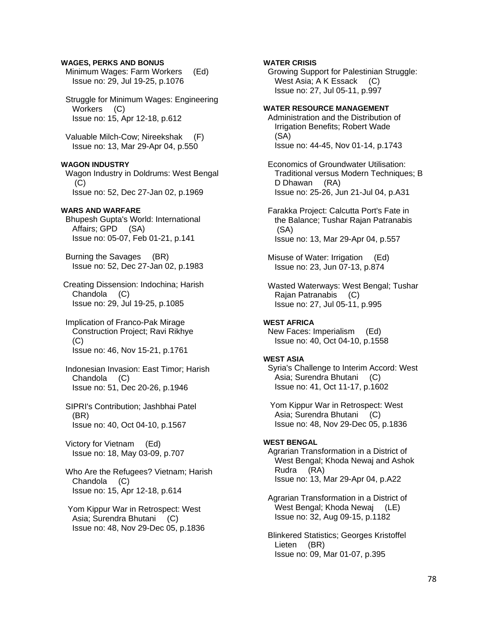### **WAGES, PERKS AND BONUS**

 Minimum Wages: Farm Workers (Ed) Issue no: 29, Jul 19-25, p.1076

 Struggle for Minimum Wages: Engineering Workers (C) Issue no: 15, Apr 12-18, p.612

 Valuable Milch-Cow; Nireekshak (F) Issue no: 13, Mar 29-Apr 04, p.550

## **WAGON INDUSTRY**

 Wagon Industry in Doldrums: West Bengal (C) Issue no: 52, Dec 27-Jan 02, p.1969

## **WARS AND WARFARE**

 Bhupesh Gupta's World: International Affairs; GPD (SA) Issue no: 05-07, Feb 01-21, p.141

 Burning the Savages (BR) Issue no: 52, Dec 27-Jan 02, p.1983

 Creating Dissension: Indochina; Harish Chandola (C) Issue no: 29, Jul 19-25, p.1085

 Implication of Franco-Pak Mirage Construction Project; Ravi Rikhye (C) Issue no: 46, Nov 15-21, p.1761

 Indonesian Invasion: East Timor; Harish Chandola (C) Issue no: 51, Dec 20-26, p.1946

 SIPRI's Contribution; Jashbhai Patel (BR) Issue no: 40, Oct 04-10, p.1567

 Victory for Vietnam (Ed) Issue no: 18, May 03-09, p.707

 Who Are the Refugees? Vietnam; Harish Chandola (C) Issue no: 15, Apr 12-18, p.614

 Yom Kippur War in Retrospect: West Asia; Surendra Bhutani (C) Issue no: 48, Nov 29-Dec 05, p.1836

## **WATER CRISIS**

 Growing Support for Palestinian Struggle: West Asia; A K Essack (C) Issue no: 27, Jul 05-11, p.997

### **WATER RESOURCE MANAGEMENT**

 Administration and the Distribution of Irrigation Benefits; Robert Wade (SA) Issue no: 44-45, Nov 01-14, p.1743

 Economics of Groundwater Utilisation: Traditional versus Modern Techniques; B D Dhawan (RA) Issue no: 25-26, Jun 21-Jul 04, p.A31

 Farakka Project: Calcutta Port's Fate in the Balance; Tushar Rajan Patranabis (SA) Issue no: 13, Mar 29-Apr 04, p.557

 Misuse of Water: Irrigation (Ed) Issue no: 23, Jun 07-13, p.874

 Wasted Waterways: West Bengal; Tushar Rajan Patranabis (C) Issue no: 27, Jul 05-11, p.995

#### **WEST AFRICA**

 New Faces: Imperialism (Ed) Issue no: 40, Oct 04-10, p.1558

#### **WEST ASIA**

 Syria's Challenge to Interim Accord: West Asia; Surendra Bhutani (C) Issue no: 41, Oct 11-17, p.1602

 Yom Kippur War in Retrospect: West Asia; Surendra Bhutani (C) Issue no: 48, Nov 29-Dec 05, p.1836

### **WEST BENGAL**

 Agrarian Transformation in a District of West Bengal; Khoda Newaj and Ashok Rudra (RA) Issue no: 13, Mar 29-Apr 04, p.A22

 Agrarian Transformation in a District of West Bengal; Khoda Newaj (LE) Issue no: 32, Aug 09-15, p.1182

 Blinkered Statistics; Georges Kristoffel Lieten (BR) Issue no: 09, Mar 01-07, p.395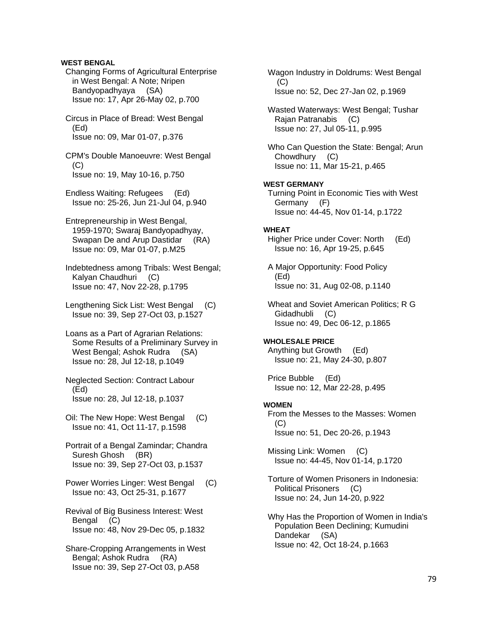## **WEST BENGAL**

 Changing Forms of Agricultural Enterprise in West Bengal: A Note; Nripen Bandyopadhyaya (SA) Issue no: 17, Apr 26-May 02, p.700

 Circus in Place of Bread: West Bengal (Ed) Issue no: 09, Mar 01-07, p.376

 CPM's Double Manoeuvre: West Bengal  $(C)$ Issue no: 19, May 10-16, p.750

 Endless Waiting: Refugees (Ed) Issue no: 25-26, Jun 21-Jul 04, p.940

 Entrepreneurship in West Bengal, 1959-1970; Swaraj Bandyopadhyay, Swapan De and Arup Dastidar (RA) Issue no: 09, Mar 01-07, p.M25

 Indebtedness among Tribals: West Bengal; Kalyan Chaudhuri (C) Issue no: 47, Nov 22-28, p.1795

 Lengthening Sick List: West Bengal (C) Issue no: 39, Sep 27-Oct 03, p.1527

 Loans as a Part of Agrarian Relations: Some Results of a Preliminary Survey in West Bengal; Ashok Rudra (SA) Issue no: 28, Jul 12-18, p.1049

 Neglected Section: Contract Labour (Ed) Issue no: 28, Jul 12-18, p.1037

- Oil: The New Hope: West Bengal (C) Issue no: 41, Oct 11-17, p.1598
- Portrait of a Bengal Zamindar; Chandra Suresh Ghosh (BR) Issue no: 39, Sep 27-Oct 03, p.1537
- Power Worries Linger: West Bengal (C) Issue no: 43, Oct 25-31, p.1677
- Revival of Big Business Interest: West Bengal (C) Issue no: 48, Nov 29-Dec 05, p.1832

 Share-Cropping Arrangements in West Bengal; Ashok Rudra (RA) Issue no: 39, Sep 27-Oct 03, p.A58

 Wagon Industry in Doldrums: West Bengal  $(C)$ Issue no: 52, Dec 27-Jan 02, p.1969

 Wasted Waterways: West Bengal; Tushar Rajan Patranabis (C) Issue no: 27, Jul 05-11, p.995

 Who Can Question the State: Bengal; Arun Chowdhury (C) Issue no: 11, Mar 15-21, p.465

### **WEST GERMANY**

 Turning Point in Economic Ties with West Germany (F) Issue no: 44-45, Nov 01-14, p.1722

#### **WHEAT**

 Higher Price under Cover: North (Ed) Issue no: 16, Apr 19-25, p.645

 A Major Opportunity: Food Policy (Ed) Issue no: 31, Aug 02-08, p.1140

 Wheat and Soviet American Politics; R G Gidadhubli (C) Issue no: 49, Dec 06-12, p.1865

**WHOLESALE PRICE**  Anything but Growth (Ed) Issue no: 21, May 24-30, p.807

 Price Bubble (Ed) Issue no: 12, Mar 22-28, p.495

# **WOMEN**

 From the Messes to the Masses: Women (C) Issue no: 51, Dec 20-26, p.1943

 Missing Link: Women (C) Issue no: 44-45, Nov 01-14, p.1720

 Torture of Women Prisoners in Indonesia: Political Prisoners (C) Issue no: 24, Jun 14-20, p.922

 Why Has the Proportion of Women in India's Population Been Declining; Kumudini Dandekar (SA) Issue no: 42, Oct 18-24, p.1663